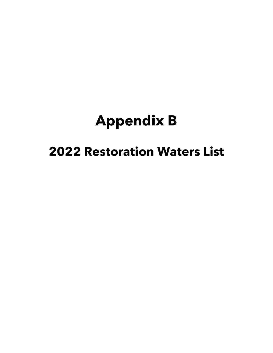# **Appendix B**

## **2022 Restoration Waters List**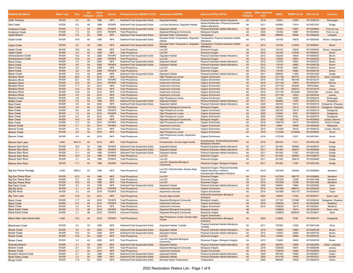| <b>Waterbody Name</b>                                      | <b>Water Type</b>            | <b>Size</b>  | <b>AU</b><br>Category | <b>Cycle</b><br>Listed | Source                      | Pollutant/Cause (WDNR & EPA) Impairment (WDNR)                     |                                                                | <b>Observed Effect (EPA)</b>                                                                                   | Category | <b>Listing TMDL Approval</b><br>Year | <b>WBIC</b>        | WDNR AU ID EPA AU ID |                          | <b>Counties</b>           |
|------------------------------------------------------------|------------------------------|--------------|-----------------------|------------------------|-----------------------------|--------------------------------------------------------------------|----------------------------------------------------------------|----------------------------------------------------------------------------------------------------------------|----------|--------------------------------------|--------------------|----------------------|--------------------------|---------------------------|
| <b>Adell Tributary</b>                                     | <b>RIVER</b>                 | 5.0          | 4A                    | 1998                   | <b>NPS</b>                  | Sediment/Total Suspended Solids                                    | <b>Degraded Habitat</b>                                        | <b>Physical Substrate Habitat Alterations</b>                                                                  | 4A       | 2018                                 | 33000              | 10092                | WI10000275               | Sheboygan                 |
| Alto Creek                                                 | <b>RIVER</b>                 | 6.2          | 4A                    | 1998                   | PS/NPS                      | Sediment/Total Suspended Solids                                    | Low flow alterations, Degraded Habitat                         | Stream Modification, Physical Substrate<br><b>Habitat Alterations</b>                                          | 4A       | 2011                                 | 835900             | 11414                | WI10001261               | Dodge                     |
| <b>Anderson Creek</b>                                      | <b>RIVER</b>                 | 7.3          | 4A                    | 2002                   | <b>PS/NPS</b>               | Sediment/Total Suspended Solids                                    | <b>Degraded Habitat</b>                                        | <b>Physical Substrate Habitat Alterations</b>                                                                  | 4A       | 2020                                 | 133300             | 10987                | WI10000944               | Fond du Lac               |
| <b>Anderson Creek</b>                                      | <b>RIVER</b>                 | 7.3          | 4A                    | 2016                   | <b>PS/NPS</b>               | <b>Total Phosphorus</b>                                            | Degraded Biological Community                                  | <b>Biological Integrity</b>                                                                                    | 4A       | 2020                                 | 133300             | 10987                | WI10000944               | Fond du Lac               |
| <b>Apple Branch</b>                                        | <b>RIVER</b>                 | 2.8          | 4A                    | 1998                   | <b>NPS</b>                  | Sediment/Total Suspended Solids                                    | <b>Elevated Water Temperature</b>                              | Temperature                                                                                                    | 4A       | 2005                                 | 899800             | 18546                | WI10006450               | Lafayette                 |
| Apple Creek                                                | <b>RIVER</b>                 | 19.9         | 4A                    | 1998                   | <b>NPS</b>                  | Sediment/Total Suspended Solids                                    | Elevated Water Temperature, Degraded<br>Habitat                | Temperature, Physical Substrate Habitat<br>Alterations                                                         | 4A       | 2012                                 | 124100             | 10839                | WI10000835               | Brown, Outagamie          |
| <b>Apple Creek</b>                                         | <b>RIVER</b><br><b>RIVER</b> | 4.0<br>19.9  | 4A<br>4A              | 1998<br>1998           | <b>NPS</b><br><b>NPS</b>    | Sediment/Total Suspended Solids                                    | Elevated Water Temperature, Degraded<br>Habitat                | Temperature, Physical Substrate Habitat<br>Alterations                                                         | 4A<br>4A | 2012                                 | 124100<br>124100   | 313933               | WI10008401               | Brown                     |
| Apple Creek<br><b>Apple Creek</b>                          | <b>RIVER</b>                 | 4.0          | 4A                    | 1998                   | <b>NPS</b>                  | <b>Total Phosphorus</b><br><b>Total Phosphorus</b>                 | Low DO<br>Low DO                                               | <b>Dissolved Oxygen</b><br><b>Dissolved Oxygen</b>                                                             | 4A       | 2012<br>2012                         | 124100             | 10839<br>313933      | WI10000835<br>WI10008401 | Brown, Outagamie<br>Brown |
| Ashwaubenon Creek                                          | <b>RIVER</b>                 | 14.2         | 4A                    | 2008                   | <b>PS/NPS</b>               | Sediment/Total Suspended Solids                                    | Degraded Habitat                                               | <b>Physical Substrate Habitat Alterations</b>                                                                  | 4A       | 2012                                 | 122200             | 10834                | WI10000832               | Brown                     |
| <b>Ashwaubenon Creel</b>                                   | <b>RIVER</b>                 | 14.2         | 4A                    | 2008                   | <b>PS/NPS</b>               | <b>Total Phosphorus</b>                                            | Low DO                                                         | <b>Dissolved Oxygen</b>                                                                                        | 4A       | 2012                                 | 122200             | 10834                | WI10000832               | Brown                     |
| <b>Baird Creek</b>                                         | <b>RIVER</b>                 | 3.5          | 4A                    | 2006                   | <b>NPS</b>                  | Sediment/Total Suspended Solids                                    | Degraded Habitat                                               | Physical Substrate Habitat Alterations                                                                         | 4A       | 2012                                 | 118100             | 10681                | WI10000727               | Brown                     |
| <b>Baird Creek</b><br><b>Baird Creek</b>                   | <b>RIVER</b><br><b>RIVER</b> | 9.6<br>3.5   | 4A<br>4A              | 2008<br>2006           | <b>PS/NPS</b><br><b>NPS</b> | Sediment/Total Suspended Solids<br><b>Total Phosphorus</b>         | <b>Degraded Habitat</b><br>Low DO                              | <b>Physical Substrate Habitat Alterations</b><br>Dissolved Oxygen                                              | 4A<br>4A | 2012<br>2012                         | 118100<br>118100   | 10682<br>10681       | WI10000728<br>WI10000727 | Brown<br>Brown            |
| <b>Baird Creek</b>                                         | <b>RIVER</b>                 | 9.6          | 4A                    | 2008                   | <b>PS/NPS</b>               | <b>Total Phosphorus</b>                                            | Low DO                                                         | <b>Dissolved Oxygen</b>                                                                                        | 4A       | 2012                                 | 118100             | 10682                | WI10000728               | Brown                     |
| <b>Baker Creek</b>                                         | <b>RIVER</b>                 | 10.0         | 4A                    | 2006                   | <b>NPS</b>                  | Sediment/Total Suspended Solids                                    | Degraded Habitat                                               | Physical Substrate Habitat Alterations                                                                         | 4A       | 2011                                 | 856000             | 11460                | WI10001295               | Dodge                     |
| <b>Baraboo River</b>                                       | <b>RIVER</b>                 | 28.2         | 4A                    | 2012                   | <b>NPS</b>                  | <b>Total Phosphorus</b>                                            | <b>High Phosphorus Levels</b>                                  | <b>Organic Enrichment</b>                                                                                      | 4A       | 2019                                 | 1271100            | 944741               | WI10026710               | Sauk, Columbia            |
| <b>Baraboo River</b>                                       | <b>RIVER</b>                 | 32.1         | 4A                    | 2014                   | PS/NPS                      | <b>Total Phosphorus</b>                                            | Impairment Unknown                                             | Organic Enrichment                                                                                             | 4A       | 2019                                 | 1271100            | 944788               | WI10010277               | Sauk                      |
| <b>Baraboo River</b>                                       | <b>RIVER</b>                 | 10.3         | 4A                    | 2014                   | <b>PS/NPS</b>               | <b>Total Phosphorus</b>                                            | <b>Impairment Unknown</b>                                      | <b>Organic Enrichment</b>                                                                                      | 4A       | 2019                                 | 1271100            | 12978                | WI10002415               | Monroe                    |
| Baraboo River<br><b>Baraboo River</b>                      | <b>RIVER</b><br><b>RIVER</b> | 11.7<br>14.5 | 4A<br>4A              | 2012<br>2012           | <b>NPS</b><br><b>NPS</b>    | <b>Total Phosphorus</b><br><b>Total Phosphorus</b>                 | Impairment Unknown<br><b>Impairment Unknown</b>                | Organic Enrichment<br><b>Organic Enrichment</b>                                                                | 4A<br>4A | 2019<br>2019                         | 1271100<br>1271100 | 944844<br>944915     | WI8102480<br>WI10010279  | Sauk<br>Juneau            |
| <b>Baraboo River</b>                                       | <b>RIVER</b>                 | 14.6         | 4A                    | 2012                   | <b>NPS</b>                  | <b>Total Phosphorus</b>                                            | Impairment Unknown                                             | Organic Enrichment                                                                                             | 4A       | 2019                                 | 1271100            | 8102482              | WI8102483                | Juneau, Sauk              |
| <b>Baraboo River</b>                                       | <b>RIVER</b>                 | 4.8          | 4A                    | 2014                   | <b>NPS</b>                  | <b>Total Phosphorus</b>                                            | <b>Impairment Unknown</b>                                      | <b>Organic Enrichment</b>                                                                                      | 4A       | 2019                                 | 1271100            | 13023                | WI10002442               | Juneau                    |
| Batavia Creek                                              | <b>RIVER</b>                 | 4.9          | 5A                    | 2014                   | <b>NPS</b>                  | <b>Total Phosphorus</b>                                            | <b>High Phosphorus Levels</b>                                  | Organic Enrichment                                                                                             | 4A       | 2018                                 | 31400              | 10083                | WI10000270               | Sheboygar                 |
| <b>Battle Creek</b>                                        | <b>RIVER</b>                 | 2.8          | 4A                    | 1998                   | <b>NPS</b>                  | Sediment/Total Suspended Solids                                    | <b>Degraded Habitat</b>                                        | <b>Physical Substrate Habitat Alterations</b>                                                                  | 4A       | 2011                                 | 848300             | 11487                | WI10001315               | Waukesha                  |
| Bear Creek                                                 | <b>RIVER</b>                 | 3.6          | 4A                    | 2002                   | <b>NPS</b>                  | Sediment/Total Suspended Solids                                    | Degraded Habitat                                               | Physical Substrate Habitat Alterations                                                                         | 4A       | 2020                                 | 292100             | 10414                | WI10000519               | Outagamie, Waupaca        |
| Bear Creek                                                 | <b>RIVER</b>                 | 3.6          | 4A                    | 2016                   | <b>PS/NPS</b>               | <b>Total Phosphorus</b>                                            | <b>Degraded Biological Community</b>                           | <b>Biological Integrity</b>                                                                                    | 4A       | 2020                                 | 292100             | 10414                | WI10000519               | Outagamie, Waupaca        |
| <b>Bear Creek</b>                                          | <b>RIVER</b>                 | 8.4          | 4A                    | 2020                   | PS/NPS                      | <b>Total Phosphorus</b>                                            | <b>High Phosphorus Levels</b>                                  | Organic Enrichment                                                                                             | 4A       | 2020                                 | 292100             | 10413                | WI10000518               | Outagamie                 |
| <b>Bear Creek</b><br><b>Bear Creek</b>                     | <b>RIVER</b><br><b>RIVER</b> | 1.5<br>6.0   | 4A<br>4A              | 2012<br>2012           | <b>PS/NPS</b><br><b>NPS</b> | <b>Total Phosphorus</b><br><b>Total Phosphorus</b>                 | <b>High Phosphorus Levels</b><br><b>High Phosphorus Levels</b> | <b>Organic Enrichment</b><br>Organic Enrichment                                                                | 4A<br>4A | 2020<br>2020                         | 316000<br>316000   | 9791<br>9792         | WI10000078<br>WI10000079 | Outagamie<br>Outagamie    |
| <b>Bear Creek</b>                                          | <b>RIVER</b>                 | 14.0         | 4A                    | 2014                   | <b>NPS</b>                  | <b>Total Phosphorus</b>                                            | <b>Degraded Biological Community</b>                           | <b>Biological Integrity</b>                                                                                    | 4A       | 2019                                 | 1311600            | 13102                | WI10030863               | Juneau, Monroe            |
| <b>Bear Creek</b>                                          | <b>RIVER</b>                 | 11.7         | 4A                    | 2016                   | <b>PS/NPS</b>               | <b>Total Phosphorus</b>                                            | <b>High Phosphorus Levels</b>                                  | Organic Enrichment                                                                                             | 4A       | 2019                                 | 1398700            | 12317                | WI10008162               | Wood, Portage             |
| <b>Beaver Creek</b>                                        | <b>RIVER</b>                 | 2.7          | 5A                    | 2014                   | <b>PS/NPS</b>               | <b>Total Phosphorus</b>                                            | <b>Impairment Unknown</b>                                      | <b>Organic Enrichment</b>                                                                                      | 4A       | 2018                                 | 20000              | 10008                | WI10000220               | Milwaukee                 |
| <b>Beaver Creek</b>                                        | <b>RIVER</b>                 | 4.0          | 4A                    | 2012                   | <b>NPS</b>                  | <b>Total Phosphorus</b>                                            | <b>Impairment Unknown</b>                                      | Organic Enrichment                                                                                             | 4A       | 2019                                 | 1314000            | 18435                | WI10006033               | Juneau, Monroe            |
| <b>Beaver Creek</b>                                        | <b>RIVER</b>                 | 2.2          | 4A                    | 2018                   | <b>NPS</b>                  | <b>Total Phosphorus</b>                                            | <b>High Phosphorus Levels</b>                                  | <b>Organic Enrichment</b>                                                                                      | 4A       | 2019                                 | 1372300            | 5735909              | WI10038020               | Wood                      |
| <b>Beaver Creek</b>                                        | <b>RIVER</b>                 | 4.0          | 4A                    | 2018                   | <b>NPS</b>                  | <b>Total Phosphorus</b>                                            | High Phosphorus Levels, Impairment<br>Unknown                  | Organic Enrichment                                                                                             | 4A       | 2019                                 | 1372300            | 12237                | WI10001891               | Wood                      |
| Beaver Dam Lake                                            | LAKE                         | 6401.6       | 4A                    | 2010                   | <b>NPS</b>                  | <b>Total Phosphorus</b>                                            | Eutrophication, Excess Algal Growth                            | Eutrophication, Nutrient/Eutrophication<br><b>Biological Indicators</b>                                        | 4A       | 2018                                 | 835100             | 11411                | WI10001258               | Dodge                     |
| <b>Beaver Dam River</b>                                    | <b>RIVER</b>                 | 16.0         | 4A                    | 1998                   | <b>PS/NPS</b>               | Sediment/Total Suspended Solids                                    | Degraded Habitat                                               | Physical Substrate Habitat Alterations                                                                         | 4A       | 2011                                 | 831400             | 356663               | WI10026870               | Dodge                     |
| <b>Beaver Dam River</b><br><b>Beaver Dam River</b>         | <b>RIVER</b><br><b>RIVER</b> | 3.1<br>11.1  | 4A<br>4A              | 1998<br>1998           | <b>PS/NPS</b><br>PS/NPS     | Sediment/Total Suspended Solids<br>Sediment/Total Suspended Solids | <b>Degraded Habitat</b><br>Degraded Habitat                    | <b>Physical Substrate Habitat Alterations</b><br>Physical Substrate Habitat Alterations                        | 4A<br>4A | 2011<br>2011                         | 831400<br>831400   | 356616<br>11397      | WI10008489<br>WI10001245 | Dodge<br>Dodge            |
| <b>Beaver Dam River</b>                                    | <b>RIVER</b>                 | 16.0         | 4A                    | 1998                   | <b>PS/NPS</b>               | <b>Total Phosphorus</b>                                            | Low DO                                                         | <b>Dissolved Oxygen</b>                                                                                        | 4A       | 2011                                 | 831400             | 356663               | WI10026870               | Dodge                     |
| <b>Beaver Dam River</b>                                    | <b>RIVER</b>                 | 3.1          | 4A                    | 1998                   | <b>PS/NPS</b>               | <b>Total Phosphorus</b>                                            | Low DO                                                         | Dissolved Oxygen                                                                                               | 4A       | 2011                                 | 831400             | 356616               | WI10008489               | Dodge                     |
| <b>Beaver Dam River</b>                                    | <b>RIVER</b>                 | 11.1         | 4A                    | 1998                   | <b>PS/NPS</b>               | <b>Total Phosphorus</b>                                            | Low DO, Degraded Biological<br>Community                       | Dissolved Oxygen, Biological Integrity                                                                         | 4A       | 2011                                 | 831400             | 11397                | WI10001245               | Dodge                     |
| Big Eau Pleine Flowage                                     | LAKE                         | 4909.2       | 4A                    | 1998                   | <b>NPS</b>                  | <b>Total Phosphorus</b>                                            | Low DO, Eutrophication, Excess Algal<br>Growth                 | Dissolved Oxygen, Physical Substrate<br>Habitat Alterations, Nutrient/<br>Eutrophication Biological Indicators | 4A       | 2019                                 | 1427400            | 352690               | WI10026869               | Marathon                  |
| <b>Big Eau Pleine River</b>                                | <b>RIVER</b>                 | 23.3         | 4A                    | 1998                   | <b>NPS</b>                  | <b>Total Phosphorus</b>                                            | Low DO                                                         | <b>Dissolved Oxygen</b>                                                                                        | 4A       | 2019                                 | 1427200            | 886772               | WI10008860               | Marathon                  |
| <b>Big Eau Pleine River</b><br><b>Big Eau Pleine River</b> | <b>RIVER</b><br><b>RIVER</b> | 5.2<br>16.6  | 4A<br>4A              | 1998<br>1998           | <b>NPS</b><br><b>NPS</b>    | <b>Total Phosphorus</b><br><b>Total Phosphorus</b>                 | Low DO<br>Low DO                                               | Dissolved Oxygen<br><b>Dissolved Oxygen</b>                                                                    | 4A<br>4A | 2019<br>2019                         | 1427200<br>1427200 | 12399<br>12398       | WI10001999<br>WI10001998 | Marathon<br>Marathon      |
| <b>Big Patch Creek</b>                                     | <b>RIVER</b>                 | 5.0          | 4A                    | 1998                   | <b>NPS</b>                  | Sediment/Total Suspended Solids                                    | Degraded Habitat                                               | Physical Substrate Habitat Alterations                                                                         | 4A       | 2006                                 | 944600             | 13894                | WI10002962               | Grant                     |
| <b>Big Rib River</b>                                       | <b>RIVER</b>                 | 5.1          | 4A                    | 2018                   | <b>PS/NPS</b>               | <b>Total Phosphorus</b>                                            | <b>Impairment Unknown</b>                                      | <b>Organic Enrichment</b>                                                                                      | 4A       | 2019                                 | 1451800            | 886912               | WI10040432               | Taylor                    |
| <b>Big Rib River</b>                                       | <b>RIVER</b>                 | 5.2          | 4A                    | 2018                   | PS/NPS                      | <b>Total Phosphorus</b>                                            | Impairment Unknown                                             | Organic Enrichment                                                                                             | 4A       | 2019                                 | 1451800            | 1443175              | WI10040433               | Taylor                    |
| <b>Big Twin Lake</b>                                       | LAKE                         | 73.9         | 4A                    | 2014                   | <b>NPS</b>                  | <b>Total Phosphorus</b>                                            | <b>Excess Algal Growth</b>                                     | Nutrient/Eutrophication Biological<br>Indicators                                                               | 4A       | 2020                                 | 146500             | 11025                | WI10000971               | <b>Green Lake</b>         |
| <b>Black Creek</b>                                         | <b>RIVER</b>                 | 11.7         | 4A                    | 2016                   | <b>PS/NPS</b>               | <b>Total Phosphorus</b>                                            | Degraded Biological Community                                  | <b>Biological Integrity</b>                                                                                    | 4A       | 2020                                 | 317100             | 337866               | WI10008454               | Outagamie, Shawano        |
| <b>Black Creek</b>                                         | <b>RIVER</b>                 | 14.7         | 4A                    | 2014                   | <b>PS/NPS</b>               | <b>Total Phosphorus</b>                                            | <b>Impairment Unknown</b>                                      | <b>Organic Enrichment</b>                                                                                      | 4A       | 2019                                 | 1458200            | 12474                | WI10029280               | Marathon                  |
| <b>Black Creek</b><br><b>Black Earth Creek</b>             | <b>RIVER</b><br><b>RIVER</b> | 5.0<br>7.0   | 4A<br>4B              | 2014<br>2018           | <b>NPS</b><br><b>PS/NPS</b> | <b>Total Phosphorus</b><br><b>Total Phosphorus</b>                 | Impairment Unknown                                             | Organic Enrichment<br><b>Biological Integrity</b>                                                              | 4A<br>4B | 2019                                 | 1458200<br>1248600 | 12475<br>13474       | WI10029281<br>WI10036240 | Marathon<br>Dane, Iowa    |
| <b>Black Earth Creek</b>                                   | <b>RIVER</b>                 | 4.1          | 4B                    | 2016                   | <b>PS/NPS</b>               | <b>Unknown Pollutant</b>                                           | Degraded Biological Community<br>Degraded Biological Community | <b>Biological Integrity</b>                                                                                    | 4B       |                                      | 1248600            | 5696531              | WI10036241               | Dane                      |
| <b>Black Otter Lake (Hortonville)</b>                      | LAKE                         | 78.2         | 4A                    | 2016                   | <b>PS/NPS</b>               | <b>Total Phosphorus</b>                                            | High Phosphorus Levels, Excess Algal<br>Growth                 | Organic Enrichment,<br>Nutrient/Eutrophication Biological<br>Indicators                                        | 4A       | 2020                                 | 315600             | 9789                 | WI10000076               | Outagamie                 |
| <b>Blackhawk Creek</b>                                     | <b>RIVER</b>                 | 2.0          | 4A                    | 1998                   | <b>NPS</b>                  | Sediment/Total Suspended Solids                                    | Degraded Habitat, Turbidity                                    | Physical Substrate Habitat Alterations,<br>Turbidity                                                           | 4A       | 2011                                 | 797000             | 11628                | WI10001429               | Rock                      |
| <b>Bower Creek</b>                                         | <b>RIVER</b>                 | 3.0          | 4A                    | 2008                   | <b>NPS</b>                  | Sediment/Total Suspended Solids                                    | <b>Degraded Habitat</b>                                        | <b>Physical Substrate Habitat Alterations</b>                                                                  | 4A       | 2012                                 | 118400             | 10683                | WI10000729               | Brown                     |
| <b>Bower Creek</b>                                         | <b>RIVER</b>                 | 10.0         | 4A                    | 2008                   | <b>NPS</b>                  | Sediment/Total Suspended Solids                                    | Degraded Habitat                                               | Physical Substrate Habitat Alterations                                                                         | 4A       | 2012                                 | 118400             | 10684                | WI10000730               | Brown                     |
| <b>Bower Creek</b><br><b>Bower Creek</b>                   | <b>RIVER</b><br><b>RIVER</b> | 10.0<br>3.0  | 4A<br>4A              | 2008<br>2008           | <b>NPS</b><br><b>NPS</b>    | <b>Total Phosphorus</b><br><b>Total Phosphorus</b>                 | Low DO<br>Low DO, Degraded Biological<br>Community             | <b>Dissolved Oxygen</b><br>Dissolved Oxygen, Biological Integrity                                              | 4A<br>4A | 2012<br>2012                         | 118400<br>118400   | 10684<br>10683       | WI10000730<br>WI10000729 | Brown<br>Brown            |
| <b>Braezels Branch</b>                                     | <b>RIVER</b>                 | 4.1          | 4A                    | 1998                   | <b>NPS</b>                  | Sediment/Total Suspended Solids                                    | <b>Degraded Habitat</b>                                        | <b>Physical Substrate Habitat Alterations</b>                                                                  | 4A       | 2005                                 | 900700             | 13695                | WI10002846               | Green, Lafayette          |
| <b>Brewer Creek</b>                                        | <b>RIVER</b>                 | 6.7          | 4A                    | 2014                   | <b>NPS</b>                  | <b>Total Phosphorus</b>                                            | Degraded Biological Community                                  | <b>Biological Integrity</b>                                                                                    | 4A       | 2019                                 | 1305000            | 18447                | WI10006388               | Juneau                    |
| <b>Brewer Creek</b>                                        | <b>RIVER</b>                 | 2.1          | 4A                    | 2014                   | <b>NPS</b>                  | <b>Total Phosphorus</b>                                            | <b>Impairment Unknown</b>                                      | <b>Organic Enrichment</b>                                                                                      | 4A       | 2019                                 | 1305000            | 13069                | WI10026559               | Juneau                    |
| <b>Buckskin School Creek</b>                               | <b>RIVER</b>                 | 6.7          | 4A                    | 1998                   | <b>NPS</b>                  | Sediment/Total Suspended Solids                                    | Degraded Habitat                                               | Physical Substrate Habitat Alterations                                                                         | 4A       | 2005                                 | 897300             | 13685                | WI10002841               | Green                     |
| <b>Buell Valley Creek</b>                                  | <b>RIVER</b>                 | 2.3          | 4A                    | 1998                   | <b>NPS</b>                  | Sediment/Total Suspended Solids                                    | <b>Degraded Habitat</b>                                        | <b>Physical Substrate Habitat Alterations</b>                                                                  | 4A       | 2005                                 | 1813100            | 14460                | WI10003331               | <b>Buffalo</b>            |
| <b>Burgy Creek</b>                                         | <b>RIVER</b>                 | 11.0         | 4A                    | 2004                   | <b>NPS</b>                  | Sediment/Total Suspended Solids                                    | <b>Elevated Water Temperature</b>                              | Temperature                                                                                                    | 4A       | 2005                                 | 880500             | 13638                | WI10002810               | Green                     |

### 2022 Restoration Waters List - Page 1 of 9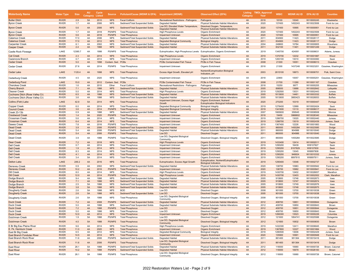| Waterbody Name                            | <b>Water Type</b>            | <b>Size</b> | <b>AU</b><br>Category | <b>Cycle</b><br>Listed | <b>Source</b>            | Pollutant/Cause (WDNR & EPA) Impairment (WDNR)                     |                                            | <b>Observed Effect (EPA)</b>                                                                   | Category | <b>Listing TMDL Approval</b><br>Year | <b>WBIC</b>      | WDNR AU ID EPA AU ID |                          | <b>Counties</b>     |
|-------------------------------------------|------------------------------|-------------|-----------------------|------------------------|--------------------------|--------------------------------------------------------------------|--------------------------------------------|------------------------------------------------------------------------------------------------|----------|--------------------------------------|------------------|----------------------|--------------------------|---------------------|
| <b>Butler Ditch</b>                       | <b>RIVER</b>                 | 2.9         | 5A                    | 2010                   | <b>NPS</b>               | <b>Fecal Coliform</b>                                              | Recreational Restrictions - Pathogens      | Pathogens                                                                                      | 4A       | 2018                                 | 18100            | 10040                | WI10000245               | Waukesha            |
| <b>Byron Creek</b>                        | <b>RIVER</b>                 | 1.7         | 4A                    | 2006                   | <b>NPS</b>               | Sediment/Total Suspended Solids                                    | <b>Degraded Habitat</b>                    | <b>Physical Substrate Habitat Alterations</b>                                                  | 4A       | 2020                                 | 137400           | 1452243              | WI10023506               | Fond du Lac         |
|                                           |                              |             |                       |                        |                          |                                                                    | Low DO. Elevated Water Temperature.        | Dissolved Oxygen, Temperature,                                                                 |          |                                      |                  |                      |                          |                     |
| <b>Byron Creek</b>                        | <b>RIVER</b>                 | 5.6         | 4A                    | 2006                   | <b>NPS</b>               | Sediment/Total Suspended Solids                                    | <b>Degraded Habitat</b>                    | <b>Physical Substrate Habitat Alterations</b>                                                  | 4A       | 2020                                 | 137400           | 10995                | WI10000951               | Fond du Lac         |
| <b>Byron Creek</b>                        | <b>RIVER</b>                 | 1.7         | 4A                    | 2018                   | PS/NPS                   | <b>Total Phosphorus</b>                                            | <b>High Phosphorus Levels</b>              | Organic Enrichment                                                                             | 4A       | 2020                                 | 137400           | 1452243              | WI10023506               | Fond du Lac         |
| <b>Byron Creek</b>                        | <b>RIVER</b>                 | 5.6         | 4A                    | 2018                   | <b>PS/NPS</b>            | <b>Total Phosphorus</b>                                            | <b>Impairment Unknown</b>                  | <b>Organic Enrichment</b>                                                                      | 4A       | 2020                                 | 137400           | 10995                | WI10000951               | Fond du Lac         |
| <b>Calamus Creek</b>                      | <b>RIVER</b>                 | 17.0        | 4A                    | 2006                   | <b>NPS</b>               | Sediment/Total Suspended Solids                                    | Degraded Habitat                           | <b>Physical Substrate Habitat Alterations</b>                                                  | 4A       | 2011                                 | 834900           | 11423                | WI10026117               | Dodge               |
| <b>Calamus Creek</b>                      | <b>RIVER</b>                 | 17.0        | 4A                    | 2012                   | <b>NPS</b>               | <b>Total Phosphorus</b>                                            | <b>Degraded Biological Community</b>       | <b>Biological Integrity</b>                                                                    | 4A       | 2011                                 | 834900           | 11423                | WI10026117               | Dodge               |
| Carpenter Creek                           | <b>RIVER</b>                 | 6.1         | 4A                    | 2002                   | <b>NPS</b>               | Sediment/Total Suspended Solids                                    | Degraded Habitat                           | <b>Physical Substrate Habitat Alterations</b>                                                  | 4A       | 2004                                 | 248800           | 10784                | WI10000805               | Waushara            |
| <b>Casper Creek</b>                       | <b>RIVER</b>                 | 2.4         | 4A                    | 1998                   | <b>NPS</b>               | Sediment/Total Suspended Solids                                    | <b>Degraded Habitat</b>                    | <b>Physical Substrate Habitat Alterations</b>                                                  | 4A       | 2011                                 | 832100           | 11401                | WI10001249               | Dodge               |
| Castle Rock Flowage                       | LAKE                         | 12385.7     | 4A                    | 1998                   | <b>PS/NPS</b>            | <b>Total Phosphorus</b>                                            | Eutrophication, High Phosphorus Levels     | Eutrophication, Organic Enrichment                                                             | 4A       | 2019                                 | 1345700          | 424081               | WI10008631               | Adams, Juneau       |
|                                           |                              |             |                       |                        |                          |                                                                    |                                            |                                                                                                |          |                                      |                  |                      |                          |                     |
| <b>Cat Creek</b>                          | <b>RIVER</b>                 | 2.3         | 4A                    | 2014                   | <b>NPS</b>               | <b>Total Phosphorus</b>                                            | <b>High Phosphorus Levels</b>              | <b>Organic Enrichment</b>                                                                      | 4A       | 2019                                 | 1370700          | 12232                | WI10001887               | Wood                |
| Cazenovia Branch                          | <b>RIVER</b>                 | 0.7         | 4A                    | 2014                   | <b>NPS</b>               | <b>Total Phosphorus</b>                                            | Impairment Unknown                         | Organic Enrichment                                                                             | 4A       | 2019                                 | 1283100          | 13010                | WI10030060               | Sauk                |
| <b>Cedar Creek</b>                        | <b>RIVER</b>                 | 5.0         | 4A                    | 1998                   | Contam. Sed.             | PCBs                                                               | <b>PCBs Contaminated Fish Tissue</b>       | PCBs in Fish Tissue                                                                            | 4A       | 2008                                 | 21300            | 10051                | WI10006013               | Ozaukee             |
| Cedar Creek                               | <b>RIVER</b>                 | 27.8        | 4A                    | 2014                   | <b>PS/NPS</b>            | <b>Total Phosphorus</b>                                            | Impairment Unknown                         | Organic Enrichment                                                                             | 4A       | 2018                                 | 21300            | 1437248              | WI10023201               | Ozaukee, Washington |
|                                           |                              |             |                       |                        |                          |                                                                    |                                            |                                                                                                |          |                                      |                  |                      |                          |                     |
| Cedar Lake                                | LAKE                         | 1120.4      | 4A                    | 1998                   | <b>NPS</b>               | <b>Total Phosphorus</b>                                            | Excess Algal Growth, Elevated pH           | Nutrient/Eutrophication Biological<br>Indicators, pH                                           | 4A       | 2003                                 | 2615100          | 18873                | WI10006701               | Polk, Saint Croix   |
| <b>Cedarburg Creek</b>                    | <b>RIVER</b>                 | 4.5         | 4A                    | 2020                   | <b>NPS</b>               | <b>Total Phosphorus</b>                                            | Impairment Unknown                         | Organic Enrichment                                                                             | 4A       | 2018                                 | 22900            | 10057                | WI10000251               | Ozaukee, Washington |
|                                           |                              |             |                       |                        |                          |                                                                    |                                            |                                                                                                |          |                                      |                  |                      |                          |                     |
| Cedarburg Pond                            | LAKE                         | 15.0        | 4A                    | 2012                   | Contam. Sed              | PCBs                                                               | <b>PCBs Contaminated Fish Tissue</b>       | PCBs in Fish Tissue                                                                            | 4A       | 2008                                 | 21700            | 11290                | WI10001167               | Ozaukee             |
| <b>Cherokee Creek</b>                     | <b>RIVER</b>                 | 1.6         | 4A                    | 2010                   | Other                    | <b>Fecal Coliform</b>                                              | Recreational Restrictions - Pathogens      | Pathogens                                                                                      | 4A       | 2018                                 | 15250            | 9977                 | WI10000205               | Milwaukee           |
| <b>Cherry Branch</b>                      | <b>RIVER</b>                 | 7.1         | 4A                    | 1998                   | <b>NPS</b>               | Sediment/Total Suspended Solids                                    | <b>Degraded Habitat</b>                    | <b>Physical Substrate Habitat Alterations</b>                                                  | 4A       | 2005                                 | 898500           | 13688                | WI10002842               | Lafayette           |
| <b>Cleaver Creek</b>                      | <b>RIVER</b>                 | 5.0         | 4A                    | 2014                   | <b>NPS</b>               | <b>Total Phosphorus</b>                                            | <b>High Phosphorus Levels</b>              | Organic Enrichment                                                                             | 4A       | 2019                                 | 1292500          | 13031                | WI10002443               | Juneau              |
| Cochrane Ditch (Rose Valley Cr)           | <b>RIVER</b>                 | 6.5         | 4A                    | 1998                   | <b>NPS</b>               | Sediment/Total Suspended Solids                                    | <b>Degraded Habitat</b>                    | <b>Physical Substrate Habitat Alterations</b>                                                  | 4A       | 2005                                 | 1813600          | 14461                | WI10003332               | <b>Buffalo</b>      |
| Cochrane Ditch (Rose Valley Cr)           | <b>RIVER</b>                 | 3.6         | 4A                    | 1998                   | <b>NPS</b>               | Sediment/Total Suspended Solids                                    | Degraded Habitat                           | Physical Substrate Habitat Alterations                                                         | 4A       | 2005                                 | 1813600          | 3883423              | WI10026053               | Buffalo             |
| Collins (Fish) Lake                       | LAKE                         | 42.9        | 5A                    | 2014                   | <b>NPS</b>               | <b>Total Phosphorus</b>                                            | Impairment Unknown, Excess Algal<br>Growth | Organic Enrichment, Nutrient/<br><b>Eutrophication Biological Indicators</b>                   | 4A       | 2020                                 | 270200           | 10319                | WI10000447               | Portage             |
| Copper Creek                              | <b>RIVER</b>                 | 6.0         | 4A                    | 2014                   | <b>NPS</b>               | <b>Total Phosphorus</b>                                            | Degraded Biological Community              | <b>Biological Integrity</b>                                                                    | 4A       | 2019                                 | 1278400          | 12999                | WI10002424               | Sauk                |
| <b>Council Creek</b>                      | <b>RIVER</b>                 | 3.6         | 4A                    | 2014                   | <b>PS/NPS</b>            | <b>Total Phosphorus</b>                                            | <b>Degraded Biological Community</b>       | <b>Biological Integrity</b>                                                                    | 4A       | 2019                                 | 1341600          | 13110                | WI10006017               | Monroe              |
| Creek 23-13b                              | <b>RIVER</b>                 | 0.9         | 4A                    | 1998                   | <b>NPS</b>               | Sediment/Total Suspended Solids                                    | <b>Degraded Habitat</b>                    | <b>Physical Substrate Habitat Alterations</b>                                                  | 4A       | 2007                                 | 1665600          | 359545               | WI10008508               | Monroe              |
| <b>Crestwood Creek</b>                    | <b>RIVER</b>                 | 1.4         | 5A                    | 2020                   | <b>PS/NPS</b>            | <b>Total Phosphorus</b>                                            | <b>Impairment Unknown</b>                  | <b>Organic Enrichment</b>                                                                      | 4A       | 2018                                 | 19450            | 3988802              | WI10028340               | Milwaukee           |
| Crossman Creek                            | <b>RIVER</b>                 | 5.6         | 4A                    | 2014                   | <b>NPS</b>               | <b>Total Phosphorus</b>                                            | Impairment Unknown                         | Organic Enrichment                                                                             | 4A       | 2019                                 | 1286700          | 13020                | WI10002440               | Juneau              |
| <b>Crossman Creek</b>                     | <b>RIVER</b>                 | 6.4         | 4A                    | 2014                   | <b>NPS</b>               | <b>Total Phosphorus</b>                                            | <b>Impairment Unknown</b>                  | <b>Organic Enrichment</b>                                                                      | 4A       | 2019                                 | 1286700          | 13019                | WI10002439               | Juneau, Sauk        |
| Dawes Creek                               | <b>RIVER</b>                 | 7.8         | 4A                    | 2016                   | PS/NPS                   | <b>Total Phosphorus</b>                                            | Impairment Unknown                         | Organic Enrichment                                                                             | 4A       | 2019                                 | 1367400          | 12226                | WI10001883               | Wood                |
| <b>Dead Creek</b>                         | <b>RIVER</b>                 | 3.9         | 4A                    | 2006                   | <b>PS/NPS</b>            | Sediment/Total Suspended Solids                                    | <b>Degraded Habitat</b>                    | <b>Physical Substrate Habitat Alterations</b>                                                  | 4A       | 2011                                 | 860000           | 1455284              | WI10023585               | Dodge               |
| Dead Creek                                | <b>RIVER</b>                 | 5.4         | 4A                    | 2006                   | <b>PS/NPS</b>            | Sediment/Total Suspended Solids                                    | Degraded Habitat                           | Physical Substrate Habitat Alterations                                                         | 4A       | 2011                                 | 860000           | 904986               | WI10010040               | Dodge               |
| <b>Dead Creek</b>                         | <b>RIVER</b>                 | 5.4         | 4A                    | 2006                   | <b>PS/NPS</b>            | <b>Total Phosphorus</b>                                            | Low DO                                     | <b>Dissolved Oxygen</b>                                                                        | 4A       | 2011                                 | 860000           | 904986               | WI10010040               | Dodge               |
| <b>Dead Creek</b>                         | <b>RIVER</b>                 | 3.9         | 4A                    | 1998                   | <b>PS/NPS</b>            | <b>Total Phosphorus</b>                                            | Low DO, Degraded Biological<br>Community   | Dissolved Oxygen, Biological Integrity                                                         | 4A       | 2011                                 | 860000           | 1455284              | WI10023585               | Dodge               |
| <b>Deer Creek</b>                         | <b>RIVER</b>                 | 7.2         | 4A                    | 2018                   | <b>NPS</b>               | <b>Total Phosphorus</b>                                            | <b>High Phosphorus Levels</b>              | <b>Organic Enrichment</b>                                                                      | 4A       | 2019                                 | 1433400          | 12414                | WI10002011               | Taylor              |
| Dell Creek                                | <b>RIVER</b>                 | 0.7         | 4A                    | 2014                   | <b>NPS</b>               | <b>Total Phosphorus</b>                                            | Impairment Unknown                         | Organic Enrichment                                                                             | 4A       | 2019                                 | 1295200          | 18439                | WI8107827                | Sauk                |
| <b>Dell Creek</b>                         | <b>RIVER</b>                 | 1.9         | 4A                    | 2014                   | <b>NPS</b>               | <b>Total Phosphorus</b>                                            | <b>Impairment Unknown</b>                  | <b>Organic Enrichment</b>                                                                      | 4A       | 2019                                 | 1295200          | 8107829              | WI8107830                | Sauk                |
| Dell Creek                                | <b>RIVER</b>                 | 8.3         | 4A                    | 2014                   | <b>NPS</b>               | <b>Total Phosphorus</b>                                            | Impairment Unknown                         | Organic Enrichment                                                                             | 4A       | 2019                                 | 1295200          | 13045                | WI6897808                | Sauk                |
| <b>Dell Creek</b>                         | <b>RIVER</b>                 | 4.1         | 4A                    | 2014                   | <b>NPS</b>               | <b>Total Phosphorus</b>                                            | <b>Impairment Unknown</b>                  | <b>Organic Enrichment</b>                                                                      | 4A       | 2019                                 | 1295200          | 946824               | WI10010332               | Juneau              |
| <b>Dell Creek</b>                         | <b>RIVER</b>                 | 3.4         | 5A                    | 2014                   | <b>NPS</b>               | <b>Total Phosphorus</b>                                            | Impairment Unknown                         | Organic Enrichment                                                                             | 4A       | 2019                                 | 1295200          | 6897810              | WI6897811                | Juneau, Sauk        |
| <b>Delton Lake</b>                        | LAKE                         | 249.2       | 4A                    | 2016                   | <b>NPS</b>               | <b>Total Phosphorus</b>                                            | Eutrophication, Excess Algal Growth        | Eutrophication, Nutrient/Eutrophication<br><b>Biological Indicators</b>                        | 4A       | 2019                                 | 1295400          | 13546                | WI10002737               | Sauk                |
| Deneveu Creek                             | <b>RIVER</b>                 | 0.9         | 4A                    | 2002                   | <b>NPS</b>               | Sediment/Total Suspended Solids                                    | Degraded Habitat                           | Physical Substrate Habitat Alterations                                                         | 4A       | 2020                                 | 138700           | 10983                | WI10000942               | Fond du Lac         |
| <b>Deneveu Creek</b>                      | <b>RIVER</b>                 | 10.2        | 4A                    | 2016                   | <b>PS/NPS</b>            | <b>Total Phosphorus</b>                                            | <b>Impairment Unknown</b>                  | <b>Organic Enrichment</b>                                                                      | 4A       | 2020                                 | 138700           | 10982                | WI10000941               | Fond du Lac         |
| <b>Dill Creek</b>                         | <b>RIVER</b>                 | 8.0         | 4A                    | 2014                   | <b>NPS</b>               | <b>Total Phosphorus</b>                                            | <b>High Phosphorus Levels</b>              | Organic Enrichment                                                                             | 4A       | 2019                                 | 1430700          | 12402                | WI10026657               | Marathon            |
| <b>Dill Creek</b>                         | <b>RIVER</b>                 | 12.0        | 4A                    | 2014                   | <b>PS/NPS</b>            | <b>Total Phosphorus</b>                                            | <b>High Phosphorus Levels</b>              | <b>Organic Enrichment</b>                                                                      | 4A       | 2019                                 | 1430700          | 12403                | WI10002002               | Clark, Marathon     |
|                                           | <b>RIVER</b>                 | 9.4         | 4A                    | 1998                   | <b>NPS</b>               |                                                                    |                                            |                                                                                                | 4A       | 2005                                 | 910800           | 13746                |                          | lowa                |
| Dodge Branch                              |                              |             |                       |                        |                          | Sediment/Total Suspended Solids                                    | Degraded Habitat                           | Physical Substrate Habitat Alterations                                                         |          |                                      |                  |                      | WI10002873               |                     |
| Dodge Branch<br>Dodge Branch              | <b>RIVER</b><br><b>RIVER</b> | 7.1<br>2.5  | 4A<br><b>5A</b>       | 1998<br>1998           | <b>NPS</b><br><b>NPS</b> | Sediment/Total Suspended Solids<br>Sediment/Total Suspended Solids | <b>Degraded Habitat</b>                    | <b>Physical Substrate Habitat Alterations</b><br><b>Physical Substrate Habitat Alterations</b> | 4A<br>4A | 2005<br>2005                         | 910800<br>910800 | 13747<br>13749       | WI10002874<br>WI10002876 | lowa<br>lowa        |
|                                           | <b>RIVER</b>                 | 3.8         | 5A                    | 1998                   | <b>NPS</b>               | Sediment/Total Suspended Solids                                    | Degraded Habitat                           |                                                                                                | 4A       | 2005                                 | 910800           | 13748                | WI10002875               | lowa                |
| Dodge Branch<br>Dougherty Creek           | <b>RIVER</b>                 | 2.6         | <b>5A</b>             | 1998                   | <b>NPS</b>               | <b>BOD</b>                                                         | <b>Degraded Habitat</b><br>Low DO          | <b>Physical Substrate Habitat Alterations</b><br>Dissolved Oxygen                              | 4A       | 2008                                 | 901000           | 13700                | WI10010038               | Green               |
|                                           | <b>RIVER</b>                 | 2.6         | 5A                    | 1998                   | <b>NPS</b>               |                                                                    | Low DO                                     |                                                                                                | 4A       | 2005                                 | 901000           | 13700                | WI10010038               | Green               |
| <b>Dougherty Creek</b><br>Dougherty Creek | <b>RIVER</b>                 | 2.6         | 5A                    | 1998                   | <b>NPS</b>               | Sediment/Total Suspended Solids<br><b>Total Phosphorus</b>         | Low DO, Degraded Biological                | <b>Dissolved Oxygen</b><br>Dissolved Oxygen, Biological Integrity                              | 4A       | 2008                                 | 901000           | 13700                | WI10010038               | Green               |
|                                           |                              |             |                       |                        |                          |                                                                    | Community                                  |                                                                                                |          |                                      |                  |                      |                          |                     |
| <b>Duck Creek</b>                         | <b>RIVER</b>                 | 7.2         | 4A                    | 2008                   | <b>PS/NPS</b>            | Sediment/Total Suspended Solids                                    | <b>Degraded Habitat</b>                    | <b>Physical Substrate Habitat Alterations</b>                                                  | 4A       | 2012                                 | 409700           | 10851                | WI10000844               | Outagamie           |
| <b>Duck Creek</b>                         | <b>RIVER</b>                 | 5.0         | 4A                    | 1998                   | <b>NPS</b>               | Sediment/Total Suspended Solids                                    | <b>Degraded Habitat</b>                    | <b>Physical Substrate Habitat Alterations</b>                                                  | 4A       | 2012                                 | 409700           | 10850                | WI10000843               | Brown               |
| <b>Duck Creek</b>                         | <b>RIVER</b>                 | 7.2         | 4A                    | 1998                   | <b>PS/NPS</b>            | <b>Total Phosphorus</b>                                            | Low DO                                     | <b>Dissolved Oxvaen</b>                                                                        | 4A       | 2012                                 | 409700           | 10851                | WI10000844               | Outagamie           |
| Duck Creek                                | <b>RIVER</b>                 | 5.0         | 4A                    | 1998                   | <b>NPS</b>               | <b>Total Phosphorus</b>                                            | Low DO                                     | Dissolved Oxygen                                                                               | 4A       | 2012                                 | 409700           | 10850                | WI10000843               | Brown               |
| <b>Duck Creek</b>                         | <b>RIVER</b>                 | 12.0        | 4A                    | 2014                   | <b>NPS</b>               | <b>Total Phosphorus</b>                                            | <b>Impairment Unknown</b>                  | <b>Organic Enrichment</b>                                                                      | 4A       | 2019                                 | 1266300          | 13523                | WI10000226               | Columbia            |
| <b>Dutchman Creek</b>                     | <b>RIVER</b>                 | 1.9         | 5A                    | 1998                   | PS/NPS                   | <b>Total Phosphorus</b>                                            | Low DO                                     | Dissolved Oxygen                                                                               | 4A       | 2012                                 | 121600           | 1854741              | WI10025588               | Outagamie           |
| <b>Dutchman Creek</b>                     | <b>RIVER</b>                 | 4.0         | 5A                    | 1998                   | <b>PS/NPS</b>            | <b>Total Phosphorus</b>                                            | Low DO, Degraded Biological<br>Community   | Dissolved Oxygen, Biological Integrity                                                         | 4A       | 2012                                 | 121600           | 10832                | WI10000830               | <b>Brown</b>        |
| E Br Big Eau Pleine River                 | <b>RIVER</b>                 | 9.6         | 4A                    | 2014                   | <b>NPS</b>               | <b>Total Phosphorus</b>                                            | <b>High Phosphorus Levels</b>              | Organic Enrichment                                                                             | 4A       | 2019                                 | 1432300          | 12411                | WI10006845               | Marathon            |
| E. Fk. Hemlock Creek                      | <b>RIVER</b>                 | 11.0        | 4A                    | 2020                   | <b>NPS</b>               | <b>Total Phosphorus</b>                                            | <b>Impairment Unknown</b>                  | Organic Enrichment                                                                             | 4A       | 2019                                 | 1367800          | 12227                | WI10001884               | Wood                |
| East Br Big Creek                         | <b>RIVER</b>                 | 6.5         | 4A                    | 2012                   | <b>NPS</b>               | <b>Total Phosphorus</b>                                            | Degraded Biological Community              | <b>Biological Integrity</b>                                                                    | 4A       | 2019                                 | 1280500          | 13006                | WI10002429               | Juneau, Sauk        |
| East Branch Fondulac River                | <b>RIVER</b>                 | 14.5        | 4A                    | 2014                   | <b>NPS</b>               | <b>Total Phosphorus</b>                                            | <b>Impairment Unknown</b>                  | Organic Enrichment                                                                             | 4A       | 2020                                 | 135900           | 10991                | WI10000948               | Fond du Lac         |
| East Branch Rock River                    | <b>RIVER</b>                 | 11.6        | 4A                    | 2006                   | PS/NPS                   | Sediment/Total Suspended Solids                                    | Degraded Habitat                           | Physical Substrate Habitat Alterations                                                         | 4A       | 2011                                 | 861400           | 951364               | WI10010416               | Dodge               |
| <b>East Branch Rock River</b>             | <b>RIVER</b>                 | 11.6        | 4A                    | 2006                   | <b>PS/NPS</b>            | <b>Total Phosphorus</b>                                            | Low DO, Degraded Biological<br>Community   | Dissolved Oxygen, Biological Integrity                                                         | 4A       | 2011                                 | 861400           | 951364               | WI10010416               | Dodge               |
| <b>East River</b>                         | <b>RIVER</b>                 | 28.1        | 5A                    | 1998                   | PS/NPS                   | Sediment/Total Suspended Solids                                    | Degraded Habitat                           | <b>Physical Substrate Habitat Alterations</b>                                                  | 4A       | 2012                                 | 118000           | 10680                | WI10000726               | Brown, Calumet      |
| <b>East River</b>                         | <b>RIVER</b>                 | 14.2        | 5A                    | 1998                   | <b>PS/NPS</b>            | Sediment/Total Suspended Solids                                    | <b>Degraded Habitat</b>                    | <b>Physical Substrate Habitat Alterations</b>                                                  | 4A       | 2012                                 | 118000           | 10679                | WI10026183               | <b>Brown</b>        |
| <b>East River</b>                         | <b>RIVER</b>                 | 28.1        | 5A                    | 1998                   | PS/NPS                   | <b>Total Phosphorus</b>                                            | Low DO, Degraded Biological                | Dissolved Oxygen, Biological Integrity                                                         | 4A       | 2012                                 | 118000           | 10680                | WI10000726               | Brown, Calumet      |
|                                           |                              |             |                       |                        |                          |                                                                    | Community                                  |                                                                                                |          |                                      |                  |                      |                          |                     |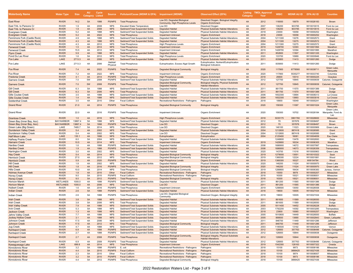| Waterbody Name                             | <b>Water Type</b>            | <b>Size</b> | <b>AU</b><br>Category Listed | Cycle        | <b>Source</b>                  | Pollutant/Cause (WDNR & EPA) Impairment (WDNR)                     |                                                                               | <b>Observed Effect (EPA)</b>                                                                                     | Category   | <b>Listing TMDL Approval</b><br>Year | <b>WBIC</b>       | <b>WDNR AU ID EPA AU ID</b> |                          | <b>Counties</b>               |
|--------------------------------------------|------------------------------|-------------|------------------------------|--------------|--------------------------------|--------------------------------------------------------------------|-------------------------------------------------------------------------------|------------------------------------------------------------------------------------------------------------------|------------|--------------------------------------|-------------------|-----------------------------|--------------------------|-------------------------------|
| <b>East River</b>                          | <b>RIVER</b>                 | 14.2        | 5A                           | 1998         | <b>PS/NPS</b>                  | <b>Total Phosphorus</b>                                            | Low DO, Degraded Biological<br>Community, High Phosphorus Levels              | Dissolved Oxygen, Biological Integrity,<br><b>Organic Enrichment</b>                                             | 4A         | 2012                                 | 118000            | 10679                       | WI10026183               | <b>Brown</b>                  |
| East Trib, to Parsons C                    | <b>RIVER</b>                 | 1.9         | 4A                           | 2008         | <b>NPS</b>                     | <b>Elevated Water Temperature</b>                                  | Low DO                                                                        | Dissolved Oxygen                                                                                                 | $\Delta A$ | 2007                                 | 136200            | 903785                      | WI10010015               | Fond du Lac                   |
| East Trib. to Parsons Cr                   | <b>RIVER</b>                 | 1.9         | 4A                           | 2008         | <b>NPS</b>                     | Sediment/Total Suspended Solids                                    | <b>Degraded Habitat</b>                                                       | <b>Physical Substrate Habitat Alterations</b>                                                                    | 4A         | 2007                                 | 136200            | 903785                      | WI10010015               | Fond du Lac                   |
| <b>Evergreen Creek</b>                     | <b>RIVER</b>                 | 5.2         | 4A                           | 1998         | <b>NPS</b>                     | Sediment/Total Suspended Solids                                    | Degraded Habitat                                                              | Physical Substrate Habitat Alterations                                                                           | 4A         | 2018                                 | 23000             | 10058                       | WI10000252               | Washington                    |
| <b>Evergreen Creek</b>                     | <b>RIVER</b>                 | 5.2         | 4A                           | 2022         | <b>NPS</b>                     | <b>Total Phosphorus</b>                                            | <b>Impairment Unknown</b>                                                     | <b>Organic Enrichment</b>                                                                                        | 4A         | 2018                                 | 23000             | 10058                       | WI10000252               | Washington                    |
| Fennimore Fork (Castle Rock)               | <b>RIVER</b>                 | 4.9         | 4A                           | 1998         | <b>NPS</b>                     | Sediment/Total Suspended Solids                                    | <b>Degraded Habitat</b>                                                       | Physical Substrate Habitat Alterations                                                                           | 4A         | 2004                                 | 1211300           | 13276                       | WI10002573               | Grant                         |
| <b>Fennimore Fork (Castle Rock</b>         | <b>RIVER</b>                 | 4.3         | 4A                           | 1998         | <b>NPS</b>                     | Sediment/Total Suspended Solids                                    | <b>Degraded Habitat</b>                                                       | <b>Physical Substrate Habitat Alterations</b>                                                                    | 4A         | 2004                                 | 1211300           | 13275                       | WI10002572               | Grant                         |
| Fennimore Fork (Castle Rock)               | <b>RIVER</b>                 | 4.3         | 4A                           | 2012         | <b>NPS</b>                     | <b>Total Phosphorus</b>                                            | High Phosphorus Levels                                                        | Organic Enrichment                                                                                               | 4A         | 2004                                 | 1211300           | 13275                       | WI10002572               | Grant                         |
| <b>Fenwood Creek</b>                       | <b>RIVER</b>                 | 1.5         | 4A                           | 2014         | <b>NPS</b>                     | <b>Total Phosphorus</b>                                            | <b>Impairment Unknown</b>                                                     | <b>Organic Enrichment</b>                                                                                        | 4A         | 2019                                 | 1428700           | 12393                       | WI10001994               | Marathon                      |
| Fenwood Creek                              | <b>RIVER</b>                 | 15.5        | 4A                           | 2012         | <b>NPS</b>                     | <b>Total Phosphorus</b>                                            | Impairment Unknown                                                            | Organic Enrichment                                                                                               | 4A         | 2019                                 | 1428700           | 12394                       | WI10001995               | Marathon                      |
| <b>Flynn Creek</b>                         | <b>RIVER</b>                 | 5.9         | 4A                           | 1998         | <b>NPS</b>                     | Sediment/Total Suspended Solids                                    | <b>Degraded Habitat</b>                                                       | <b>Physical Substrate Habitat Alterations</b>                                                                    | 4A         | 2011                                 | 852800            | 11507                       | WI10001335               | Washington                    |
| Fond Du Lac River                          | <b>RIVER</b>                 | 1.6         | 5A                           | 2012         | <b>NPS</b>                     | <b>Total Phosphorus</b>                                            | <b>High Phosphorus Levels</b>                                                 | Organic Enrichment<br><b>Physical Substrate Habitat Alterations</b>                                              | 4A         | 2020                                 | 133700            | 10989                       | WI10000946<br>WI10001260 | Fond du Lac                   |
| Fox Lake                                   | LAKE                         | 2713.3      | 4A                           | 2006         | <b>NPS</b><br>Habitat/         | Sediment/Total Suspended Solids                                    | <b>Degraded Habitat</b>                                                       | Eutrophication, Nutrient/Eutrophication                                                                          | 4A         | 2011                                 | 835800            | 11413                       |                          | Dodge                         |
| Fox Lake                                   | LAKE                         | 2713.3      | 4A                           | 2006         | Physica                        | <b>Total Phosphorus</b>                                            | Eutrophication, Excess Algal Growth                                           | <b>Biological Indicators</b>                                                                                     | 4A         | 2011                                 | 835800            | 11413                       | WI10001260               | Dodge<br>Green Lake           |
| <b>Fox River</b><br>Fox River              | <b>RIVER</b><br><b>RIVER</b> | 7.4<br>7.2  | 4A<br>4A                     | 2022<br>2022 | <b>PS/NPS</b><br><b>NPS</b>    | <b>Total Phosphorus</b><br><b>Total Phosphorus</b>                 | <b>Degraded Biological Community</b><br>Impairment Unknown                    | <b>Biological Integrity</b><br>Organic Enrichment                                                                | 4A<br>4A   | 2020<br>2020                         | 117900<br>117900  | 6778560<br>5535277          | WI10039711<br>WI10033740 | Marquette<br>Columbia         |
| Fredonia Creek                             | <b>RIVER</b>                 | 4.1         | 4A                           | 2014         | <b>PS/NPS</b>                  | <b>Total Phosphorus</b>                                            | <b>High Phosphorus Levels</b>                                                 | <b>Organic Enrichment</b>                                                                                        | 4A         | 2018                                 | 26600             | 10014                       | WI10000225               | Ozaukee                       |
| <b>Garners Creek</b>                       | <b>RIVER</b>                 | 7.0         | 5W                           | 2008         | <b>PS/NPS</b>                  | Sediment/Total Suspended Solids                                    | Degraded Habitat                                                              | Physical Substrate Habitat Alterations                                                                           | 4A         | 2012                                 | 127700            | 10845                       | WI10000839               | Calumet, Outagamie            |
|                                            |                              |             |                              |              |                                |                                                                    | Degraded Biological Community,                                                | <b>Biological Integrity, Physical Substrate</b>                                                                  |            |                                      |                   |                             |                          |                               |
| <b>Garners Creek</b><br><b>Gill Creek</b>  | <b>RIVER</b><br><b>RIVER</b> | 7.0<br>6.3  | 5W<br><b>5A</b>              | 2008<br>1998 | <b>PS/NPS</b><br><b>NPS</b>    | <b>Total Phosphorus</b><br>Sediment/Total Suspended Solids         | <b>Degraded Habitat</b><br><b>Degraded Habitat</b>                            | <b>Habitat Alterations</b><br>Physical Substrate Habitat Alterations                                             | 4A<br>4A   | 2012<br>2011                         | 127700<br>861700  | 10845<br>11570              | WI10000839<br>WI10001389 | Calumet, Outagamie<br>Dodge   |
| <b>Gill Creek</b>                          | <b>RIVER</b>                 | 6.3         | 5A                           | 2006         | <b>NPS</b>                     | <b>Total Phosphorus</b>                                            | <b>Degraded Habitat</b>                                                       | <b>Physical Substrate Habitat Alterations</b>                                                                    | 4A         | 2011                                 | 861700            | 11570                       | WI10001389               | Dodge                         |
| Gills Coulee Creek                         | <b>RIVER</b>                 | 3.5         | 4A                           | 1998         | <b>NPS</b>                     | Sediment/Total Suspended Solids                                    | Degraded Habitat                                                              | Physical Substrate Habitat Alterations                                                                           | 4A         | 2006                                 | 1652300           | 13994                       | WI10008313               | La Crosse                     |
| <b>Gills Coulee Creek</b>                  | <b>RIVER</b>                 | 1.4         | 4A                           | 1998         | <b>NPS</b>                     | Sediment/Total Suspended Solids                                    | <b>Degraded Habitat</b>                                                       | <b>Physical Substrate Habitat Alterations</b>                                                                    | 4A         | 2004                                 | 1652300           | 13993                       | WI10003016               | La Crosse                     |
| Goldenthal Creek                           | <b>RIVER</b>                 | 3.5         | 4A                           | 2010         | Other                          | <b>Fecal Coliform</b>                                              | Recreational Restrictions - Pathogens                                         | Pathogens                                                                                                        | 4A         | 2018                                 | 18900             | 10049                       | WI10000241               | Washington                    |
|                                            |                              |             |                              |              |                                |                                                                    |                                                                               |                                                                                                                  |            |                                      |                   |                             |                          | Green Lake                    |
| <b>Grand River</b>                         | <b>RIVER</b>                 | 21.0        | 4A                           | 2014         | <b>PS/NPS</b>                  | <b>Total Phosphorus</b>                                            | <b>Degraded Biological Community</b>                                          | <b>Biological Integrity</b>                                                                                      | 4A         | 2020                                 | 159300            | 11097                       | WI10001024               | Marquette<br>Green Lake       |
| <b>Grand River</b>                         | <b>RIVER</b>                 | 22.0        | 4A                           | 2016         | <b>PS/NPS</b>                  | <b>Total Phosphorus</b>                                            | Impairment Unknown                                                            | Organic Enrichment                                                                                               | 4A         | 2020                                 | 159300            | 10702                       | WI10026184               | Marquette, Fond du<br>Lac     |
| <b>Grantosa Creek</b>                      | <b>RIVER</b>                 | 1.0         | 4A                           | 2016         | <b>NPS</b>                     | <b>Total Phosphorus</b>                                            | <b>High Phosphorus Levels</b>                                                 | <b>Organic Enrichment</b>                                                                                        | 4A         | 2018                                 | 5035175           | 3991760                     | WI10028600               | Milwaukee                     |
| Green Bay (Inner Bay, Aoc)                 | <b>BAY/HARBOR</b>            | 13867.4     | 5A                           | 1998         | <b>NPS</b>                     | Sediment/Total Suspended Solids                                    | Degraded Habitat                                                              | Physical Substrate Habitat Alterations                                                                           | 4A         | 2012                                 | 70                | 357876                      | WI10008497               | Brown                         |
| Green Bay (Inner Bay, Aoc)                 | <b>BAY/HARBOR</b>            | 13867.4     | 5A                           | 1998         | <b>PS/NPS</b>                  | <b>Total Phosphorus</b>                                            | Low DO                                                                        | <b>Dissolved Oxygen</b>                                                                                          | 4A         | 2012                                 | 70                | 357876                      | WI10008497               | <b>Brown</b>                  |
| Green Lake (Big Green)                     | LAKE                         | 7485.7      | 5A                           | 2014         | <b>NPS</b>                     | <b>Total Phosphorus</b>                                            | Low DO                                                                        | Dissolved Oxygen                                                                                                 | 4A         | 2020                                 | 146100            | 11023                       | WI10000969               | Green Lake                    |
| <b>Gunderson Valley Creek</b>              | <b>RIVER</b>                 | 5.4         | 4A                           | 2002         | <b>NPS</b>                     | Sediment/Total Suspended Solids                                    | <b>Degraded Habitat</b>                                                       | <b>Physical Substrate Habitat Alterations</b>                                                                    | 4A         | 2004                                 | 1212600           | 887418                      | WI10026585               | Grant                         |
| <b>Gunderson Valley Creek</b>              | <b>RIVER</b>                 | 5.4         | 4A                           | 2002         | <b>NPS</b>                     | <b>Total Phosphorus</b>                                            | Low DO                                                                        | Dissolved Oxygen                                                                                                 | 4A         | 2004                                 | 1212600           | 887418                      | WI10026585               | Grant                         |
| <b>Half Moon Lake</b>                      | LAKE                         | 135.1       | 4A                           | 1998         | <b>NPS</b>                     | <b>Total Phosphorus</b>                                            | Eutrophication                                                                | Eutrophication                                                                                                   | 4A         | 2004                                 | 2125400           | 16081                       | WI10004659               | Eau Claire                    |
| Halfway Prairie Creek                      | <b>RIVER</b>                 | 8.0         | 5A                           | 2004         | <b>NPS</b>                     | Sediment/Total Suspended Solids                                    | <b>Degraded Habitat</b>                                                       | Physical Substrate Habitat Alterations                                                                           | 4B         |                                      | 1248800           | 13478                       | WI10002693               | Dane                          |
| <b>Hamann Creek</b>                        | <b>RIVER</b>                 | 10.5        | 4A                           | 2014         | <b>NPS</b>                     | <b>Total Phosphorus</b>                                            | <b>Impairment Unknown</b>                                                     | <b>Organic Enrichment</b>                                                                                        | 4A         | 2019                                 | 1429900           | 18334                       | WI10006305               | Marathon                      |
| <b>Hardies Creek</b>                       | <b>RIVER</b>                 | 1.6         | 4A                           | 1998         | <b>PS/NPS</b>                  | Sediment/Total Suspended Solids                                    | Degraded Habitat                                                              | Physical Substrate Habitat Alterations                                                                           | 4A         | 2008                                 | 1686900           | 14072                       | WI10007997               | Trempealeau                   |
| <b>Hardies Creek</b>                       | <b>RIVER</b>                 | 1.9         | 4A                           | 1998         | <b>PS/NPS</b>                  | Sediment/Total Suspended Solids                                    | <b>Degraded Habitat</b>                                                       | <b>Physical Substrate Habitat Alterations</b>                                                                    | 4A         | 2008                                 | 1686900           | 14073                       | WI10026359               | Trempealeau                   |
| Harrington Creel                           | <b>RIVER</b>                 | 3.0         | 4A                           | 2002         | <b>NPS</b>                     | Sediment/Total Suspended Solids                                    | <b>Degraded Habitat</b>                                                       | Physical Substrate Habitat Alterations                                                                           | 4A         | 2020                                 | 143700            | 11016                       | WI10000963               | Green Lake                    |
| <b>Hay Creek</b>                           | <b>RIVER</b>                 | 5.4         | 4A                           | 2014         | <b>NPS</b>                     | <b>Total Phosphorus</b>                                            | <b>Degraded Biological Community</b>                                          | <b>Biological Integrity</b>                                                                                      | 4A         | 2019                                 | 1279000           | 13001                       | WI10010322               | Sauk                          |
| Hemlock Creel                              | <b>RIVER</b>                 | 27.0        | 4A                           | 2012         | <b>NPS</b>                     | <b>Total Phosphorus</b>                                            | Degraded Biological Community                                                 | <b>Biological Integrity</b>                                                                                      | 4A         | 2019                                 | 1366300           | 12224                       | WI10001881               | Wood                          |
| <b>Hemlock Creek</b>                       | <b>RIVER</b>                 | 5.9         | 4A                           | 2020         | <b>PS/NPS</b>                  | <b>Total Phosphorus</b>                                            | <b>High Phosphorus Levels</b>                                                 | <b>Organic Enrichment</b>                                                                                        | 4A         | 2019                                 | 1366300           | 18327                       | WI8154784                | Wood                          |
| <b>Hill Creek</b>                          | <b>RIVER</b>                 | 1.8         | 4A                           | 2002         | <b>NPS</b>                     | Sediment/Total Suspended Solids                                    | Degraded Habitat                                                              | Physical Substrate Habitat Alterations                                                                           | 4A         | 2020                                 | 146200            | 11024                       | WI10000970               | Green Lake                    |
| <b>Hill Creek</b>                          | <b>RIVER</b>                 | 1.8         | 4A                           | 2016         | <b>PS/NPS</b>                  | <b>Total Phosphorus</b>                                            | <b>Degraded Biological Community</b>                                          | <b>Biological Integrity</b>                                                                                      | 4A         | 2020                                 | 146200            | 11024                       | WI10000970               | <b>Green Lake</b>             |
| Hills Creek                                | <b>RIVER</b>                 | 10.0        | 4A                           | 2014         | <b>NPS</b>                     | <b>Total Phosphorus</b>                                            | Degraded Biological Community                                                 | <b>Biological Integrity</b>                                                                                      | 4A         | 2019                                 | 1288800           | 18434                       | WI10006383               | Juneau, Vernor                |
| <b>Holmes Avenue Creek</b>                 | <b>RIVER</b>                 | 1.8         | 4A                           | 2010         | Other                          | <b>Fecal Coliform</b>                                              | <b>Recreational Restrictions - Pathogens</b>                                  | Pathogens                                                                                                        | 4A         | 2018                                 | 15550             | 9979                        | WI10000207               | Milwaukee                     |
| Honey Creek                                | <b>RIVER</b>                 | 9.0         | 5A                           | 2010         | <b>PS/NPS</b>                  | <b>Fecal Coliform</b>                                              | Recreational Restrictions - Pathogens                                         | Pathogens                                                                                                        | 4A         | 2018                                 | 16300             | 10021                       | WI10008001               | Milwaukee                     |
| <b>Honey Creek</b>                         | <b>RIVER</b>                 | 9.0         | 5A                           | 2012         | <b>PS/NPS</b>                  | <b>Total Phosphorus</b>                                            | <b>Degraded Biological Community</b>                                          | <b>Biological Integrity</b>                                                                                      | 4A         | 2018                                 | 16300             | 10021                       | WI10008001               | Milwaukee                     |
| Horicon Marsh                              | WETLANDS                     | 1000.0      | 4A                           | 1998         | PS/NPS                         | Sediment/Total Suspended Solids                                    | Degraded Habitat                                                              | Physical Substrate Habitat Alterations                                                                           | 4A         | 2011                                 | 861200            | 11565                       | WI10001386               | Dodge                         |
| Horicon Marsh                              | <b>WETLANDS</b>              | 1000.0      | 4A                           | 2006         | <b>NPS</b>                     | <b>Total Phosphorus</b>                                            | Low DO                                                                        | <b>Dissolved Oxygen</b>                                                                                          | 4A         | 2011                                 | 861200            | 11565                       | WI10001386               | Dodge                         |
| <b>Hulbert Creek</b>                       | <b>RIVER</b>                 | 1.6         | 4A                           | 2016         | <b>PS/NPS</b>                  | <b>Total Phosphorus</b>                                            | Impairment Unknown                                                            | Organic Enrichment                                                                                               | 4A         | 2019                                 | 1298500           | 13050                       | WI10026558               | Sauk                          |
| <b>Indian Creek</b><br><b>Indian Creek</b> | <b>RIVER</b><br><b>RIVER</b> | 2.6<br>2.6  | 5A<br>5A                     | 1998<br>1998 | <b>PS/NPS</b><br><b>PS/NPS</b> | Sediment/Total Suspended Solids<br><b>Total Phosphorus</b>         | <b>Degraded Habitat</b><br>Low DO. Degraded Biological                        | <b>Physical Substrate Habitat Alterations</b><br>Dissolved Oxygen, Biological Integrity                          | 4A<br>4A   | 2018<br>2018                         | 19600<br>19600    | 10005<br>10005              | WI10027434<br>WI10027434 | Milwaukee<br>Milwaukee        |
|                                            |                              |             |                              |              |                                |                                                                    | Community                                                                     |                                                                                                                  |            |                                      |                   |                             |                          |                               |
| Irish Creek                                | <b>RIVER</b>                 | 3.8         | 5A                           | 1998         | <b>NPS</b>                     | Sediment/Total Suspended Solids                                    | <b>Degraded Habitat</b>                                                       | <b>Physical Substrate Habitat Alterations</b>                                                                    | 4A         | 2011                                 | 861600            | 11569                       | WI10026550               | Dodge                         |
| <b>Irish Creek</b>                         | <b>RIVER</b>                 | 3.8         | 5A                           | 2006         | <b>NPS</b>                     | <b>Total Phosphorus</b>                                            | <b>Degraded Habitat</b>                                                       | Physical Substrate Habitat Alterations                                                                           | 4A         | 2011                                 | 861600            | 11569                       | WI10026550               | Dodge                         |
| <b>Irish Valley Creek</b>                  | <b>RIVER</b>                 | 7.9         | 4A                           | 1998         | <b>NPS</b>                     | Sediment/Total Suspended Solids                                    | <b>Degraded Habitat</b>                                                       | <b>Physical Substrate Habitat Alterations</b>                                                                    | 4A         | 2005                                 | 1811400           | 14452                       | WI10026228               | <b>Buffalo</b>                |
| <b>Irvin Creek</b>                         | <b>RIVER</b>                 | 5.3         | <b>5A</b>                    | 1998         | <b>NPS</b>                     | Sediment/Total Suspended Solids                                    | Degraded Habitat                                                              | Physical Substrate Habitat Alterations                                                                           | 4A         | 2003                                 | 1792200           | 14392                       | WI10003285               | Trempealeau                   |
| Jackson Creek                              | <b>RIVER</b>                 | 1.3         | 4A                           | 1998         | <b>NPS</b>                     | Sediment/Total Suspended Solids                                    | <b>Degraded Habitat</b>                                                       | <b>Physical Substrate Habitat Alterations</b><br><b>Physical Substrate Habitat Alterations</b>                   | 4A         | 2018                                 | 23900             | 10065                       | WI10000257               | Washington                    |
| Jahns Valley Creek                         | <b>RIVER</b><br><b>RIVER</b> | 7.7<br>3.1  | 4A                           | 1998<br>1998 | <b>NPS</b><br><b>NPS</b>       | Sediment/Total Suspended Solids                                    | Degraded Habitat                                                              |                                                                                                                  | 4A         | 2005<br>2005                         | 1810800<br>899500 | 14449<br>13690              | WI10026500               | Buffalo                       |
| <b>Jockey Hollow Creek</b>                 | <b>RIVER</b>                 | 17.5        | 4A<br>4A                     | 2006         | <b>NPS</b>                     | Sediment/Total Suspended Solids<br>Sediment/Total Suspended Solids | <b>Degraded Habitat</b><br>Degraded Habitat                                   | <b>Physical Substrate Habitat Alterations</b><br>Physical Substrate Habitat Alterations                          | 4A<br>4A   | 2011                                 | 846700            | 11449                       | WI10002843<br>WI10001286 | Green, Lafayette<br>Jefferson |
| Johnson Creek                              |                              |             |                              |              |                                |                                                                    | <b>Degraded Biological Community</b>                                          |                                                                                                                  |            |                                      |                   |                             |                          |                               |
| <b>Johnson Creek</b>                       | <b>RIVER</b>                 | 17.5        | 4A                           | 2012         | <b>NPS</b>                     | <b>Total Phosphorus</b>                                            |                                                                               | <b>Biological Integrity</b>                                                                                      | 4A         | 2011                                 | 846700            | 11449                       | WI10001286               | Jefferson                     |
| Jug Creek                                  | <b>RIVER</b>                 | 4.7         | 4A                           | 1998         | <b>NPS</b>                     | Sediment/Total Suspended Solids                                    | Degraded Habitat                                                              | Physical Substrate Habitat Alterations                                                                           | 4A         | 2003                                 | 1195500           | 13192                       | WI10002529               | Vernon                        |
| <b>Kankapot Creek</b>                      | <b>RIVER</b>                 | 6.9         | 4A                           | 1998         | <b>PS/NPS</b>                  | Sediment/Total Suspended Solids                                    | <b>Degraded Habitat</b>                                                       | <b>Physical Substrate Habitat Alterations</b>                                                                    | 4A         | 2012                                 | 126800            | 357763                      | WI10008496               | Calumet, Outagamie            |
| Kankapot Creek<br>Kankapot Creek           | <b>RIVER</b><br><b>RIVER</b> | 2.7<br>2.7  | 4A<br>4A                     | 1998<br>2008 | PS/NPS<br><b>PS/NPS</b>        | Sediment/Total Suspended Solids<br><b>Total Phosphorus</b>         | Degraded Habitat<br>Degraded Biological Community,<br><b>Degraded Habitat</b> | Physical Substrate Habitat Alterations<br>Biological Integrity, Physical Substrate<br><b>Habitat Alterations</b> | 4A<br>4A   | 2012<br>2012                         | 126800<br>126800  | 10844<br>10844              | WI10000838<br>WI10000838 | Outagamie<br>Outagamie        |
| Kankapot Creek                             | <b>RIVER</b>                 | 6.9         | 4A                           | 2008         | <b>PS/NPS</b>                  | <b>Total Phosphorus</b>                                            | Degraded Habitat                                                              | <b>Physical Substrate Habitat Alterations</b>                                                                    | 4A         | 2012                                 | 126800            | 357763                      | WI10008496               | Calumet, Outagamie            |
| Kawaguesaga Lake                           | LAKE                         | 699.8       | 4A                           | 2014         | <b>NPS</b>                     | <b>Total Phosphorus</b>                                            | <b>Impairment Unknown</b>                                                     | <b>Organic Enrichment</b>                                                                                        | 4A         | 2019                                 | 1542300           | 128163                      | WI10007322               | Oneida                        |
| Kinnickinnic River                         | <b>RIVER</b>                 | 3.2         | 5A                           | 1998         | <b>PS/NPS</b>                  | E. coli                                                            | Recreational Restrictions - Pathogens                                         | Pathogens                                                                                                        | 4A         | 2018                                 | 15100             | 9973                        | WI10008186               | Milwaukee                     |
| Kinnickinnic River                         | <b>RIVER</b>                 | 4.4         | 5A                           | 2010         | <b>PS/NPS</b>                  | <b>Fecal Coliform</b>                                              | <b>Recreational Restrictions - Pathogens</b>                                  | Pathogens                                                                                                        | 4A         | 2018                                 | 15100             | 3899425                     | WI10027436               | Milwaukee                     |
| Kinnickinnic River                         | <b>RIVER</b>                 | 2.3         | 5A                           | 2010         | Other                          | <b>Fecal Coliform</b>                                              | Recreational Restrictions - Pathogens                                         | Pathogens                                                                                                        | 4A         | 2018                                 | 15100             | 9974                        | WI10008007               | Milwaukee                     |
| Kinnickinnic River                         | <b>RIVER</b>                 | 3.2         | 5A                           | 2010         | PS/NPS                         | <b>Fecal Coliform</b>                                              | Recreational Restrictions - Pathogens                                         | Pathogens                                                                                                        | 4A         | 2018                                 | 15100             | 9973                        | WI10008186               | Milwaukee                     |
| Kinnickinnic River                         | <b>RIVER</b>                 | 4.4         | 5A                           | 2012         | <b>PS/NPS</b>                  | <b>Total Phosphorus</b>                                            | Degraded Biological Community                                                 | <b>Biological Integrity</b>                                                                                      | 4A         | 2018                                 | 15100             | 3899425                     | WI10027436               | Milwaukee                     |
|                                            |                              |             |                              |              |                                |                                                                    |                                                                               |                                                                                                                  |            |                                      |                   |                             |                          |                               |

### 2022 Restoration Waters List - Page 3 of 9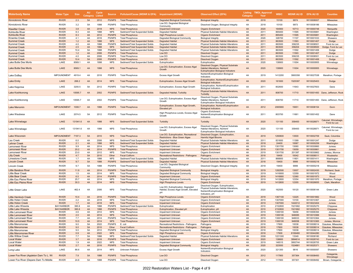| Waterbody Name                              | <b>Water Type</b>            | <b>Size</b>    | <b>AU</b><br>Category | <b>Cycle</b><br>Listed | <b>Source</b>               | Pollutant/Cause (WDNR & EPA) Impairment (WDNR)     |                                                                                       | <b>Observed Effect (EPA)</b>                                                                                                         | Category | <b>Listing TMDL Approval</b><br>Year | <b>WBIC</b>        | <b>WDNR AU ID EPA AU ID</b> |                          | <b>Counties</b>                             |
|---------------------------------------------|------------------------------|----------------|-----------------------|------------------------|-----------------------------|----------------------------------------------------|---------------------------------------------------------------------------------------|--------------------------------------------------------------------------------------------------------------------------------------|----------|--------------------------------------|--------------------|-----------------------------|--------------------------|---------------------------------------------|
| <b>Kinnickinnic River</b>                   | <b>RIVER</b>                 | 2.3            | 5A                    | 2012                   | <b>PS/NPS</b>               | <b>Total Phosphorus</b>                            | <b>Degraded Biological Community</b>                                                  | <b>Biological Integrity</b>                                                                                                          | 4A       | 2018                                 | 15100              | 9974                        | WI10008007               | Milwaukee                                   |
| Kinnickinnic River                          | <b>RIVER</b>                 | 3.2            | 5A                    | 1998                   | <b>PS/NPS</b>               | <b>Total Phosphorus</b>                            | Low DO, Degraded Biological<br>Community                                              | Dissolved Oxygen, Biological Integrity                                                                                               | 4A       | 2018                                 | 15100              | 9973                        | WI10008186               | Milwaukee                                   |
| Klawitter Creek                             | <b>RIVER</b>                 | 3.8            | 4A                    | 2018                   | <b>NPS</b>                  | <b>Total Phosphorus</b>                            | <b>Impairment Unknown</b>                                                             | <b>Organic Enrichment</b>                                                                                                            | 4A       | 2020                                 | 164900             | 10713                       | WI10000748               | Marquette                                   |
| Kohlsville River                            | <b>RIVER</b>                 | 8.3            | 4A                    | 1998                   | <b>NPS</b>                  | Sediment/Total Suspended Solids                    | Degraded Habitat                                                                      | Physical Substrate Habitat Alterations                                                                                               | 4A       | 2011                                 | 865400             | 11595                       | WI10035881               | Washington                                  |
| Kohlsville River                            | <b>RIVER</b>                 | 8.3            | 4A                    | 2012                   | <b>PS/NPS</b>               | <b>Total Phosphorus</b>                            | <b>High Phosphorus Levels</b>                                                         | <b>Organic Enrichment</b>                                                                                                            | 4A       | 2011                                 | 865400             | 11595                       | WI10035881               | Washington                                  |
| Kroenke Creek                               | <b>RIVER</b>                 | 4.1            | 4A                    | 2016                   | <b>PS/NPS</b>               | <b>Total Phosphorus</b>                            | Degraded Biological Community                                                         | <b>Biological Integrity</b>                                                                                                          | 4A       | 2020                                 | 326700             | 11107                       | WI10001033               | Shawano                                     |
| Kummel Creek                                | <b>RIVER</b>                 | 1.2            | 4A                    | 1998                   | <b>NPS</b>                  | Sediment/Total Suspended Solids                    | <b>Degraded Habitat</b>                                                               | <b>Physical Substrate Habitat Alterations</b>                                                                                        | 4A       | 2011                                 | 863500             | 11593                       | WI10001407               | Dodge                                       |
| Kummel Creek                                | <b>RIVER</b>                 | 4.0            | 4A                    | 1998                   | PS/NPS                      | Sediment/Total Suspended Solids                    | Degraded Habitat                                                                      | Physical Substrate Habitat Alterations                                                                                               | 4A       | 2011                                 | 863500             | 358235                      | WI10008501               | Fond du Lac                                 |
| Kummel Creek                                | <b>RIVER</b>                 | 2.5            | 4A                    | 1998                   | <b>NPS</b>                  | Sediment/Total Suspended Solids                    | <b>Degraded Habitat</b>                                                               | <b>Physical Substrate Habitat Alterations</b>                                                                                        | 4A       | 2011                                 | 863500             | 358204                      | WI10008500               | Dodge, Fond du Lac                          |
| Kummel Creek                                | <b>RIVER</b>                 | 10.4           | <b>5A</b>             | 1998                   | <b>PS/NPS</b>               | Sediment/Total Suspended Solids                    | Degraded Habitat                                                                      | Physical Substrate Habitat Alterations                                                                                               | 4A       | 2011                                 | 863500             | 11592                       | WI10001406               | Dodge                                       |
| Kummel Creek                                | <b>RIVER</b>                 | 1.2            | 4A<br>4A              | 2006                   | <b>PS/NPS</b>               | <b>Total Phosphorus</b>                            | Low DO                                                                                | <b>Dissolved Oxygen</b>                                                                                                              | 4A<br>4A | 2011                                 | 863500             | 11593                       | WI10001407               | Dodge                                       |
| Kummel Creek<br><b>Kummel Creek</b>         | <b>RIVER</b>                 | 4.0            |                       | 2006                   | PS/NPS                      | <b>Total Phosphorus</b><br><b>Total Phosphorus</b> | Low DO                                                                                | Dissolved Oxygen                                                                                                                     | 4A       | 2011                                 | 863500             | 358235                      | WI10008501               | Fond du Lac                                 |
| Lake Butte Des Morts                        | <b>RIVER</b><br>LAKE         | 10.4<br>8569.1 | 5A<br>4A              | 2006<br>1998           | <b>PS/NPS</b><br><b>NPS</b> | Sediment/Total Suspended Solids                    | Low DO<br>Eutrophication                                                              | <b>Dissolved Oxygen</b><br>Eutrophication                                                                                            | 4A       | 2011<br>2020                         | 863500<br>139900   | 11592<br>11004              | WI10001406<br>WI10000955 | Dodge<br>Winnebago                          |
| <b>Lake Butte Des Morts</b>                 | LAKE                         | 8569.1         | 4A                    | 1998                   | <b>NPS</b>                  | <b>Total Phosphorus</b>                            | Low DO. Eutrophication. Excess Algal<br>Growth                                        | Dissolved Oxygen, Physical Substrate<br><b>Habitat Alterations, Nutrient/</b>                                                        | 4A       | 2020                                 | 139900             | 11004                       | WI10000955               | Winnebago                                   |
| Lake DuBay                                  | <b>IMPOUNDMENT</b>           | 4919.4         | 4A                    | 2016                   | PS/NPS                      | <b>Total Phosphorus</b>                            | <b>Excess Algal Growth</b>                                                            | <b>Eutrophication Biological Indicators</b><br>Nutrient/Eutrophication Biological<br>Indicators                                      | 4A       | 2019                                 | 1412200            | 3900358                     | WI10027538               | Marathon, Portage                           |
| Lake Emily                                  | LAKE                         | 268.2          | 4A                    | 2014                   | <b>NPS</b>                  | <b>Total Phosphorus</b>                            | Eutrophication, Excess Algal Growth                                                   | Eutrophication, Nutrient/Eutrophication<br><b>Biological Indicators</b>                                                              | 4A       | 2020                                 | 161600             | 1525397                     | WI10025403               | Dodge                                       |
| Lake Kegonsa                                | LAKE                         | 3200.5         | 5A                    | 2012                   | PS/NPS                      | <b>Total Phosphorus</b>                            | Eutrophication, Excess Algal Growth                                                   | Eutrophication, Nutrient/Eutrophication<br><b>Biological Indicators</b>                                                              | 4A       | 2011                                 | 802600             | 11643                       | WI10027603               | Dane                                        |
| Lake Koshkonong                             | LAKE                         | 10595.7        | 4A                    | 2002                   | <b>PS/NPS</b>               | Sediment/Total Suspended Solids                    | Degraded Habitat, Turbidity                                                           | Physical Substrate Habitat Alterations,<br>Turbidity                                                                                 | 4A       | 2011                                 | 808700             | 11710                       |                          | WI10001493 Dane, Jefferson, Rock            |
| Lake Koshkonong                             | LAKE                         | 10595.7        | 4A                    | 2002                   | <b>PS/NPS</b>               | <b>Total Phosphorus</b>                            | Low DO, Eutrophication, Excess Algal<br>Growth                                        | Dissolved Oxygen, Physical Substrate<br>Habitat Alterations, Nutrient/<br><b>Eutrophication Biological Indicators</b>                | 4A       | 2011                                 | 808700             | 11710                       |                          | WI10001493 Dane, Jefferson, Rock            |
| Lake Menomin                                | <b>IMPOUNDMENT</b>           | 1008.7         | 4A                    | 1998                   | <b>PS/NPS</b>               | <b>Total Phosphorus</b>                            | Eutrophication, Excess Algal Growth,<br>Elevated pH                                   | Eutrophication, Nutrient/Eutrophication<br><b>Biological Indicators</b>                                                              | 4A       | 2012                                 | 2065900            | 15651                       | WI10008154               | Dunn                                        |
| Lake Waubesa                                | LAKE                         | 2074.5         | 5A                    | 2012                   | <b>PS/NPS</b>               | <b>Total Phosphorus</b>                            | High Phosphorus Levels, Excess Algal<br>Growth                                        | Organic Enrichment,<br>Nutrient/Eutrophication Biological<br>Indicators                                                              | 4A       | 2011                                 | 803700             | 11661                       | WI10001452               | Dane                                        |
| Lake Winnebago                              | LAKE                         | 131941.6       | 4A                    | 1998                   | <b>NPS</b>                  | Sediment/Total Suspended Solids                    | Turbidity                                                                             | Turbidity                                                                                                                            | 4A       | 2020                                 | 131100             | 358400                      | WI10026871               | Calumet, Winnebago<br>Fond du Lac           |
| Lake Winnebago                              | LAKE                         | 131941.6       | 4A                    | 1998                   | <b>NPS</b>                  | <b>Total Phosphorus</b>                            | Low DO, Eutrophication, Excess Algal<br>Growth                                        | Dissolved Oxygen, Physical Substrate<br>Habitat Alterations, Nutrient/<br>Eutrophication Biological Indicators                       | 4A       | 2020                                 | 131100             | 358400                      | WI10026871               | Calumet, Winnebago<br>Fond du Lac           |
| <b>Lake Wisconsin</b>                       | <b>IMPOUNDMENT</b>           | 7197.3         | 5A                    | 2010                   | <b>NPS</b>                  | <b>Total Phosphorus</b>                            | Low DO, Eutrophication, Recreational<br>Restrictions - Blue Green Algae               | Dissolved Oxygen, Eutrophication,<br><b>Harmful Algal Blooms</b>                                                                     | 4A       | 2019                                 | 1260600            | 13500                       | WI10002709               | Sauk, Columbia                              |
| Lau Creek                                   | <b>RIVER</b>                 | 6.0            | 4A                    | 2006                   | <b>NPS</b>                  | Sediment/Total Suspended Solids                    | Degraded Habitat                                                                      | Physical Substrate Habitat Alterations                                                                                               | 4A       | 2011                                 | 831600             | 11399                       | WI10001247               | Dodge                                       |
| Lehner Creek                                | <b>RIVER</b>                 | 2.1            | 4A                    | 1998                   | <b>NPS</b>                  | Sediment/Total Suspended Solids                    | <b>Degraded Habitat</b>                                                               | <b>Physical Substrate Habitat Alterations</b>                                                                                        | 4A       | 2018                                 | 24400              | 10067                       | WI10000259               | Washington                                  |
| Lemonweir River                             | <b>RIVER</b><br><b>RIVER</b> | 9.9<br>20.2    | 4A                    | 2014                   | <b>NPS</b>                  | <b>Total Phosphorus</b>                            | Impairment Unknown                                                                    | Organic Enrichment                                                                                                                   | 4A       | 2019                                 | 1301700            | 13060                       | WI10030860               | Juneau                                      |
| Lemonweir River                             | <b>RIVER</b>                 | 23.0           | 4A<br>4A              | 2014<br>2012           | <b>PS/NPS</b><br><b>NPS</b> | <b>Total Phosphorus</b><br><b>Total Phosphorus</b> | <b>Impairment Unknown</b><br>Impairment Unknown                                       | <b>Organic Enrichment</b><br>Organic Enrichment                                                                                      | 4A<br>4A | 2019<br>2019                         | 1301700<br>1301700 | 13059<br>201397             | WI10030861<br>WI10030862 | Juneau<br>Juneau, Monroe                    |
| Lemonweir River<br>Lilly Creek              | <b>RIVER</b>                 | 4.7            | 5A                    | 2010                   | Other                       | <b>Fecal Coliform</b>                              | <b>Recreational Restrictions - Pathogens</b>                                          | Pathogens                                                                                                                            | 4A       | 2018                                 | 18400              | 10042                       | WI10008011               | Waukesha                                    |
| Limestone Creek                             | <b>RIVER</b>                 | 1.7            | 4A                    | 1998                   | <b>NPS</b>                  | Sediment/Total Suspended Solids                    | Degraded Habitat                                                                      | Physical Substrate Habitat Alterations                                                                                               | 4A       | 2011                                 | 866800             | 11601                       | WI10001411               | Washington                                  |
| Lincoln Creek                               | <b>RIVER</b>                 | 9.7            | 5A                    | 1998                   | <b>PS/NPS</b>               | Sediment/Total Suspended Solids                    | <b>Degraded Habitat</b>                                                               | <b>Physical Substrate Habitat Alterations</b>                                                                                        | 4A       | 2018                                 | 19400              | 9999                        | WI10000218               | Milwaukee                                   |
| Lincoln Creek                               | <b>RIVER</b>                 | 9.7            | 5A                    | 1998                   | PS/NPS                      | <b>Total Phosphorus</b>                            | Low DO, Degraded Biological<br>Community                                              | Dissolved Oxygen, Biological Integrity                                                                                               | 4A       | 2018                                 | 19400              | 9999                        | WI10000218               | Milwaukee                                   |
| Little Baraboo River                        | <b>RIVER</b>                 | 11.9           | 4A                    | 2014                   | <b>PS/NPS</b>               | <b>Total Phosphorus</b>                            | <b>Degraded Biological Community</b>                                                  | <b>Biological Integrity</b>                                                                                                          | 4A       | 2019                                 | 1282500            | 13007                       | WI10002430               | Richland, Sauk                              |
| Little Bear Creek                           | <b>RIVER</b>                 | 1.5            | 4A                    | 2014                   | <b>NPS</b>                  | <b>Total Phosphorus</b>                            | Degraded Biological Community                                                         | <b>Biological Integrity</b>                                                                                                          | 4A       | 2019                                 | 1416900            | 12359                       | WI10001972               | Wood                                        |
| <b>Little Bear Creek</b>                    | <b>RIVER</b>                 | 6.5            | 4A                    | 2014                   | <b>PS/NPS</b>               | <b>Total Phosphorus</b>                            | <b>Impairment Unknown</b>                                                             | <b>Organic Enrichment</b>                                                                                                            | 4A       | 2019                                 | 1416900            | 12360                       | WI10001973               | Wood                                        |
| Little Eau Pleine River                     | <b>RIVER</b>                 | 25.7           | 4A                    | 2014                   | <b>NPS</b>                  | <b>Total Phosphorus</b>                            | Degraded Biological Community                                                         | <b>Biological Integrity</b>                                                                                                          | 4A       | 2019                                 | 1412600            | 12354                       | WI10001970               | Marathon, Portage                           |
| <b>Little Eau Pleine River</b>              | <b>RIVER</b>                 | 30.3           | 4A                    | 2014                   | <b>NPS</b>                  | <b>Total Phosphorus</b>                            | <b>High Phosphorus Levels</b>                                                         | <b>Organic Enrichment</b>                                                                                                            | 4A       | 2019                                 | 1412600            | 12355                       | WI10026655               | Clark, Marathon                             |
| Little Green Lake                           | LAKE                         | 462.4          | 4A                    | 2006                   | <b>NPS</b>                  | <b>Total Phosphorus</b>                            | Low DO, Eutrophication, Degraded<br>Habitat, Excess Algal Growth, Elevated<br>pH      | Dissolved Oxygen, Eutrophication,<br>Physical Substrate Habitat Alterations,<br>Nutrient/Eutrophication Biological<br>Indicators, pH | 4A       | 2020                                 | 162500             | 18120                       | WI10006144               | Green Lake                                  |
| <b>Little Hemlock Creek</b>                 | <b>RIVER</b>                 | 10.4           | 4A                    | 2016                   | <b>PS/NPS</b>               | <b>Total Phosphorus</b>                            | <b>High Phosphorus Levels</b>                                                         | <b>Organic Enrichment</b>                                                                                                            | 4A       | 2019                                 | 1367100            | 12225                       | WI10001882               | Wood                                        |
| Little Hoten Creek                          | <b>RIVER</b>                 | 2.2            | 4A                    | 2018                   | <b>NPS</b>                  | <b>Total Phosphorus</b>                            | Impairment Unknown                                                                    | Organic Enrichment                                                                                                                   | 4A       | 2019                                 | 1307000            | 13100                       | WI10010367               | Juneau                                      |
| <b>Little Hoton Creek</b>                   | <b>RIVER</b>                 | 1.7            | 4A                    | 2018                   | <b>NPS</b>                  | <b>Total Phosphorus</b>                            | <b>Impairment Unknown</b>                                                             | <b>Organic Enrichment</b>                                                                                                            | 4A       | 2019                                 | 1307000            | 1442012                     | WI10023404               | Juneau                                      |
| Little Lake Wissota                         | <b>BAY/HARBOR</b>            | 395.8          | 4A                    | 1998                   | PS/NPS                      | Sediment/Total Suspended Solids                    | Eutrophication                                                                        | Eutrophication                                                                                                                       | 4A       | 2010                                 | 2152800            | 1521682                     | WI10025270               | Chippewa                                    |
| <b>Little Lake Wissota</b>                  | <b>BAY/HARBOR</b>            | 395.8          | 4A                    | 1998                   | <b>PS/NPS</b>               | <b>Total Phosphorus</b>                            | Eutrophication. Elevated pH                                                           | Eutrophication, pH                                                                                                                   | 4A       | 2010                                 | 2152800            | 1521682                     | WI10025270               | Chippewa                                    |
| Little Lemonweir River                      | <b>RIVER</b>                 | 4.6            | 4A                    | 2012                   | <b>NPS</b>                  | <b>Total Phosphorus</b>                            | Impairment Unknown                                                                    | Organic Enrichment                                                                                                                   | 4A       | 2019                                 | 1306100            | 18456                       | WI10006394               | Juneau                                      |
| Little Lemonweir River                      | <b>RIVER</b>                 | 2.0            | 4A                    | 2014                   | <b>NPS</b>                  | <b>Total Phosphorus</b>                            | <b>Impairment Unknown</b>                                                             | <b>Organic Enrichment</b>                                                                                                            | 4A       | 2019                                 | 1306100            | 948085                      | WI10010366               | Monroe                                      |
| Little Lemonweir River                      | <b>RIVER</b><br><b>RIVER</b> | 7.7<br>10.5    | 4A                    | 2014<br>2014           | PS/NPS                      | <b>Total Phosphorus</b>                            | Impairment Unknown                                                                    | <b>Organic Enrichment</b>                                                                                                            | 4A<br>4A | 2019<br>2019                         | 1306100<br>1306100 | 948033<br>948058            | WI10010364               | Juneau<br>Juneau, Monroe                    |
| Little Lemonweir River                      |                              |                | 4A                    |                        | <b>NPS</b>                  | <b>Total Phosphorus</b>                            | Impairment Unknown                                                                    | <b>Organic Enrichment</b>                                                                                                            |          |                                      |                    |                             | WI10010365               |                                             |
| Little Menomonee<br><b>Little Menomonee</b> | <b>RIVER</b><br><b>RIVER</b> | 9.0<br>9.0     | 5A<br>5A              | 2022<br>2010           | PS/NPS<br>Other             | E. coli<br><b>Fecal Coliform</b>                   | Recreational Restrictions - Pathogens<br><b>Recreational Restrictions - Pathogens</b> | Pathogens<br>Pathogens                                                                                                               | 4A<br>4A | 2018<br>2018                         | 17600<br>17600     | 10038<br>10038              | WI10008014<br>WI10008014 | Ozaukee, Milwaukee<br>Ozaukee, Milwaukee    |
| Little Menomonee                            | <b>RIVER</b>                 | 9.0            | 5A                    | 2012                   | <b>PS/NPS</b>               | <b>Total Phosphorus</b>                            | Degraded Biological Community                                                         | <b>Biological Integrity</b>                                                                                                          | 4A       | 2018                                 | 17600              | 10038                       | WI10008014               | Ozaukee, Milwaukee                          |
| Little Menomonee River                      | <b>RIVER</b>                 | 0.9            | 4A                    | 2022                   | <b>NPS</b>                  | <b>Total Phosphorus</b>                            | <b>High Phosphorus Levels</b>                                                         | <b>Organic Enrichment</b>                                                                                                            | 4A       | 2018                                 | 17600              | 8106460                     | WI10044280               | Ozaukee                                     |
| <b>Little Willow Creek</b>                  | <b>RIVER</b>                 | 7.7            | 5A                    | 1998                   | <b>NPS</b>                  | Sediment/Total Suspended Solids                    | Degraded Habitat                                                                      | Physical Substrate Habitat Alterations                                                                                               | 4A       | 2008                                 | 1221300            | 13349                       | WI10008180               | Richland                                    |
| <b>Local Water</b>                          | <b>RIVER</b>                 | 3.7            | 4A                    | 2016                   | <b>PS/NPS</b>               | <b>Total Phosphorus</b>                            | <b>Impairment Unknown</b>                                                             | <b>Organic Enrichment</b>                                                                                                            | 4A       | 2020                                 | 138800             | 3994614                     | WI10028743               | Fond du Lac                                 |
| Local Water                                 | <b>RIVER</b>                 | 1.9            | 4A                    | 2022                   | <b>NPS</b>                  | <b>Total Phosphorus</b>                            | Impairment Unknown                                                                    | Organic Enrichment                                                                                                                   | 4A       | 2019                                 | 146515             | 3993744                     | WI10028705               | Green Lake                                  |
| <b>Local Water</b>                          | <b>RIVER</b>                 | 2.7            | 4A                    | 2016                   | <b>PS/NPS</b>               | <b>Total Phosphorus</b>                            | Degraded Biological Community                                                         | <b>Biological Integrity</b>                                                                                                          | 4A       | 2020                                 | 323500             | 1524881                     | WI10025371               | Shawano                                     |
| Long Lake                                   | LAKE                         | 86.6           | 4A                    | 2014                   | <b>NPS</b>                  | Unknown Pollutant                                  | <b>Excess Algal Growth</b>                                                            | Nutrient/Eutrophication Biological<br>Indicators                                                                                     | 4A       | 2020                                 | 321300             | 9816                        | WI10000097               | Shawano                                     |
| Lower Fox River (Appleton Dam To L. Wi      | <b>RIVER</b><br><b>RIVER</b> | 7.9<br>24.8    | 5A<br>5A              | 1998<br>1998           | <b>PS/NPS</b><br>PS/NPS     | <b>Total Phosphorus</b><br><b>Total Phosphorus</b> | Low DO<br>Low DO                                                                      | <b>Dissolved Oxygen</b><br>Dissolved Oxygen                                                                                          | 4A<br>4A | 2012<br>2012                         | 117900<br>117900   | 357364<br>357301            | WI10008493<br>WI10008492 | Outagamie,<br>Winnebago<br>Brown, Outagamie |
| Lower Fox River (Depere Dam To Middle       |                              |                |                       |                        |                             |                                                    |                                                                                       |                                                                                                                                      |          |                                      |                    |                             |                          |                                             |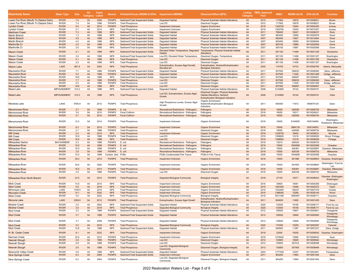| Waterbody Name                        | <b>Water Type</b>            | <b>Size</b>  | <b>AU</b><br><b>Category</b> | <b>Cycle</b><br>Listed | <b>Source</b>                  | Pollutant/Cause (WDNR & EPA) Impairment (WDNR)                     |                                                     | <b>Observed Effect (EPA)</b>                                                                                          | <b>Listing</b><br>Category | <b>TMDL Approval</b><br>Year | <b>WBIC</b>    | <b>WDNR AU ID</b> | <b>EPA AU ID</b>         | <b>Counties</b>                            |
|---------------------------------------|------------------------------|--------------|------------------------------|------------------------|--------------------------------|--------------------------------------------------------------------|-----------------------------------------------------|-----------------------------------------------------------------------------------------------------------------------|----------------------------|------------------------------|----------------|-------------------|--------------------------|--------------------------------------------|
| Lower Fox River (Mouth To Depere Dam) | <b>RIVER</b>                 | 7.4          | 5A                           | 2008                   | <b>PS/NPS</b>                  | Sediment/Total Suspended Solids                                    | <b>Degraded Habitat</b>                             | <b>Physical Substrate Habitat Alterations</b>                                                                         | 4A                         | 2012                         | 117900         | 10678             | WI10008021               | <b>Brown</b>                               |
| Lower Fox River (Mouth To Depere Dam) | <b>RIVER</b>                 | 7.4          | 5A                           | 1998                   | <b>PS/NPS</b>                  | <b>Total Phosphorus</b>                                            | Low DO                                              | Dissolved Oxygen                                                                                                      | 4A                         | 2012                         | 117900         | 10678             | WI10008021               | Brown                                      |
| Lyndon Creek                          | <b>RIVER</b>                 | 6.0          | 4A                           | 2014                   | <b>PS/NPS</b>                  | <b>Total Phosphorus</b>                                            | <b>Impairment Unknown</b>                           | <b>Organic Enrichment</b>                                                                                             | 4A                         | 2019                         | 1300700        | 13054             | WI10002455               | Juneau                                     |
| Lyndon Creek                          | <b>RIVER</b>                 | 2.7          | 4A                           | 2014                   | <b>NPS</b>                     | <b>Total Phosphorus</b>                                            | Impairment Unknown                                  | Organic Enrichment                                                                                                    | 4A                         | 2019                         | 1300700        | 13055             | WI10010357               | Juneau                                     |
| <b>Markham Creek</b>                  | <b>RIVER</b>                 | 7.3          | 4A                           | 1998                   | <b>NPS</b>                     | Sediment/Total Suspended Solids                                    | <b>Degraded Habitat</b>                             | <b>Physical Substrate Habitat Alterations</b>                                                                         | 4A                         | 2011                         | 796400         | 18247             | WI10006237               | Rock                                       |
| Martin Branch                         | <b>RIVER</b>                 | 1.3          | 4A                           | 1998                   | <b>NPS</b>                     | Sediment/Total Suspended Solids                                    | <b>Degraded Habitat</b>                             | Physical Substrate Habitat Alterations                                                                                | 4A                         | 2007                         | 963400         | 13926             | WI10002979               | Grant                                      |
| <b>Martin Branch</b>                  | <b>RIVER</b>                 | 4.6          | 4A                           | 1998                   | <b>NPS</b>                     | Sediment/Total Suspended Solids                                    | <b>Degraded Habitat</b>                             | <b>Physical Substrate Habitat Alterations</b>                                                                         | 4A                         | 2007                         | 963400         | 13927             | WI10010064               | Grant                                      |
| Martin Branch                         | <b>RIVER</b>                 | 4.0          | 4A                           | 1998                   | <b>NPS</b>                     | Sediment/Total Suspended Solids                                    | Degraded Habitat                                    | Physical Substrate Habitat Alterations                                                                                | 4A                         | 2007                         | 963400         | 18569             | WI10006464               | Grant                                      |
| <b>Martinville Cr</b>                 | <b>RIVER</b>                 | 2.5          | 5A                           | 1998                   | <b>NPS</b>                     | Sediment/Total Suspended Solids                                    | <b>Degraded Habitat</b>                             | <b>Physical Substrate Habitat Alterations</b>                                                                         | 4A                         | 2007                         | 955100         | 13888             | WI10002959               | Grant                                      |
| Martinville Cr                        | <b>RIVER</b>                 | 2.6          | 5A                           | 1998                   | <b>NPS</b>                     | Sediment/Total Suspended Solids                                    | Degraded Habitat                                    | Physical Substrate Habitat Alterations                                                                                | 4A                         | 2007                         | 955100         | 13887             | WI10002958               | Grant                                      |
| <b>Mason Creek</b>                    | <b>RIVER</b>                 | 4.1          | 4A                           | 1998                   | <b>NPS</b>                     | Sediment/Total Suspended Solids                                    | Elevated Water Temperature, Degraded<br>Habitat     | Temperature, Physical Substrate Habitat<br>Alterations                                                                | 4A                         | 2011                         | 851100         | 11498             | WI10001326               | Waukesha                                   |
| Mason Creek                           | <b>RIVER</b>                 | 2.0          | 4A                           | 1998                   | <b>NPS</b>                     | Sediment/Total Suspended Solids                                    | Low DO. Elevated Water Temperature                  | Dissolved Oxygen, Temperature                                                                                         | 4A                         | 2011                         | 851100         | 11499             | WI10001327               | Washington                                 |
| Mason Creek                           | <b>RIVER</b>                 | 4.1          | 4A                           | 1998                   | <b>NPS</b>                     | <b>Total Phosphorus</b>                                            | Low DO                                              | Dissolved Oxygen                                                                                                      | 4A                         | 2011                         | 851100         | 11498             | WI10001326               | Waukesha                                   |
| <b>Mason Creek</b>                    | <b>RIVER</b>                 | 2.0          | 4A                           | 1998                   | <b>NPS</b>                     | <b>Total Phosphorus</b>                                            | Low DO                                              | Dissolved Oxygen                                                                                                      | 4A                         | 2011                         | 851100         | 11499             | WI10001327               | Washington                                 |
| Mason Lake                            | LAKE                         | 881.6        | 4A                           | 2002                   | <b>NPS</b>                     | <b>Total Phosphorus</b>                                            | Eutrophication, Excess Algal Growth,<br>Elevated pH | Eutrophication, Nutrient/Eutrophication<br><b>Biological Indicators</b>                                               | 4A                         | 2020                         | 175700         | 10733             | WI10000764               | Adams, Marquette                           |
| Maunesha River                        | <b>RIVER</b>                 | 7.7          | 4A                           | 1998                   | <b>PS/NPS</b>                  | Sediment/Total Suspended Solids                                    | Degraded Habitat                                    | Physical Substrate Habitat Alterations                                                                                | 4A                         | 2011                         | 837500         | 356833            | WI10008490               | Dane, Jefferson                            |
| Maunesha River                        | <b>RIVER</b>                 | 5.5          | 4A                           | 1998                   | <b>PS/NPS</b>                  | Sediment/Total Suspended Solids                                    | <b>Degraded Habitat</b>                             | <b>Physical Substrate Habitat Alterations</b>                                                                         | 4A                         | 2011                         | 837500         | 11426             | WI10001269               | Dodge, Jefferson                           |
| Maunesha River                        | <b>RIVER</b>                 | 18.6         | 4A                           | 1998                   | <b>NPS</b>                     | Sediment/Total Suspended Solids                                    | <b>Degraded Habitat</b>                             | Physical Substrate Habitat Alterations                                                                                | 4A                         | 2011                         | 837500         | 356857            | WI10008491               | Dane                                       |
| <b>Maunesha River</b>                 | <b>RIVER</b>                 | 7.7          | 4A                           | 1998                   | <b>PS/NPS</b>                  | <b>Total Phosphorus</b>                                            | Low DO                                              | <b>Dissolved Oxygen</b>                                                                                               | 4A                         | 2011                         | 837500         | 356833            | WI10008490               | Dane, Jefferson                            |
| Maunesha River                        | <b>RIVER</b>                 | 5.5          | 4A                           | 1998                   | <b>PS/NPS</b>                  | <b>Total Phosphorus</b>                                            | Low DO                                              | Dissolved Oxygen                                                                                                      | 4A                         | 2011                         | 837500         | 11426             | WI10001269               | Dodge, Jefferson                           |
| Maunesha River                        | <b>RIVER</b>                 | 18.6         | 4A                           | 1998                   | <b>NPS</b>                     | <b>Total Phosphorus</b>                                            | Low DO                                              | <b>Dissolved Oxygen</b>                                                                                               | 4A                         | 2011                         | 837500         | 356857            | WI10008491               | Dane                                       |
| Mead Lake                             | <b>IMPOUNDMENT</b>           | 310.3        | 4A                           | 1998                   | <b>NPS</b>                     | Sediment/Total Suspended Solids                                    | Degraded Habitat                                    | Physical Substrate Habitat Alterations                                                                                | 4A                         | 2008                         | 2143900        | 16142             | WI10004701               | Clark                                      |
| <b>Mead Lake</b>                      | <b>IMPOUNDMENT</b>           | 310.3        | 4A                           | 1998                   | <b>NPS</b>                     | <b>Total Phosphorus</b>                                            | Low DO, Eutrophication, Excess Algal<br>Growth      | Dissolved Oxygen, Physical Substrate<br>Habitat Alterations, Nutrient/<br><b>Eutrophication Biological Indicators</b> | 4A                         | 2008                         | 2143900        | 16142             | WI10004701               | Clark                                      |
| Mendota Lake                          | LAKE                         | 9780.9       | 4A                           | 2012                   | <b>PS/NPS</b>                  | <b>Total Phosphorus</b>                                            | High Phosphorus Levels, Excess Algal<br>Growth      | Organic Enrichment,<br>Nutrient/Eutrophication Biological<br>Indicators                                               | 4A                         | 2011                         | 805400         | 11672             | WI6876129                | Dane                                       |
| <b>Menomonee River</b>                | <b>RIVER</b>                 | 2.7          | 5A                           | 1998                   | <b>PS/NPS</b>                  | E. coli                                                            | <b>Recreational Restrictions - Pathogens</b>        | Pathogens                                                                                                             | 4A                         | 2018                         | 16000          | 426506            | WI10008754               | Milwaukee                                  |
| Menomonee River                       | <b>RIVER</b>                 | 3.6          | <b>5A</b>                    | 2010                   | <b>PS/NPS</b>                  | <b>Fecal Coliform</b>                                              | Recreational Restrictions - Pathogens               | Pathogens                                                                                                             | 4A                         | 2018                         | 16000          | 10017             | WI10026421               | Milwaukee                                  |
| <b>Menomonee River</b>                | <b>RIVER</b>                 | 2.7          | 5A                           | 2010                   | <b>PS/NPS</b>                  | <b>Fecal Coliform</b>                                              | <b>Recreational Restrictions - Pathogens</b>        | Pathogens                                                                                                             | 4A                         | 2018                         | 16000          | 426506            | WI10008754               | Milwaukee                                  |
| Menomonee River                       | <b>RIVER</b>                 | 12.2         | 5A                           | 2014                   | <b>PS/NPS</b>                  | <b>Total Phosphorus</b>                                            | Impairment Unknown                                  | Organic Enrichment                                                                                                    | 4A                         | 2018                         | 16000          | 8104655           | WI8104656                | Washington,<br>Waukesha, Milwaukee         |
| Menomonee River                       | <b>RIVER</b>                 | 6.3          | 5A                           | 2014                   | <b>PS/NPS</b>                  | <b>Total Phosphorus</b>                                            | <b>Impairment Unknown</b>                           | Organic Enrichment                                                                                                    | 4A                         | 2018                         | 16000          | 3884139           | WI8104653                | Milwaukee                                  |
| Menomonee River                       | <b>RIVER</b>                 | 2.7          | 5A                           | 1998                   | <b>PS/NPS</b>                  | <b>Total Phosphorus</b>                                            | Low DO                                              | Dissolved Oxygen                                                                                                      | 4A                         | 2018                         | 16000          | 426506            | WI10008754               | Milwaukee                                  |
| Mill Creek                            | <b>RIVER</b>                 | 2.4          | 4A                           | 2014                   | <b>NPS</b>                     | <b>Total Phosphorus</b>                                            | <b>Impairment Unknown</b>                           | <b>Organic Enrichment</b>                                                                                             | 4A                         | 2019                         | 1326700        | 18452             | WI10008031               | Monroe                                     |
| Mill Creek                            | <b>RIVER</b>                 | 16.8         | 4A                           | 1998                   | <b>PS/NPS</b>                  | <b>Total Phosphorus</b>                                            | Low DO                                              | Dissolved Oxygen                                                                                                      | 4A                         | 2019                         | 1398600        | 12319             | WI10008029               | Wood, Portage                              |
| Mill Creek                            | <b>RIVER</b>                 | 16.0         | 4A                           | 1998                   | <b>NPS</b>                     | <b>Total Phosphorus</b>                                            | Low DO                                              | <b>Dissolved Oxygen</b>                                                                                               | 4A                         | 2019                         | 1398600        | 12318             | WI10008028               | Portage                                    |
| Milwaukee Harbor                      | <b>BAY/HARBOR</b>            | 0.3          | 5A                           | 1998                   | <b>PS/NPS</b>                  | E. coli                                                            | Recreational Restrictions - Pathogens               | Pathogens                                                                                                             | 4A                         | 2018                         | 15010          | 426424            | WI10008753               |                                            |
| <b>Milwaukee River</b>                | <b>RIVER</b>                 | 10.0         | 4A                           | 1998                   | <b>PS/NPS</b>                  | E. coli                                                            | <b>Recreational Restrictions - Pathogens</b>        | Pathogens                                                                                                             | 4A                         | 2018                         | 15000          | 1854856           | WI10025589               | Ozaukee                                    |
| Milwaukee River                       | <b>RIVER</b>                 | 16.5         | 5A                           | 1998                   | <b>PS/NPS</b>                  | E. coli                                                            | Recreational Restrictions - Pathogens               | Pathogens                                                                                                             | 4A                         | 2018                         | 15000          | 426381            | WI10026897               | Ozaukee, Milwaukee                         |
| Milwaukee River                       | <b>RIVER</b>                 | 2.9          | 5A                           | 1998                   | <b>PS/NPS</b>                  | E. coli                                                            | Recreational Restrictions - Pathogens               | Pathogens                                                                                                             | 4A                         | 2018                         | 15000          | 426339            | WI10008752               | Milwaukee                                  |
| Milwaukee River                       | <b>RIVER</b>                 | 10.0         | 4A                           | 1998                   | Contam, Sed                    | PCBs                                                               | PCBs Contaminated Fish Tissue                       | <b>PCBs in Fish Tissue</b>                                                                                            | 4A                         | 2008                         | 15000          | 1854856           | WI10025589               | Ozaukee                                    |
|                                       |                              |              |                              |                        |                                |                                                                    |                                                     |                                                                                                                       |                            |                              |                |                   |                          |                                            |
| Milwaukee River                       | <b>RIVER</b>                 | 39.2         | 5A                           | 2014                   | <b>PS/NPS</b>                  | <b>Total Phosphorus</b>                                            | <b>Impairment Unknown</b>                           | <b>Organic Enrichment</b>                                                                                             | 4A                         | 2018                         | 15000          | 481566            | WI10008803               | Ozaukee, Washington<br>Washington, Fond du |
| Milwaukee River<br>Milwaukee River    | <b>RIVER</b><br><b>RIVER</b> | 34.8<br>16.5 | 5A<br>5A                     | 2020<br>2014           | <b>PS/NPS</b><br><b>PS/NPS</b> | <b>Total Phosphorus</b><br><b>Total Phosphorus</b>                 | Impairment Unknown<br><b>Impairment Unknown</b>     | Organic Enrichment<br><b>Organic Enrichment</b>                                                                       | 4A<br>4A                   | 2018<br>2018                 | 15000<br>15000 | 481605<br>426381  | WI10008804<br>WI10026897 | Lac<br>Ozaukee, Milwaukee                  |
| Milwaukee River                       | <b>RIVER</b>                 | 2.9          | <b>5A</b>                    | 1998                   | <b>PS/NPS</b>                  | <b>Total Phosphorus</b>                                            | Low DO                                              | Dissolved Oxygen                                                                                                      | 4A                         | 2018                         | 15000          | 426339            | WI10008752               | Milwaukee                                  |
| Milwaukee River North Branch          | <b>RIVER</b>                 | 23.5         | 4A                           | 2012                   | <b>PS/NPS</b>                  | <b>Total Phosphorus</b>                                            | <b>Degraded Biological Community</b>                | <b>Biological Integrity</b>                                                                                           | 4A                         | 2018                         | 27100          | 10071             | WI10008033               | Ozaukee, Sheboygan<br>Washington           |
| Mink Creek                            | <b>RIVER</b>                 | 14.5         | 4A                           | 2014                   | <b>NPS</b>                     | <b>Total Phosphorus</b>                                            | Impairment Unknown                                  | Organic Enrichment                                                                                                    | 4A                         | 2018                         | 30600          | 10081             | WI10000268               | Sheboygan                                  |
| <b>Mink Creek</b>                     | <b>RIVER</b>                 | 5.8          | 4A                           | 2018                   | <b>NPS</b>                     | <b>Total Phosphorus</b>                                            | <b>Impairment Unknown</b>                           | <b>Organic Enrichment</b>                                                                                             | 4A                         | 2019                         | 1463300        | 12498             | WI10002072               | Taylor                                     |
| Minocqua Lake                         | LAKE                         | 1339.5       | 4A                           | 2014                   | <b>NPS</b>                     | <b>Total Phosphorus</b>                                            | Impairment Unknown                                  | Organic Enrichment                                                                                                    | 4A                         | 2019                         | 1542400        | 128227            | WI10007379               | Oneida                                     |
| <b>Moccasin Creek</b>                 | <b>RIVER</b>                 | 14.1         | 4A                           | 2020                   | <b>NPS</b>                     | <b>Total Phosphorus</b>                                            | <b>Impairment Unknown</b>                           | <b>Organic Enrichment</b>                                                                                             | 4A                         | 2019                         | 1388000        | 12268             | WI10026140               | Wood                                       |
| Mole Creek                            | <b>RIVER</b>                 | 5.0          | 4A                           | 2022                   | <b>NPS</b>                     | <b>Total Phosphorus</b>                                            | Degraded Biological Community                       | <b>Biological Integrity</b>                                                                                           | 4A                         | 2018                         | 5031399        | 3993907           | WI10028711               | Ozaukee                                    |
| Monona Lake                           | <b>LAKE</b>                  | 3359.0       | 5A                           | 2012                   | <b>PS/NPS</b>                  | <b>Total Phosphorus</b>                                            | Eutrophication, Excess Algal Growth                 | Eutrophication, Nutrient/Eutrophication<br><b>Biological Indicators</b>                                               | 4A                         | 2011                         | 804600         | 11665             | WI10001455               | Dane                                       |
| Mosher Creek                          | <b>RIVER</b>                 | 3.0          | 4A                           | 2002                   | <b>NPS</b>                     | Sediment/Total Suspended Solids                                    | <b>Degraded Habitat</b>                             | Physical Substrate Habitat Alterations                                                                                | 4A                         | 2020                         | 133500         | 18156             | WI10006171               | Fond du Lac                                |
| <b>Mosher Creek</b>                   | <b>RIVER</b>                 | 3.0          | 4A                           | 2018                   | <b>NPS</b>                     | <b>Total Phosphorus</b>                                            | <b>Degraded Biological Community</b>                | <b>Biological Integrity</b>                                                                                           | 4A                         | 2020                         | 133500         | 18156             | WI10006171               | Fond du Lac                                |
| Aud Creek                             | RIVER                        |              |                              |                        | <b>PS/NPS</b>                  |                                                                    | Degraded Habitat                                    |                                                                                                                       | 4A                         | 2012                         | 129500         | 10847             | WI10000841               |                                            |
| Mud Creek                             | <b>RIVER</b>                 | 3.2<br>3.7   | 5A                           | 1998<br>1998           | PS/NPS                         | Sediment/Total Suspended Solids<br>Sediment/Total Suspended Solids | <b>Degraded Habitat</b>                             | Physical Substrate Habitat Alterations<br><b>Physical Substrate Habitat Alterations</b>                               | 4A                         | 2012                         | 129500         | 10846             | WI10000840               | Outagamie<br>Outagamie,<br>Winnebago       |
| Mud Creek                             | <b>RIVER</b>                 | 3.7          | 5A                           | 2008                   | PS/NPS                         | <b>Total Phosphorus</b>                                            | Degraded Habitat                                    | Physical Substrate Habitat Alterations                                                                                | 4A                         | 2012                         | 129500         | 10846             | WI10000840               | Outagamie,<br>Winnebago                    |
| <b>Mud Creek</b>                      | <b>RIVER</b>                 | 3.0          | 4A                           | 2016                   | <b>NPS</b>                     | <b>Total Phosphorus</b>                                            | <b>Degraded Biological Community</b>                | <b>Biological Integrity</b>                                                                                           | 4A                         | 2020                         | 131600         | 10259             | WI10000397               | Calumet                                    |
| Mud Creek                             | <b>RIVER</b>                 | 10.8         | 5A                           | 1998                   | <b>NPS</b>                     | Sediment/Total Suspended Solids                                    | Degraded Habitat                                    | Physical Substrate Habitat Alterations                                                                                | 4A                         | 2011                         | 840800         | 11387             | WI10001237               | Dane, Dodge                                |
| N. Br. Cedar Creek                    | <b>RIVER</b>                 | 8.1          | 4A                           | 2022                   | <b>NPS</b>                     | <b>Total Phosphorus</b>                                            | <b>Impairment Unknown</b>                           | <b>Organic Enrichment</b>                                                                                             | 4A                         | 2018                         | 22500          | 10055             |                          | WI10008042 Ozaukee, Washington             |
| Narrows Creek                         | <b>RIVER</b>                 | 22.8         | 4A                           | 2014                   | PS/NPS                         | <b>Total Phosphorus</b>                                            | Impairment Unknown                                  | Organic Enrichment                                                                                                    | 4A                         | 2019                         | 1276400        | 12996             | WI10008043               | Sauk                                       |
| Neenah Slough                         | <b>RIVER</b>                 | 2.8          | 5A                           | 1998                   | <b>PS/NPS</b>                  | <b>Total Phosphorus</b>                                            | Low DO                                              | <b>Dissolved Oxygen</b>                                                                                               | 4A                         | 2012                         | 130800         | 10848             | WI10000842               | Winnebago                                  |
| Neenah Slough                         | <b>RIVER</b>                 | 0.8          | 5A                           | 1998                   | PS/NPS                         | <b>Total Phosphorus</b>                                            | Low DO                                              | Dissolved Oxygen                                                                                                      | 4A                         | 2012                         | 130800         | 357915            | WI10008498               | Winnebago                                  |
| Neenah Slough                         | <b>RIVER</b>                 | 2.6          | 5A                           | 1998                   | <b>PS/NPS</b>                  | <b>Total Phosphorus</b>                                            | Low DO, Degraded Biological<br>Community            | Dissolved Oxygen, Biological Integrity                                                                                | 4A                         | 2012                         | 130800         | 357955            | WI10008499               | Winnebago                                  |
| Newcomb Valley Creek                  | <b>RIVER</b>                 | 5.8          | 4A                           | 1998                   | <b>NPS</b>                     | Sediment/Total Suspended Solids                                    | Degraded Habitat                                    | <b>Physical Substrate Habitat Alterations</b>                                                                         | 4A                         | 2003                         | 1777400        | 14357             | WI10003261               | Trempealeau                                |
| <b>Nine Springs Creek</b>             | <b>RIVER</b>                 | 6.2          | 4A                           | 2004                   | <b>PS/NPS</b>                  | Sediment/Total Suspended Solids                                    | <b>Impairment Unknown</b>                           | <b>Organic Enrichment</b>                                                                                             | 4A                         | 2011                         | 804200         | 11664             | WI10001454               | Dane                                       |
| Nine Springs Creek                    | <b>RIVER</b>                 | 6.2          | 4A                           | 2004                   | PS/NPS                         | <b>Total Phosphorus</b>                                            | Low DO, Degraded Biological<br>Community            | Dissolved Oxygen, Biological Integrity                                                                                | 4A                         | 2011                         | 804200         | 11664             | WI10001454               | Dane                                       |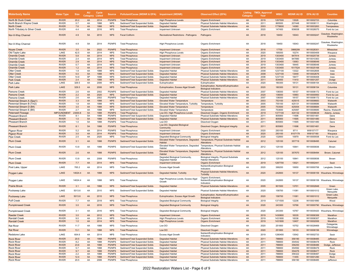| Waterbody Name                                       | Water Type                   | <b>Size</b>  | <b>AU</b><br>Category | Cycle<br>Listed | <b>Source</b>                  | Pollutant/Cause (WDNR & EPA) Impairment (WDNR)                     |                                                                            | <b>Observed Effect (EPA)</b>                                                                                                           | Category | <b>Listing TMDL Approval</b><br>Year | <b>WBIC</b>      | <b>WDNR AU ID</b> | <b>EPA AU ID</b>         | <b>Counties</b>                  |
|------------------------------------------------------|------------------------------|--------------|-----------------------|-----------------|--------------------------------|--------------------------------------------------------------------|----------------------------------------------------------------------------|----------------------------------------------------------------------------------------------------------------------------------------|----------|--------------------------------------|------------------|-------------------|--------------------------|----------------------------------|
| <b>North Br Duck Creek</b>                           | <b>RIVER</b>                 | 20.2         | 4A                    | 2014            | <b>PS/NPS</b>                  | <b>Total Phosphorus</b>                                            | <b>High Phosphorus Levels</b>                                              | <b>Organic Enrichment</b>                                                                                                              | 4A       | 2019                                 | 1267500          | 13526             | WI10002723               | Columbia                         |
| North Branch Wayne Creek                             | <b>RIVER</b>                 | 0.7          | 4A                    | 1998            | <b>NPS</b>                     | Sediment/Total Suspended Solids                                    | Degraded Habitat                                                           | Physical Substrate Habitat Alterations                                                                                                 | 4A       | 2011                                 | 865500           | 207448            | WI10008111               | Washington                       |
| <b>North Creek</b>                                   | <b>RIVER</b>                 | 7.6          | 4A                    | 1998            | <b>NPS</b>                     | Sediment/Total Suspended Solids                                    | <b>Degraded Habitat</b>                                                    | <b>Physical Substrate Habitat Alterations</b>                                                                                          | 4A       | 2003                                 | 1778600          | 14360             | WI10003263               | Trempealeau                      |
| North Tributary to Silver Creek                      | <b>RIVER</b>                 | 4.4          | 4A                    | 2016            | <b>NPS</b>                     | <b>Total Phosphorus</b>                                            | Impairment Unknown                                                         | Organic Enrichment                                                                                                                     | 4A       | 2020                                 | 147400           | 936838            | WI10026075               | Fond du Lac                      |
| Nor-X-Way Channel                                    | <b>RIVER</b>                 | 4.9          | 5A                    | 2010            | <b>NPS</b>                     | <b>Fecal Coliform</b>                                              | <b>Recreational Restrictions - Pathogens</b>                               | Pathogens                                                                                                                              | 4A       | 2018                                 | 18450            | 10043             | WI10000247               | Ozaukee, Washington,<br>Waukesha |
| Nor-X-Way Channel                                    | <b>RIVER</b>                 | 4.9          | 5A                    | 2014            | <b>PS/NPS</b>                  | <b>Total Phosphorus</b>                                            | <b>High Phosphorus Levels</b>                                              | Organic Enrichment                                                                                                                     | 4A       | 2018                                 | 18450            | 10043             | WI10000247               | Ozaukee, Washington,<br>Waukesha |
| <b>Noyes Creek</b>                                   | <b>RIVER</b>                 | 3.5          | 5A                    | 2022            | <b>PS/NPS</b>                  | <b>Total Phosphorus</b>                                            | <b>Impairment Unknown</b>                                                  | Organic Enrichment                                                                                                                     | 4A       | 2018                                 | 17700            | 3988299           | WI10028301               | Milwaukee                        |
| Old Taylor Lake                                      | LAKE                         | 42.5         | 4A                    | 2014            | <b>NPS</b>                     | <b>Total Phosphorus</b>                                            | <b>High Phosphorus Levels</b>                                              | Organic Enrichment                                                                                                                     | 4A       | 2020                                 | 195000           | 10274             | WI10000409               | Waupaca                          |
| <b>Onemile Creek</b>                                 | <b>RIVER</b>                 | 5.8          | 4A                    | 2014            | <b>NPS</b>                     | <b>Total Phosphorus</b>                                            | Impairment Unknown                                                         | <b>Organic Enrichment</b>                                                                                                              | 4A       | 2019                                 | 1303400          | 947914            | WI10025739               | Juneau                           |
| Onemile Creek                                        | <b>RIVER</b>                 | 2.4          | 4A                    | 2014            | <b>NPS</b>                     | <b>Total Phosphorus</b>                                            | Impairment Unknown                                                         | Organic Enrichment                                                                                                                     | 4A       | 2019                                 | 1303400          | 947890            | WI10010363               | Juneau                           |
| <b>Onemile Creek</b>                                 | <b>RIVER</b>                 | 2.9          | 4A                    | 2014            | <b>NPS</b>                     | <b>Total Phosphorus</b>                                            | <b>Impairment Unknown</b>                                                  | <b>Organic Enrichment</b>                                                                                                              | 4A       | 2019                                 | 1303400          | 13063             | WI10008049               | Juneau                           |
| Onemile Creek                                        | <b>RIVER</b>                 | 0.7          | 4A                    | 2014            | <b>NPS</b>                     | <b>Total Phosphorus</b>                                            | Impairment Unknown                                                         | Organic Enrichment                                                                                                                     | 4A       | 2019                                 | 1303400          | 18445             | WI10008048               | Juneau                           |
| <b>Onemile Creek</b>                                 | <b>RIVER</b>                 | 1.2          | 4A                    | 2014            | <b>NPS</b>                     | <b>Total Phosphorus</b>                                            | <b>Impairment Unknown</b>                                                  | <b>Organic Enrichment</b>                                                                                                              | 4A       | 2019                                 | 1303400          | 1517524           | WI10025168               | Juneau                           |
| Otter Creek                                          | <b>RIVER</b>                 | 1.9          | 4A                    | 1998            | <b>NPS</b>                     | Sediment/Total Suspended Solids                                    | Degraded Habitat                                                           | Physical Substrate Habitat Alterations                                                                                                 | 4A       | 2008                                 | 1237100          | 13322             | WI10002606               | lowa                             |
| <b>Otter Creek</b>                                   | <b>RIVER</b>                 | 5.0          | 5A                    | 1998            | <b>NPS</b>                     | Sediment/Total Suspended Solids                                    | <b>Degraded Habitat</b>                                                    | <b>Physical Substrate Habitat Alterations</b>                                                                                          | 4A       | 2008                                 | 1237100          | 13449             | WI10002676               | lowa                             |
| Otter Creek                                          | <b>RIVER</b>                 | 14.9         | 5P                    | 1998            | <b>NPS</b>                     | Sediment/Total Suspended Solids                                    | Degraded Habitat                                                           | Physical Substrate Habitat Alterations                                                                                                 | 4A       | 2008                                 | 1237100          | 18477             | WI10006408               | lowa                             |
| <b>Park Creek</b>                                    | <b>RIVER</b>                 | 2.4          | 4A                    | 1998            | <b>NPS</b>                     | Sediment/Total Suspended Solids                                    | <b>Degraded Habitat</b>                                                    | <b>Physical Substrate Habitat Alterations</b>                                                                                          | 4A       | 2011                                 | 834400           | 11410             | WI10001257               | Dodge                            |
| Park Lake                                            | LAKE                         | 329.5        | 4A                    | 2006            | <b>NPS</b>                     | Sediment/Total Suspended Solids                                    | Eutrophication                                                             | Eutrophication                                                                                                                         | 4A       | 2020                                 | 180300           | 18131             | WI10006154               | Columbia                         |
| Park Lake                                            | LAKE<br><b>RIVER</b>         | 329.5<br>2.6 | 4A<br>4A              | 2006<br>2002    | <b>NPS</b><br><b>PS/NPS</b>    | <b>Total Phosphorus</b>                                            | Eutrophication, Excess Algal Growth                                        | Eutrophication, Nutrient/Eutrophication<br><b>Biological Indicators</b>                                                                | 4A<br>4A | 2020<br>2007                         | 180300<br>136000 | 18131             | WI10006154               | Columbia<br>Fond du Lac          |
| Parsons Creek                                        | <b>RIVER</b>                 |              |                       |                 |                                | Sediment/Total Suspended Solids                                    | Degraded Habitat                                                           | Physical Substrate Habitat Alterations                                                                                                 |          |                                      |                  | 18157<br>10993    | WI10006172               |                                  |
| <b>Parsons Creek</b><br>Parsons Creek                | <b>RIVER</b>                 | 2.2<br>2.6   | 4A<br>4A              | 2020<br>2002    | <b>NPS</b><br><b>PS/NPS</b>    | Sediment/Total Suspended Solids<br><b>Total Phosphorus</b>         | <b>Degraded Habitat</b>                                                    | <b>Physical Substrate Habitat Alterations</b>                                                                                          | 4A<br>4A | 2020<br>2007                         | 136000<br>136000 | 18157             | WI10000950<br>WI10006172 | Fond du Lac<br>Fond du Lac       |
|                                                      | <b>RIVER</b>                 |              |                       |                 |                                |                                                                    | Degraded Habitat                                                           | Physical Substrate Habitat Alterations                                                                                                 | 4A       | 2003                                 | 753100           | 425015            |                          |                                  |
| Perennial Stream A (Spp1)<br>Perennial Stream B (Tm2 | <b>RIVER</b>                 | 3.3<br>1.8   | 4A<br>4A              | 1998<br>1998    | <b>NPS</b><br><b>NPS</b>       | Sediment/Total Suspended Solids                                    | <b>Elevated Water Temperature</b>                                          | Temperature                                                                                                                            | 4A       | 2005                                 | 755100           | 425131            | WI10008683<br>WI10008686 | Walworth<br>Walworth             |
| Perennial Stream D (B4)                              | <b>RIVER</b>                 | 3.0          | 4A                    | 1998            | <b>NPS</b>                     | Sediment/Total Suspended Solids                                    | Elevated Water Temperature, Turbidity<br><b>Elevated Water Temperature</b> | Temperature, Turbidity                                                                                                                 | 4A       | 2005                                 | 753500           | 425054            | WI10008684               | Walworth                         |
|                                                      | <b>RIVER</b>                 | 2.7          | 4A                    | 1998            | <b>NPS</b>                     | Sediment/Total Suspended Solids<br>Sediment/Total Suspended Solids | <b>Elevated Water Temperature</b>                                          | Temperature<br>Temperature                                                                                                             | 4A       | 2003                                 | 753600           | 425097            | WI10008685               | Racine, Walworth                 |
| Perennial Stream E (B5)<br>Petenwell Flowage         | <b>IMPOUNDMEN</b>            | 23000.8      | 5A                    | 1998            | <b>PS/NPS</b>                  | <b>Total Phosphorus</b>                                            | Low DO, High Phosphorus Levels                                             |                                                                                                                                        | 4A       | 2019                                 | 1377100          | 424132            | WI10008638               | Adams, Juneau                    |
|                                                      | <b>RIVER</b>                 | 8.1          | 5A                    | 1998            | <b>PS/NPS</b>                  | Sediment/Total Suspended Solids                                    | Degraded Habitat                                                           | Dissolved Oxygen, Organic Enrichment<br>Physical Substrate Habitat Alterations                                                         | 4A       | 2011                                 | 805900           | 11696             | WI10001481               | Dane                             |
| <b>Pheasant Branch</b><br><b>Pheasant Branch</b>     | <b>RIVER</b>                 | 1.0          | 5A                    | 1998            | <b>PS/NPS</b>                  | Sediment/Total Suspended Solids                                    | <b>Degraded Habitat</b>                                                    | <b>Physical Substrate Habitat Alterations</b>                                                                                          | 4A       | 2011                                 | 805900           | 11695             | WI10001480               | Dane                             |
|                                                      | <b>RIVER</b>                 | 1.0          | 5A                    | 1998            | <b>PS/NPS</b>                  | <b>Total Phosphorus</b>                                            | Low DO                                                                     | Dissolved Oxygen                                                                                                                       | 4A       | 2011                                 | 805900           | 11695             | WI10001480               | Dane                             |
| Pheasant Branch<br><b>Pheasant Branch</b>            | <b>RIVER</b>                 | 8.1          | 5A                    | 1998            | <b>PS/NPS</b>                  | <b>Total Phosphorus</b>                                            | Low DO, Degraded Biological<br>Community                                   | Dissolved Oxygen, Biological Integrity                                                                                                 | 4A       | 2011                                 | 805900           | 11696             | WI10001481               | Dane                             |
| Pigeon River                                         | <b>RIVER</b>                 | 5.2          | 4A                    | 2014            | <b>PS/NPS</b>                  | <b>Total Phosphorus</b>                                            | Impairment Unknown                                                         | Organic Enrichment                                                                                                                     | 4A       | 2020                                 | 293100           | 9711              | WI8107177                | Waupaca                          |
| <b>Pigeon River</b>                                  | <b>RIVER</b>                 | 3.0          | 4A                    | 2014            | <b>PS/NPS</b>                  | <b>Total Phosphorus</b>                                            | <b>Impairment Unknown</b>                                                  | <b>Organic Enrichment</b>                                                                                                              | 4A       | 2020                                 | 293100           | 8107179           | WI8107180                | Waupaca                          |
| <b>Pipe Creek</b>                                    | <b>RIVER</b>                 | 2.5          | 4A                    | 2020            | <b>NPS</b>                     | <b>Total Phosphorus</b>                                            | Degraded Biological Community                                              | <b>Biological Integrity</b>                                                                                                            | 4A       | 2020                                 | 132800           | 10979             | WI10000938               | Fond du Lac                      |
| <b>Plum Creek</b>                                    | <b>RIVER</b>                 | 3.1          | 4A                    | 1998            | <b>PS/NPS</b>                  | Sediment/Total Suspended Solids                                    | Elevated Water Temperature, Degraded<br>Habitat                            | Temperature, Physical Substrate Habitat<br>Alterations                                                                                 | 4A       | 2012                                 | 125100           | 357719            | WI10008495               | Calumet                          |
| Plum Creek                                           | <b>RIVER</b>                 | 13.9         | 4A                    | 1998            | <b>PS/NPS</b>                  | Sediment/Total Suspended Solids                                    | Habitat<br>Elevated Water Temperature, Degraded                            | Elevated Water Temperature, Degraded Temperature, Physical Substrate Habitat<br>Alterations<br>Temperature, Physical Substrate Habitat | 4A       | 2012                                 | 125100           | 10841             | WI10000836               | Brown                            |
| <b>Plum Creek</b>                                    | <b>RIVER</b><br><b>RIVER</b> | 2.6<br>13.9  | 4A<br>4A              | 1998<br>2008    | <b>PS/NPS</b><br><b>PS/NPS</b> | Sediment/Total Suspended Solids<br><b>Total Phosphorus</b>         | Habitat<br>Degraded Biological Community,                                  | Alterations<br>Biological Integrity, Physical Substrate                                                                                | 4A<br>4A | 2012<br>2012                         | 125100<br>125100 | 357670<br>10841   | WI10008494<br>WI10000836 | Brown, Calumet<br>Brown          |
| Plum Creek                                           |                              |              |                       |                 |                                |                                                                    | Degraded Habitat                                                           | <b>Habitat Alterations</b>                                                                                                             |          |                                      |                  |                   |                          |                                  |
| <b>Plum Creek</b>                                    | <b>RIVER</b>                 | 7.7          | 4A                    | 2014            | <b>NPS</b>                     | <b>Total Phosphorus</b>                                            | <b>Impairment Unknown</b>                                                  | <b>Organic Enrichment</b>                                                                                                              | 4A       | 2019                                 | 1287700          | 13021             | WI10002441               | Sauk                             |
| Post Lake, Upper                                     | LAKE                         | 765.2        | 4A                    | 2014            | <b>NPS</b>                     | <b>Total Phosphorus</b>                                            | <b>Excess Algal Growth</b>                                                 | Nutrient/Eutrophication Biological<br>Indicators                                                                                       | 4A       | 2020                                 | 399200           | 10650             | WI10000706               | Langlade, Oneida                 |
| Poygan Lake                                          | LAKE                         | 14024.4      | 4A                    | 1998            | <b>NPS</b>                     | Sediment/Total Suspended Solids                                    | Degraded Habitat, Turbidity                                                | Physical Substrate Habitat Alterations,<br><b>Turbidity</b><br>Organic Enrichment,                                                     | 4A       | 2020                                 | 242800           | 18137             |                          | WI10006159 Waushara, Winnebago   |
| Poygan Lake                                          | LAKE                         | 14024.4      | 4A                    | 1998            | <b>NPS</b>                     | <b>Total Phosphorus</b>                                            | High Phosphorus Levels, Excess Algal<br>Growth                             | Nutrient/Eutrophication Biological<br>Indicators                                                                                       | 4A       | 2020                                 | 242800           | 18137             |                          | WI10006159 Waushara, Winnebago   |
| <b>Prairie Brook</b>                                 | <b>RIVER</b>                 | 3.1          | 4A                    | 1998            | <b>NPS</b>                     | Sediment/Total Suspended Solids                                    | <b>Degraded Habitat</b>                                                    | <b>Physical Substrate Habitat Alterations</b>                                                                                          | 4A       | 2005                                 | 901500           | 13701             | WI10002848               | Green                            |
| Puckaway Lake                                        | LAKE                         | 5013.6       | 4A                    | 2010            | <b>NPS</b>                     | Sediment/Total Suspended Solids                                    | Degraded Habitat                                                           | Physical Substrate Habitat Alterations                                                                                                 | 4A       | 2020                                 | 158700           | 11081             | WI10001012               | Green Lake,<br>Marquette         |
| Puckaway Lake                                        | LAKE                         | 5013.6       | 4A                    | 2010            | <b>NPS</b>                     | <b>Total Phosphorus</b>                                            | Eutrophication, Excess Algal Growth                                        | Eutrophication, Nutrient/Eutrophication<br><b>Biological Indicators</b>                                                                | 4A       | 2020                                 | 158700           | 11081             | WI10001012               | Green Lake<br>Marquette          |
| <b>Puff Creek</b>                                    | <b>RIVER</b>                 | 7.7          | 4A                    | 2018            | <b>NPS</b>                     | <b>Total Phosphorus</b>                                            | Degraded Biological Community                                              | <b>Biological Integrity</b>                                                                                                            | 4A       | 2019                                 | 1371500          | 12236             | WI10001890               | Wood                             |
| <b>Pumpkinseed Creek</b>                             | <b>RIVER</b>                 | 3.0          | 4A                    | 2016            | <b>NPS</b>                     | <b>Total Phosphorus</b>                                            | <b>Degraded Biological Community</b>                                       | <b>Biological Integrity</b>                                                                                                            | 4A       | 2020                                 | 243300           | 10766             |                          | WI10000790 Waushara, Winnebago   |
| Pumpkinseed Creek                                    | RIVER                        | 3.1          |                       | 2016            | NPS                            | ⊺otal Phosphorus                                                   | Degraded Biological Community                                              | <b>Biological Integrity</b>                                                                                                            | 4A       | 2020                                 | 243300           | 10767             | WI10035420               | Waushara, Winnebag               |
| Raeder Creek                                         | <b>RIVER</b>                 | 3.0          | 4A                    | 2012            | <b>NPS</b>                     | <b>Total Phosphorus</b>                                            | <b>Impairment Unknown</b>                                                  | <b>Organic Enrichment</b>                                                                                                              | 4A       | 2019                                 | 1430800          | 18335             | WI10006306               | Marathon                         |
| Randall Creek                                        | <b>RIVER</b>                 | 9.0          | 4A                    | 2014            | <b>NPS</b>                     | <b>Total Phosphorus</b>                                            | <b>High Phosphorus Levels</b>                                              | Organic Enrichment                                                                                                                     | 4A       | 2019                                 | 1431800          | 18336             | WI10006307               | Marathon                         |
| <b>Randall Creek</b>                                 | <b>RIVER</b>                 | 1.0          | 4A                    | 2014            | <b>NPS</b>                     | <b>Total Phosphorus</b>                                            | <b>High Phosphorus Levels</b>                                              | <b>Organic Enrichment</b>                                                                                                              | 4A       | 2019                                 | 1431800          | 12407             | WI10002006               | Marathon                         |
| <b>Rat River</b>                                     | <b>RIVER</b>                 | 11.7         | 4A                    | 1998            | <b>NPS</b>                     | <b>Total Phosphorus</b>                                            | Low DO                                                                     | Dissolved Oxygen                                                                                                                       | 4A       | 2020                                 | 251800           | 10752             | WI10026469               | Outagamie,                       |
| <b>Rat River</b>                                     | <b>RIVER</b>                 | 13.1         | 5A                    | 1998            | <b>NPS</b>                     | <b>Total Phosphorus</b>                                            | Low DO                                                                     | Dissolved Oxygen                                                                                                                       | 4A       | 2020                                 | 251800           | 18133             | WI10006156               | Winnebago<br>Winnebago           |
| Redstone Lake                                        | LAKE                         | 604.6        | 4A                    | 2014            | <b>NPS</b>                     | <b>Total Phosphorus</b>                                            | <b>Excess Algal Growth</b>                                                 | Nutrient/Eutrophication Biological<br>Indicators                                                                                       | 4A       | 2019                                 | 1280400          | 13542             | WI10002733               | Sauk                             |
| <b>Rock River</b>                                    | <b>RIVER</b>                 | 20.5         | 4A                    | 1998            | <b>PS/NPS</b>                  | Sediment/Total Suspended Solids                                    | <b>Degraded Habitat</b>                                                    | <b>Physical Substrate Habitat Alterations</b>                                                                                          | 4A       | 2011                                 | 788800           | 356190            | WI10008485               | Jefferson                        |
| <b>Rock River</b>                                    | <b>RIVER</b>                 | 8.2          | 4A                    | 1998            | <b>PS/NPS</b>                  | Sediment/Total Suspended Solids                                    | Degraded Habitat                                                           | Physical Substrate Habitat Alterations                                                                                                 | 4A       | 2011                                 | 788800           | 354542            | WI10008478               | Rock                             |
| <b>Rock River</b>                                    | <b>RIVER</b>                 | 23.6         | 4A                    | 1998            | <b>PS/NPS</b>                  | Sediment/Total Suspended Solids                                    | <b>Degraded Habitat</b>                                                    | <b>Physical Substrate Habitat Alterations</b>                                                                                          | 4A       | 2011                                 | 788800           | 356250            | WI10008486               | Dodge, Jefferson                 |
| <b>Rock River</b>                                    | <b>RIVER</b>                 | 5.7          | 4A                    | 1998            | <b>PS/NPS</b>                  | Sediment/Total Suspended Solids                                    | Degraded Habitat                                                           | Physical Substrate Habitat Alterations                                                                                                 | 4A       | 2011                                 | 788800           | 354592            | WI10008479               | Rock                             |
| <b>Rock River</b>                                    | <b>RIVER</b>                 | 9.7          | 4A                    | 1998            | <b>PS/NPS</b>                  | Sediment/Total Suspended Solids                                    | <b>Degraded Habitat</b>                                                    | <b>Physical Substrate Habitat Alterations</b>                                                                                          | 4A       | 2011                                 | 788800           | 354476            | WI10008477               | Rock                             |
| <b>Rock River</b>                                    | <b>RIVER</b>                 | 2.2          | 4A                    | 1998            | <b>PS/NPS</b>                  | Sediment/Total Suspended Solids                                    | Degraded Habitat                                                           | Physical Substrate Habitat Alterations                                                                                                 | 4A       | 2011                                 | 788800           | 356322            | WI10008487               | Dodge                            |
| <b>Rock River</b>                                    | <b>RIVER</b>                 | 12.4         | 5A                    | 1998            | <b>PS/NPS</b>                  | Sediment/Total Suspended Solids                                    | <b>Degraded Habitat</b>                                                    | <b>Physical Substrate Habitat Alterations</b>                                                                                          | 4A       | 2011                                 | 788800           | 11455             | WI10001290               | Rock                             |
| <b>Rock River</b>                                    | <b>RIVER</b>                 | 20.5         | 4A                    | 2006            | PS/NPS                         | <b>Total Phosphorus</b>                                            | Degraded Habitat                                                           | Physical Substrate Habitat Alterations                                                                                                 | 4A       | 2011                                 | 788800           | 356190            | WI10008485               | Jefferson                        |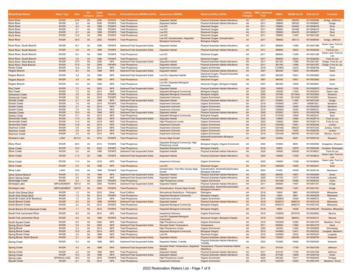| <b>Waterbody Name</b>                                 | <b>Water Type</b>            | <b>Size</b> | <b>AU</b><br>Category | <b>Cycle</b><br>Listed | <b>Source</b>                  | Pollutant/Cause (WDNR & EPA) Impairment (WDNR)     |                                                                       | <b>Observed Effect (EPA)</b>                                            | Category | <b>Listing TMDL Approval</b><br>Year | <b>WBIC</b>      | <b>WDNR AU ID</b> | <b>EPA AU ID</b> | <b>Counties</b>                             |
|-------------------------------------------------------|------------------------------|-------------|-----------------------|------------------------|--------------------------------|----------------------------------------------------|-----------------------------------------------------------------------|-------------------------------------------------------------------------|----------|--------------------------------------|------------------|-------------------|------------------|---------------------------------------------|
| <b>Rock River</b>                                     | <b>RIVER</b>                 | 23.6        | 4A                    | 2006                   | <b>PS/NPS</b>                  | <b>Total Phosphorus</b>                            | <b>Degraded Habitat</b>                                               | <b>Physical Substrate Habitat Alterations</b>                           | 4A       | 2011                                 | 788800           | 356250            | WI10008486       | Dodge, Jefferson                            |
| <b>Rock River</b>                                     | <b>RIVER</b>                 | 2.2         | 4A                    | 2006                   | <b>PS/NPS</b>                  | <b>Total Phosphorus</b>                            | Degraded Habitat                                                      | Physical Substrate Habitat Alterations                                  | 4A       | 2011                                 | 788800           | 356322            | WI10008487       | Dodge                                       |
| <b>Rock River</b>                                     | <b>RIVER</b>                 | 8.2         | 4A                    | 1998                   | <b>PS/NPS</b>                  | <b>Total Phosphorus</b>                            | Low DO                                                                | <b>Dissolved Oxygen</b>                                                 | 4A       | 2011                                 | 788800           | 354542            | WI10008478       | Rock                                        |
| <b>Rock River</b>                                     | <b>RIVER</b>                 | 5.7         | 4A                    | 1998                   | <b>PS/NPS</b>                  | <b>Total Phosphorus</b>                            | Low DO                                                                | Dissolved Oxygen                                                        | 4A       | 2011                                 | 788800           | 354592            | WI10008479       | Rock                                        |
| <b>Rock River</b>                                     | <b>RIVER</b>                 | 9.7         | 4A                    | 1998                   | <b>PS/NPS</b>                  | <b>Total Phosphorus</b>                            | Low DO                                                                | <b>Dissolved Oxygen</b>                                                 | 4A       | 2011                                 | 788800           | 354476            | WI10008477       | Rock                                        |
| <b>Rock River</b>                                     | <b>RIVER</b>                 | 12.4        | 5A                    | 1998                   | <b>PS/NPS</b>                  | <b>Total Phosphorus</b>                            | Low DO                                                                | Dissolved Oxygen                                                        | 4A       | 2011                                 | 788800           | 11455             | WI10001290       | Rock                                        |
| <b>Rock River</b>                                     | <b>RIVER</b>                 | 35.5        | 4A                    | 2002                   | <b>PS/NPS</b>                  | <b>Total Phosphorus</b>                            | Low DO, Eutrophication, Degraded<br><b>Biological Community</b>       | Dissolved Oxygen, Eutrophication,<br><b>Biological Integrity</b>        | 4A       | 2011                                 | 788800           | 356113            | WI10008484       | Dodge, Jefferson                            |
| Rock River, South Branch                              | <b>RIVER</b>                 | 16.1        | 4A                    | 1998                   | <b>PS/NPS</b>                  | Sediment/Total Suspended Solids                    | Degraded Habitat                                                      | Physical Substrate Habitat Alterations                                  | 4A       | 2011                                 | 869800           | 11580             | WI10001398       | Green Lake, Fond du<br>Lac                  |
| Rock River, South Branch                              | <b>RIVER</b>                 | 3.6         | 4A                    | 1998                   | <b>PS/NPS</b>                  | Sediment/Total Suspended Solids                    | <b>Degraded Habitat</b>                                               | <b>Physical Substrate Habitat Alterations</b>                           | 4A       | 2011                                 | 869800           | 18232             | WI10026280       | Fond du Lac<br>Green Lake, Fond du          |
| Rock River, South Branch                              | <b>RIVER</b>                 | 16.1        | 4A                    | 1998                   | PS/NPS                         | <b>Total Phosphorus</b>                            | Low DO                                                                | Dissolved Oxygen                                                        | 4A       | 2011                                 | 869800           | 11580             | WI10001398       | Lac                                         |
| Rock River, South Branch                              | <b>RIVER</b>                 | 3.6         | 4A                    | 1998                   | <b>PS/NPS</b>                  | <b>Total Phosphorus</b>                            | Low DO                                                                | <b>Dissolved Oxygen</b>                                                 | 4A       | 2011                                 | 869800           | 18232             | WI10026280       | Fond du Lac                                 |
| Rock River, West Branch                               | <b>RIVER</b>                 | 37.6        | 5A                    | 2006                   | <b>NPS</b>                     | Sediment/Total Suspended Solids                    | Degraded Habitat                                                      | Physical Substrate Habitat Alterations                                  | 4A       | 2011                                 | 861300           | 11566             | WI10001387       | Dodge, Fond du Lac                          |
| Rock River, West Branch                               | <b>RIVER</b>                 | 37.6        | 5A                    | 2006                   | <b>PS/NPS</b>                  | <b>Total Phosphorus</b>                            | <b>Degraded Habitat</b>                                               | <b>Physical Substrate Habitat Alterations</b>                           | 4A       | 2011                                 | 861300           | 11566             | WI10001387       | Dodge, Fond du Lac                          |
| Rocky Creek                                           | <b>RIVER</b>                 | 12.2        | 4A                    | 2014                   | <b>NPS</b>                     | <b>Total Phosphorus</b>                            | Impairment Unknown                                                    | Organic Enrichment                                                      | 4A       | 2019                                 | 1370800          | 12233             | WI10008189       | Wood                                        |
| Rogers Branch                                         | <b>RIVER</b>                 | 8.0         | 5A                    | 1998                   | <b>NPS</b>                     | Sediment/Total Suspended Solids                    | <b>Degraded Habitat</b>                                               | <b>Physical Substrate Habitat Alterations</b>                           | 4A       | 2007                                 | 964300           | 13930             | WI10002981       | Grant                                       |
| Rogers Branch                                         | <b>RIVER</b>                 | 3.8         | 4A                    | 1998                   | <b>NPS</b>                     | Sediment/Total Suspended Solids                    | Low DO, Degraded Habitat                                              | Dissolved Oxygen, Physical Substrate<br><b>Habitat Alterations</b>      | 4A       | 2007                                 | 964300           | 13931             | WI10002982       | Grant                                       |
| Rogers Branch                                         | <b>RIVER</b>                 | 3.8         | 4A                    | 1998                   | <b>NPS</b>                     | <b>Total Phosphorus</b>                            | Low DO                                                                | <b>Dissolved Oxygen</b>                                                 | 4A       | 2007                                 | 964300           | 13931             | WI10002982       | Grant                                       |
| Rogers Branch                                         | <b>RIVER</b>                 | 8.0         | 5A                    | 1998                   | <b>NPS</b>                     | <b>Total Phosphorus</b>                            | Low DO, Degraded Biological<br>Community                              | Dissolved Oxygen, Biological Integrity                                  | 4A       | 2007                                 | 964300           | 13930             | WI10002981       | Grant                                       |
| <b>Roy Creek</b>                                      | <b>RIVER</b>                 | 7.2         | 4A                    | 2002                   | <b>NPS</b>                     | Sediment/Total Suspended Solids                    | <b>Degraded Habitat</b>                                               | <b>Physical Substrate Habitat Alterations</b>                           | 4A       | 2020                                 | 148200           | 11030             | WI10000975       | <b>Green Lake</b>                           |
| <b>Roy Creek</b>                                      | <b>RIVER</b>                 | 7.2         | 4A                    | 2014                   | <b>NPS</b>                     | <b>Total Phosphorus</b>                            | Degraded Biological Community                                         | <b>Biological Integrity</b>                                             | 4A       | 2020                                 | 148200           | 11030             | WI10000975       | Green Lake                                  |
| <b>Schoenick Creek</b>                                | <b>RIVER</b>                 | 3.5         | 4A                    | 2016                   | <b>PS/NPS</b>                  | <b>Total Phosphorus</b>                            | <b>Degraded Biological Community</b>                                  | <b>Biological Integrity</b>                                             | 4A       | 2020                                 | 321000           | 5513424           | WI10032982       | Shawano                                     |
| <b>Schoenick Creek</b>                                | <b>RIVER</b>                 | 0.6         | 4A                    | 2016                   | <b>PS/NPS</b>                  | <b>Total Phosphorus</b>                            | Impairment Unknown                                                    | Organic Enrichmen                                                       | 4A       | 2020                                 | 321000           | 5513393           | WI10032981       | Shawano                                     |
| <b>Schultz Creek</b>                                  | <b>RIVER</b>                 | 4.7         | 4A                    | 1998                   | <b>NPS</b>                     | Sediment/Total Suspended Solids                    | <b>Degraded Habitat</b>                                               | <b>Physical Substrate Habitat Alterations</b>                           | 4A       | 2011                                 | 833800           | 11406             | WI10001254       | Dodge                                       |
| Scotch Creek                                          | <b>RIVER</b>                 | 7.6         | 4A                    | 2014                   | <b>PS/NPS</b>                  | <b>Total Phosphorus</b>                            | Impairment Unknown                                                    | Organic Enrichment                                                      | 4A       | 2019                                 | 1455600          | 12461             | WI6961623        | Marathon                                    |
| <b>Scotch Creek</b>                                   | <b>RIVER</b>                 | 3.7         | 4A                    | 2014                   | <b>NPS</b>                     | <b>Total Phosphorus</b>                            | Impairment Unknown                                                    | <b>Organic Enrichment</b>                                               | 4A       | 2019                                 | 1455600          | 12460             | WI10002049       | Marathon                                    |
| Scotch Creek                                          | <b>RIVER</b>                 | 7.0         | 4A                    | 2014                   | <b>NPS</b>                     | <b>Total Phosphorus</b>                            | Impairment Unknown                                                    | Organic Enrichment                                                      | 4A       | 2019                                 | 1455600          | 18354             | WI10006321       | Marathon                                    |
| <b>Searles Creek</b>                                  | <b>RIVER</b>                 | 10.3        | 4A                    | 1998                   | <b>NPS</b>                     | Sediment/Total Suspended Solids                    | <b>Degraded Habitat</b>                                               | <b>Physical Substrate Habitat Alterations</b>                           | 4A       | 2005                                 | 879500           | 13618             | WI10002798       | Green                                       |
| Seelev Creek                                          | <b>RIVER</b>                 | 13.1        | 4A                    | 2014                   | <b>NPS</b>                     | <b>Total Phosphorus</b>                            | Degraded Biological Community                                         | <b>Biological Integrity</b>                                             | 4A       | 2019                                 | 1275300          | 12990             | WI10002421       | Sauk                                        |
| Sevenmile Creek                                       | <b>RIVER</b>                 | 11.0        | 4A                    | 2002                   | <b>NPS</b>                     | Sediment/Total Suspended Solids                    | <b>Degraded Habitat</b>                                               | <b>Physical Substrate Habitat Alterations</b>                           | 4A       | 2020                                 | 136800           | 10994             | WI10026719       | Fond du Lac                                 |
| Sevenmile Creek                                       | <b>RIVER</b>                 | 11.0        | 4A                    | 2018                   | <b>NPS</b>                     | <b>Total Phosphorus</b>                            | <b>High Phosphorus Levels</b>                                         | Organic Enrichment                                                      | 4A       | 2020                                 | 136800           | 10994             | WI10026719       | Fond du Lac                                 |
| <b>Sevenmile Creek</b>                                | <b>RIVER</b>                 | 13.8        | 4A                    | 2014                   | <b>NPS</b>                     | <b>Total Phosphorus</b>                            | <b>Impairment Unknown</b>                                             | <b>Organic Enrichment</b>                                               | 4A       | 2019                                 | 1302400          | 13061             | WI10002460       | Juneau                                      |
| Seymour Creek                                         | <b>RIVER</b>                 | 3.9         | 4A                    | 2014                   | <b>NPS</b>                     | <b>Total Phosphorus</b>                            | <b>Impairment Unknown</b>                                             | Organic Enrichment                                                      | 4A       | 2019                                 | 1291400          | 946527            | WI10010325       | Juneau, Vernon                              |
| Seymour Creek                                         | <b>RIVER</b>                 | 2.6         | 4A                    | 2014                   | <b>NPS</b>                     | <b>Total Phosphorus</b>                            | <b>Impairment Unknown</b>                                             | <b>Organic Enrichment</b>                                               | 4A       | 2019                                 | 1291400          | 13024             | WI10026356       | Juneau                                      |
| Seymour Creek                                         | <b>RIVER</b>                 | 5.0         | 4A                    | 2014                   | <b>NPS</b>                     | <b>Total Phosphorus</b>                            | Impairment Unknown                                                    | Organic Enrichment                                                      | 4A       | 2019                                 | 1291400          | 946550            | WI10010326       | Monroe, Vernon                              |
| Shawano Lake                                          | LAKE                         | 6215.5      | 4A                    | 2016                   | <b>PS/NPS</b>                  | <b>Total Phosphorus</b>                            | <b>Excess Algal Growth</b>                                            | Nutrient/Eutrophication Biological<br>Indicators                        | 4A       | 2020                                 | 322800           | 9825              | WI10000104       | Shawano                                     |
| <b>Shioc River</b>                                    | <b>RIVER</b>                 | 28.0        | 4A                    | 2012                   | PS/NPS                         | <b>Total Phosphorus</b>                            | Degraded Biological Community, High<br><b>Phosphorus Levels</b>       | Biological Integrity, Organic Enrichment                                | 4A       | 2020                                 | 316800           | 9800              | WI10000084       | Outagamie, Shawano                          |
| <b>Silver Creek</b>                                   | <b>RIVER</b>                 | 10.5        | 4A                    | 2022                   | <b>PS/NPS</b>                  | <b>Total Phosphorus</b>                            | <b>Degraded Biological Community</b>                                  | <b>Biological Integrity</b>                                             | 4A       | 2018                                 | 29900            | 10076             | WI10000265       | Ozaukee, Sheboygan                          |
| Silver Creek                                          | <b>RIVER</b>                 | 2.0         | 4A                    | 1998                   | PS/NPS                         | Sediment/Total Suspended Solids                    | Degraded Habitat                                                      | Physical Substrate Habitat Alterations                                  | 4A       | 2020                                 | 146800           | 359092            | WI10038623       | Fond du Lac                                 |
| <b>Silver Creek</b>                                   | <b>RIVER</b>                 | 11.4        | 5A                    | 1998                   | <b>PS/NPS</b>                  | Sediment/Total Suspended Solids                    | <b>Degraded Habitat</b>                                               | <b>Physical Substrate Habitat Alterations</b>                           | 4A       | 2020                                 | 146800           | 11028             | WI10038624       | Green Lake, Fond du<br>Lac                  |
| <b>Silver Creek</b>                                   | <b>RIVER</b>                 | 11.4        | 5A                    | 2018                   | <b>NPS</b>                     | <b>Total Phosphorus</b>                            | Impairment Unknown                                                    | Organic Enrichment                                                      | 4A       | 2020                                 | 146800           | 11028             | WI10038624       | Green Lake, Fond du<br>Lac                  |
| <b>Silver Creek</b>                                   | <b>RIVER</b>                 | 4.4         | 5A                    | 1998                   | <b>NPS</b>                     | <b>Total Phosphorus</b>                            | Low DO                                                                | <b>Dissolved Oxygen</b>                                                 | 4A       | 2019                                 | 1280000          | 13004             | WI10002427       | Sauk                                        |
| Silver Lake                                           | LAKE                         | 72.6        | 4A                    | 1998                   | <b>PS/NPS</b>                  | <b>Total Phosphorus</b>                            | Eutrophication, Fish Kills, Excess Algal<br>Growth                    | Eutrophication, Nutrient/Eutrophication<br><b>Biological Indicators</b> | 4A       | 2004                                 | 67400            | 18028             | WI10026144       | Manitowoc                                   |
| <b>Silver School Branch</b>                           | <b>RIVER</b>                 | 6.1         | 4A                    | 1998                   | <b>NPS</b>                     | Sediment/Total Suspended Solids                    | <b>Degraded Habitat</b>                                               | <b>Physical Substrate Habitat Alterations</b>                           | 4A       | 2005                                 | 880400           | 13637             | WI10002809       | Green                                       |
| <b>Silver Spring Creek</b>                            | <b>RIVER</b>                 | 5.9         | 5A                    | 1998                   | <b>NPS</b>                     | Sediment/Total Suspended Solids                    | Degraded Habitat                                                      | Physical Substrate Habitat Alterations                                  | 4A       | 2005                                 | 917700           | 13777             | WI10026289       | Lafayette                                   |
| <b>Silvernagle Creek</b>                              | <b>RIVER</b>                 | 9.2         | 4A                    | 2020                   | <b>PS/NPS</b>                  | <b>Total Phosphorus</b>                            | <b>High Phosphorus Levels</b>                                         | <b>Organic Enrichment</b>                                               | 4A       | 2019                                 | 1467400          | 18369             | WI10006332       | Taylor                                      |
| Sinissippi Lake                                       | <b>IMPOUNDMENT</b>           | 1647.8      | 4A                    | 2006                   | <b>PS/NPS</b>                  | Sediment/Total Suspended Solids                    | Degraded Habitat                                                      | Physical Substrate Habitat Alterations                                  | 4A       | 2011                                 | 859900           | 11467             | WI10001301       | Dodge                                       |
| Sinissippi Lake                                       | <b>IMPOUNDMENT</b>           | 1647.8      | 4A                    | 2006                   | <b>PS/NPS</b>                  | <b>Total Phosphorus</b>                            | Eutrophication, Excess Algal Growth                                   | Eutrophication, Nutrient/Eutrophication<br><b>Biological Indicators</b> | 4A       | 2011                                 | 859900           | 11467             | WI10001301       | Dodge                                       |
| South 43rd Street Ditch                               | <b>RIVER</b>                 | 1.2         | 5A                    | 2010                   | Other                          | <b>Fecal Coliform</b>                              | Recreational Restrictions - Pathogens                                 | Pathogens                                                               | 4A       | 2018                                 | 15900            | 9981              | WI10000209       | Milwaukee                                   |
| South 43rd Street Ditch                               | <b>RIVER</b>                 | 1.2         | 5A                    | 2012                   | <b>PS/NPS</b>                  | <b>Total Phosphorus</b>                            | <b>Degraded Biological Community</b>                                  | <b>Biological Integrity</b>                                             | 4A       | 2018                                 | 15900            | 9981              | WI10000209       | Milwaukee                                   |
| South Br Creek (S Br Baraboo)                         | <b>RIVER</b>                 | 1.3         | 4A                    | 2014                   | <b>NPS</b>                     | <b>Total Phosphorus</b>                            | <b>Impairment Unknown</b>                                             | Organic Enrichment                                                      | 4A       | 2019                                 | 1289800          | 13029             | WI10008072       | Vernon                                      |
| South Branch Creek                                    | <b>RIVER</b>                 | 2.4         | 5A                    | 1998                   | <b>PS/NPS</b>                  | Sediment/Total Suspended Solids                    | <b>Degraded Habitat</b>                                               | <b>Physical Substrate Habitat Alterations</b>                           | 4A       | 2018                                 | 3000073          | 3899370           | WI10027435       | Milwaukee                                   |
| South Branch Creek<br>South Branch Of Underwood Creek | <b>RIVER</b><br><b>RIVER</b> | 2.4<br>1.1  | 5A<br>5A              | 2012<br>2012           | <b>PS/NPS</b><br><b>PS/NPS</b> | <b>Total Phosphorus</b><br><b>Total Phosphorus</b> | Degraded Biological Community<br><b>Degraded Biological Community</b> | <b>Biological Integrity</b><br><b>Biological Integrity</b>              | 4A<br>4A | 2018<br>2018                         | 3000073<br>16800 | 3899370<br>10028  | WI10027435       | Milwaukee<br>WI10000236 Waukesha, Milwaukee |
| South Fork Lemonweir River                            | <b>RIVER</b>                 | 8.8         | 4A                    | 2014                   | <b>NPS</b>                     | <b>Total Phosphorus</b>                            | Impairment Unknown                                                    | Organic Enrichment                                                      | 4A       | 2019                                 | 1338500          | 3870704           | WI10025902       | Monroe                                      |
| South Fork Lemonweir River                            | <b>RIVER</b>                 | 6.0         | 5A                    | 1998                   | <b>PS/NPS</b>                  | <b>Total Phosphorus</b>                            | Low DO, Degraded Biological<br>Community                              | Dissolved Oxygen, Biological Integrity                                  | 4A       | 2019                                 | 1338500          | 888023            | WI10035721       | Monroe                                      |
| South Squaw Creek                                     | <b>RIVER</b>                 | 8.0         | 4A                    | 2020                   | <b>NPS</b>                     | <b>Total Phosphorus</b>                            | <b>High Phosphorus Levels</b>                                         | Organic Enrichment                                                      | 4A       | 2019                                 | 1420500          | 12362             | WI10001975       | Marathon, Wood                              |
| Spring (Dorn) Creek                                   | <b>RIVER</b>                 | 5.5         | 5A                    | 2002                   | <b>NPS</b>                     | Sediment/Total Suspended Solids                    | <b>Elevated Water Temperature</b>                                     | Temperature                                                             | 4A       | 2011                                 | 805600           | 11694             | WI10001479       | Dane                                        |
| <b>Spring Brook</b>                                   | <b>RIVER</b>                 | 2.2         | 4A                    | 2014                   | <b>NPS</b>                     | <b>Total Phosphorus</b>                            | <b>High Phosphorus Levels</b>                                         | Organic Enrichment                                                      | 4A       | 2020                                 | 140300           | 11005             | WI10000956       | Winnebago                                   |
| <b>Spring Brook Creek</b>                             | <b>RIVER</b>                 | 10.3        | 4A                    | 2014                   | <b>NPS</b>                     | <b>Total Phosphorus</b>                            | <b>Degraded Biological Community</b>                                  | <b>Biological Integrity</b>                                             | 4A       | 2019                                 | 1440800          | 12431             | WI10002022       | Langlade, Marathon                          |
| Spring Brook Creek                                    | <b>RIVER</b>                 | 2.4         | 5A                    | 1998                   | <b>NPS</b>                     | <b>Total Phosphorus</b>                            | Low DO                                                                | Dissolved Oxygen                                                        | 4A       | 2019                                 | 1440800          | 12432             | WI10002023       | Langlade                                    |
| Spring Brook, North Branch                            | <b>RIVER</b>                 | 2.1         | 4A                    | 1998                   | <b>NPS</b>                     | Sediment/Total Suspended Solids                    | <b>Degraded Habitat</b>                                               | <b>Physical Substrate Habitat Alterations</b>                           | 4A       | 2003                                 | 752500           | 425450            | WI10008709       | Walworth                                    |
| <b>Spring Creek</b>                                   | <b>RIVER</b>                 | 5.2         | 4A                    | 1998                   | <b>NPS</b>                     | Sediment/Total Suspended Solids                    | Degraded Habitat, Turbidity                                           | Physical Substrate Habitat Alterations,<br>Turbidity                    | 4A       | 2003                                 | 753900           | 10492             | WI10000583       | Walworth                                    |
| <b>Spring Creek</b>                                   | <b>RIVER</b>                 | 4.5         | 4A                    | 1998                   | <b>NPS</b>                     | Sediment/Total Suspended Solids                    | Elevated Water Temperature, Degraded<br>Habitat                       | Temperature, Physical Substrate Habitat<br>Alterations                  | 4A       | 2011                                 | 819100           | 11795             | WI10001559       | Jefferson                                   |
| Spring Creek                                          | <b>RIVER</b>                 | 4.5         | 4A                    | 1998                   | <b>NPS</b>                     | <b>Total Phosphorus</b>                            | Degraded Habitat                                                      | Physical Substrate Habitat Alterations                                  | 4A       | 2011                                 | 819100           | 11795             | WI10001559       | Jefferson                                   |
| <b>Spring Creek</b>                                   | <b>RIVER</b>                 | 10.3        | 4A                    | 1998                   | <b>NPS</b>                     | Sediment/Total Suspended Solids                    | <b>Degraded Habitat</b>                                               | <b>Physical Substrate Habitat Alterations</b>                           | 4A       | 2005                                 | 877000           | 13609             | WI10002792       | Green                                       |
| Spring Lake                                           | SPRINGS-LAKE                 | 38.2        | 4A                    | 2016                   | PS/NPS                         | <b>Total Phosphorus</b>                            | <b>High Phosphorus Levels</b>                                         | Organic Enrichment                                                      | 4A       | 2020                                 | 267200           | 10311             | WI10000440       | Portage                                     |
| <b>Squaw Creek</b>                                    | <b>RIVER</b>                 | 8.7         | 4A                    | 2014                   | <b>NPS</b>                     | <b>Total Phosphorus</b>                            | <b>Impairment Unknown</b>                                             | <b>Organic Enrichment</b>                                               | 4A       | 2019                                 | 1420700          | 12363             | WI10001976       | Marathon, Wood                              |

### 2022 Restoration Waters List - Page 7 of 9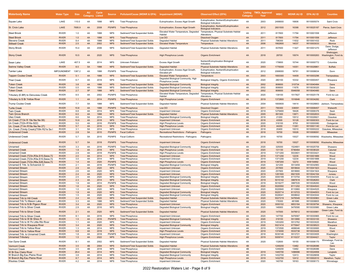| Waterbody Name                                                                 | <b>Water Type</b>            | <b>Size</b> | <b>AU</b><br>Category Listed | Cycle        | <b>Source</b>               | Pollutant/Cause (WDNR & EPA) Impairment (WDNR)                     |                                                                       | <b>Observed Effect (EPA)</b>                                                 | Category | <b>Listing TMDL Approval</b><br>Year | <b>WBIC</b>        | WDNR AU ID EPA AU ID |                          | <b>Counties</b>                          |
|--------------------------------------------------------------------------------|------------------------------|-------------|------------------------------|--------------|-----------------------------|--------------------------------------------------------------------|-----------------------------------------------------------------------|------------------------------------------------------------------------------|----------|--------------------------------------|--------------------|----------------------|--------------------------|------------------------------------------|
| Squaw Lake                                                                     | LAKE                         | 110.0       | 4A                           | 1998         | <b>NPS</b>                  | <b>Total Phosphorus</b>                                            | Eutrophication, Excess Algal Growth                                   | Eutrophication, Nutrient/Eutrophication<br><b>Biological Indicators</b>      | 4A       | 2003                                 | 2499000            | 16606                | WI10005074               | Saint Croix                              |
| St. Croix Lake                                                                 | LAKE                         | 7695.9      | 4A                           | 2008         | <b>PS/NPS</b>               | <b>Total Phosphorus</b>                                            | Eutrophication, Excess Algal Growth                                   | Eutrophication, Nutrient/Eutrophication<br><b>Biological Indicators</b>      | 4A       | 2012                                 | 2601500            | 16398                | WI10025187               | Pierce, Saint Croix                      |
| Steel Brook                                                                    | <b>RIVER</b>                 | 1.0         | 4A                           | 1998         | <b>NPS</b>                  | Sediment/Total Suspended Solids                                    | Elevated Water Temperature, Degraded<br>Habitat                       | Temperature, Physical Substrate Habitat<br>Alterations                       | 4A       | 2011                                 | 817800             | 11794                | WI10001558               | Jefferson                                |
| <b>Steel Brook</b>                                                             | <b>RIVER</b>                 | 1.0         | 4A                           | 1998         | <b>NPS</b>                  | <b>Total Phosphorus</b>                                            | Low DO                                                                | <b>Dissolved Oxygen</b>                                                      | 4A       | 2011                                 | 817800             | 11794                | WI10001558               | Jefferson                                |
| <b>Stevens Creek</b>                                                           | <b>RIVER</b>                 | 8.4         | 4A                           | 1998         | <b>NPS</b>                  | Sediment/Total Suspended Solids                                    | Degraded Habitat                                                      | Physical Substrate Habitat Alterations                                       | 4A       | 2011                                 | 796300             | 11632                | WI10001432               | Rock                                     |
| <b>Stillwell Creek</b>                                                         | <b>RIVER</b>                 | 2.5         | 4A                           | 2002         | <b>NPS</b>                  | Sediment/Total Suspended Solids                                    | <b>Elevated Water Temperature</b>                                     | Temperature                                                                  | 4A       | 2006                                 | 1662600            | 14037                | WI10003033               | Monroe                                   |
| <b>Stony Brook</b>                                                             | <b>RIVER</b>                 | 15.4        | 4A                           | 2006         | <b>NPS</b>                  | Sediment/Total Suspended Solids                                    | Degraded Habitat                                                      | Physical Substrate Habitat Alterations                                       | 4A       | 2011                                 | 837600             | 11427                | WI10001270               | Dane, Dodge<br>Jefferson                 |
| <b>Stony Creek</b>                                                             | <b>RIVER</b>                 | 10.5        | 4A                           | 2020         | <b>NPS</b>                  | <b>Total Phosphorus</b>                                            | <b>High Phosphorus Levels</b>                                         | <b>Organic Enrichment</b>                                                    | 4A       | 2018                                 | 28700              | 10074                | WI10000263               | Sheboygan,<br>Washington, Fond du<br>Lac |
| Swan Lake                                                                      | LAKE                         | 407.5       | 4A                           | 2014         | <b>NPS</b>                  | Unknown Pollutant                                                  | <b>Excess Algal Growth</b>                                            | Nutrient/Eutrophication Biological<br>Indicators                             | 4A       | 2020                                 | 179800             | 10744                | WI10000772               | Columbia                                 |
| <b>Swinns Valley Creek</b>                                                     | <b>RIVER</b>                 | 8.5         | 5A                           | 1998         | <b>NPS</b>                  | Sediment/Total Suspended Solids                                    | <b>Degraded Habitat</b>                                               | <b>Physical Substrate Habitat Alterations</b>                                | 4A       | 2003                                 | 1776000            | 14351                | WI10026861               | <b>Buffalo</b>                           |
| <b>Tainter Lake</b>                                                            | <b>IMPOUNDMENT</b>           | 1387.2      | 4A                           | 1998         | PS/NPS                      | <b>Total Phosphorus</b>                                            | Eutrophication, Excess Algal Growth,<br>Elevated pH                   | Eutrophication, Nutrient/Eutrophication<br><b>Biological Indicators</b>      | 4A       | 2012                                 | 2068000            | 18791                | WI10006634               | Dunn                                     |
| Tappen Coulee Creek                                                            | <b>RIVER</b>                 | 5.1         | 4A                           | 1998         | <b>NPS</b>                  | Sediment/Total Suspended Solids                                    | <b>Elevated Water Temperature</b>                                     | Temperature                                                                  | 4A       | 2003                                 | 1800300            | 14409                | WI10003296               | Trempealeau                              |
| <b>Thiel Creek</b>                                                             | <b>RIVER</b>                 | 6.7         | 4A                           | 2018         | <b>NPS</b>                  | <b>Total Phosphorus</b>                                            | Degraded Biological Community, High                                   | Biological Integrity, Organic Enrichment                                     | 4A       | 2020                                 | 280100             | 10332                | WI10000457               | Waupaca                                  |
|                                                                                |                              |             |                              |              |                             |                                                                    | Phosphorus Levels                                                     |                                                                              | 4A       |                                      |                    |                      |                          |                                          |
| Token Creek<br><b>Token Creek</b>                                              | <b>RIVER</b><br><b>RIVER</b> | 3.8<br>0.5  | 4A<br>4A                     | 1998<br>1998 | <b>NPS</b><br><b>NPS</b>    | Sediment/Total Suspended Solids<br>Sediment/Total Suspended Solids | <b>Degraded Biological Community</b><br>Degraded Biological Community | <b>Biological Integrity</b><br><b>Biological Integrity</b>                   | 4A       | 2002<br>2002                         | 806600<br>806600   | 310734<br>11676      | WI10040484<br>WI10039320 | Dane<br>Dane                             |
| <b>Token Creek</b>                                                             | <b>RIVER</b>                 | 2.7         | 5P                           | 1998         | <b>NPS</b>                  | Sediment/Total Suspended Solids                                    | <b>Degraded Biological Community</b>                                  | <b>Biological Integrity</b>                                                  | 4A       | 2002                                 | 806600             | 5546058              | WI10040480               | Dane                                     |
| Tributary (E.BR) to Denuveau Creek                                             | <b>RIVER</b>                 | 8.5         | 4A                           | 2002         | <b>PS/NPS</b>               | <b>Total Phosphorus</b>                                            | Elevated Water Temperature, Degraded                                  | Temperature, Physical Substrate Habitat                                      | 4A       | 2020                                 | 139100             | 1517827              | WI10025178               | Fond du Lac                              |
|                                                                                |                              |             |                              |              |                             |                                                                    | Habitat                                                               | Alterations                                                                  |          |                                      |                    |                      |                          |                                          |
| Tributary to S Br Yellow River                                                 | <b>RIVER</b>                 | 1.1         | 4A                           | 2014         | <b>PS/NPS</b>               | <b>Total Phosphorus</b>                                            | <b>High Phosphorus Levels</b>                                         | <b>Organic Enrichment</b>                                                    | 4A       | 2019                                 | 1372800            | 1516846              | WI10034282               | Clark                                    |
| <b>Trump Coulee Creek</b>                                                      | <b>RIVER</b>                 | 7.7         | 5A                           | 1998         | <b>NPS</b>                  | Sediment/Total Suspended Solids                                    | Degraded Habitat                                                      | Physical Substrate Habitat Alterations                                       | 4A       | 2004                                 | 1800600            | 14414                |                          | WI10026663 Jackson, Trempealeau          |
| <b>Turtle Creek</b>                                                            | <b>RIVER</b>                 | 10.8        | 4A                           | 1998         | <b>PS/NPS</b>               | <b>Total Phosphorus</b>                                            | Low DO                                                                | <b>Dissolved Oxygen</b>                                                      | 4A       | 2011                                 | 790300             | 338091               | WI10008457               | Walworth                                 |
| Twin Creek<br><b>Twin Grove Branch</b>                                         | <b>RIVER</b>                 | 8.8         | 4A<br>4A                     | 2014         | <b>NPS</b>                  | <b>Total Phosphorus</b>                                            | Impairment Unknown                                                    | Organic Enrichment                                                           | 4A       | 2019                                 | 1279400            | 18426                | WI10006376               | Sauk                                     |
| Ulao Creek                                                                     | <b>RIVER</b><br><b>RIVER</b> | 6.0<br>8.6  | 5A                           | 1998<br>2014 | <b>NPS</b><br><b>NPS</b>    | Sediment/Total Suspended Solids<br><b>Total Phosphorus</b>         | <b>Degraded Habitat</b><br>Degraded Biological Community              | <b>Physical Substrate Habitat Alterations</b><br><b>Biological Integrity</b> | 4A<br>4A | 2005<br>2018                         | 891300<br>21200    | 13671<br>10012       | WI10002833<br>WI10026821 | Green<br>Ozaukee                         |
| Un Creek (T13n R 19e Nw Ne 06)                                                 | <b>RIVER</b>                 | 10.9        | 4A                           | 2018         | <b>NPS</b>                  | <b>Total Phosphorus</b>                                            | <b>Impairment Unknown</b>                                             | <b>Organic Enrichment</b>                                                    | 4A       | 2018                                 | 43500              | 10128                | WI10000303               | Fond du Lac                              |
| Un Creek (T22n-R16e-S22)                                                       | <b>RIVER</b>                 | 5.0         | 4A                           | 2016         | PS/NPS                      | <b>Total Phosphorus</b>                                            | <b>High Phosphorus Levels</b>                                         | Organic Enrichment                                                           | 4A       | 2020                                 | 316100             | 9793                 | WI10000080               | Outagamie                                |
| Un. Creek (T14n R18e Nw Ne 27)                                                 | <b>RIVER</b>                 | 5.7         | 4A                           | 2016         | <b>NPS</b>                  | <b>Total Phosphorus</b>                                            | <b>High Phosphorus Levels</b>                                         | <b>Organic Enrichment</b>                                                    | 4A       | 2018                                 | 44200              | 11261                | WI10001140               | Fond du Lac                              |
| Un. Creek (Trinity Creek)(T09n R21e Se                                         | <b>RIVER</b>                 | 3.1         | 5A                           | 2014         | <b>NPS</b>                  | <b>Total Phosphorus</b>                                            | Impairment Unknown                                                    | Organic Enrichment                                                           | 4A       | 2018                                 | 20400              | 10010                | WI10000222               | Ozaukee, Milwaukee                       |
| <b>Underwood Creek</b>                                                         | <b>RIVER</b>                 | 2.8         | 5A                           | 2010         | <b>PS/NPS</b>               | <b>Fecal Coliform</b>                                              | <b>Recreational Restrictions - Pathogens</b>                          | Pathogens                                                                    | 4A       | 2018                                 | 16700              | 10026                | WI10008091               | Milwaukee                                |
| Underwood Creek                                                                | <b>RIVER</b>                 | 5.7         | 5A                           | 2010         | PS/NPS                      | Fecal Coliform                                                     | Recreational Restrictions - Pathogens                                 | Pathogens                                                                    | 4A       | 2018                                 | 16700              | 10027                |                          | WI10008092 Waukesha, Milwaukee           |
| <b>Underwood Creek</b>                                                         | <b>RIVER</b>                 | 5.7         | 5A                           | 2018         | <b>PS/NPS</b>               | <b>Total Phosphorus</b>                                            | <b>Impairment Unknown</b>                                             | <b>Organic Enrichment</b>                                                    | 4A       | 2018                                 | 16700              | 10027                |                          | WI10008092 Waukesha, Milwaukee           |
| Unnamed                                                                        | <b>RIVER</b>                 | 3.3         | 4A                           | 2016         | PS/NPS                      | <b>Total Phosphorus</b>                                            | Degraded Biological Community                                         | <b>Biological Integrity</b>                                                  | 4A       | 2020                                 | 325000             | 1524901              | WI10025759               | Shawano                                  |
| Unnamed Creek                                                                  | <b>RIVER</b>                 | 1.9         | 4A                           | 2018         | <b>NPS</b>                  | <b>Total Phosphorus</b>                                            | <b>High Phosphorus Levels</b>                                         | <b>Organic Enrichment</b>                                                    | 4A       | 2020                                 | 131130             | 5746464              | WI10038320               | Calumet                                  |
| <b>Unnamed Creek</b>                                                           | <b>RIVER</b>                 | 2.9         | 4A                           | 2018         | PS/NPS                      | <b>Total Phosphorus</b>                                            | <b>High Phosphorus Levels</b>                                         | Organic Enrichment                                                           | 4A       | 2019                                 | 1371200            | 5533601              | WI10033421               | Wood                                     |
| Unnamed Creek (T23n, R3e, S10, Sesw, 72<br>Unnamed Creek (T23n,R3e,S10,Sesw,72 | <b>RIVER</b><br><b>RIVER</b> | 2.0<br>3.0  | 4A<br>4A                     | 2014<br>2014 | <b>NPS</b><br><b>NPS</b>    | <b>Total Phosphorus</b><br><b>Total Phosphorus</b>                 | <b>Impairment Unknown</b><br>Impairment Unknown                       | <b>Organic Enrichment</b><br>Organic Enrichment                              | 4A<br>4A | 2019<br>2019                         | 1371200<br>1371200 | 12235<br>12234       | WI10001889<br>WI10001888 | Wood<br>Wood                             |
| Unnamed Creek (T23n, R6e, S26, Sesw, 72                                        | <b>RIVER</b>                 | 1.4         | 4A                           | 2020         | PS/NPS                      | <b>Total Phosphorus</b>                                            | High Phosphorus Levels                                                | <b>Organic Enrichment</b>                                                    | 4A       | 2019                                 | 1397200            | 12272                | WI8154892                | Wood                                     |
| Unnamed E Trib. to Schoenick Cr                                                | RIVER                        | 2.1         | 4A                           | 2016         | <b>PS/NPS</b>               | <b>Total Phosphorus</b>                                            | Degraded Biological Community                                         | <b>Biological Integrity</b>                                                  | 4A       | 2020                                 | 321200             | 5513459              | WI10032983               | Shawano                                  |
| <b>Unnamed Stream</b>                                                          | <b>RIVER</b>                 | 2.9         | 4A                           | 2020         | <b>NPS</b>                  | <b>Total Phosphorus</b>                                            | <b>Impairment Unknown</b>                                             | <b>Organic Enrichment</b>                                                    | 4A       | 2020                                 | 257800             | 6918644              | WI10041923               | Waupaca                                  |
| Unnamed Stream                                                                 | <b>RIVER</b>                 | 2.6         | 4A                           | 2020         | <b>NPS</b>                  | <b>Total Phosphorus</b>                                            | Impairment Unknown                                                    | Organic Enrichment                                                           | 4A       | 2020                                 | 257900             | 6918660              | WI10041924               | Waupaca                                  |
| Unnamed Stream                                                                 | <b>RIVER</b>                 | 2.4         | 4A                           | 2020         | <b>NPS</b>                  | <b>Total Phosphorus</b>                                            | <b>Impairment Unknown</b>                                             | <b>Organic Enrichment</b>                                                    | 4A       | 2019                                 | 1281500            | 6921935              | WI10042164               | Juneau                                   |
| Unnamed Stream                                                                 | <b>RIVER</b>                 | 2.5         | 4A                           | 2020         | <b>NPS</b>                  | <b>Total Phosphorus</b>                                            | Degraded Biological Community                                         | <b>Biological Integrity</b>                                                  | 4A       | 2020                                 | 3000189            | 8110754              | WI10044505               | Fond du Lac                              |
| <b>Unnamed Stream</b>                                                          | <b>RIVER</b>                 | 2.3         | 4A                           | 2014         | <b>NPS</b>                  | <b>Total Phosphorus</b>                                            | <b>Degraded Biological Community</b>                                  | <b>Biological Integrity</b>                                                  | 4A       | 2019                                 | 5015142            | 3987619              | WI10028263               | Clark                                    |
| Unnamed Stream                                                                 | <b>RIVER</b>                 | 1.9         | 4A                           | 2014         | PS/NPS                      | <b>Total Phosphorus</b>                                            | Degraded Biological Community                                         | <b>Biological Integrity</b>                                                  | 4A       | 2019                                 | 5016277            | 3987535              | WI10028260               | Wood                                     |
| Unnamed Stream<br><b>Unnamed Stream</b>                                        | <b>RIVER</b><br><b>RIVER</b> | 1.6<br>1.0  | 4A<br>4A                     | 2020<br>2020 | <b>NPS</b><br><b>NPS</b>    | <b>Total Phosphorus</b><br><b>Total Phosphorus</b>                 | <b>Impairment Unknown</b><br><b>Impairment Unknown</b>                | <b>Organic Enrichment</b><br>Organic Enrichment                              | 4A<br>4A | 2020<br>2020                         | 5020550<br>5020640 | 8111202<br>8110960   | WI10044543<br>WI10044525 | Waupaca<br>Waupaca                       |
| <b>Unnamed Stream</b>                                                          | <b>RIVER</b>                 | 1.9         | 4A                           | 2020         | <b>NPS</b>                  | <b>Total Phosphorus</b>                                            | <b>Degraded Biological Community</b>                                  | <b>Biological Integrity</b>                                                  | 4A       | 2020                                 | 5025714            | 8110723              | WI10044503               | Fond du Lac                              |
| Unnamed Stream                                                                 | <b>RIVER</b>                 | 1.5         | 4A                           | 2020         | <b>NPS</b>                  | <b>Total Phosphorus</b>                                            | Degraded Biological Community                                         | <b>Biological Integrity</b>                                                  | 4A       | 2020                                 | 5026041            | 6938642              | WI10043044               | Fond du Lac                              |
| Unnamed Trib to Hill Creek                                                     | <b>RIVER</b>                 | 2.4         | 4A                           | 2020         | <b>NPS</b>                  | Sediment/Total Suspended Solids                                    | <b>Degraded Habitat</b>                                               | <b>Physical Substrate Habitat Alterations</b>                                | 4A       | 2020                                 | 5027219            | 5476549              | WI10030963               | <b>Green Lake</b>                        |
| Unnamed Trib To Mason Lake                                                     | <b>RIVER</b>                 | 3.3         | 4A                           | 1998         | <b>NPS</b>                  | Sediment/Total Suspended Solids                                    | Degraded Habitat                                                      | Physical Substrate Habitat Alterations                                       | 4A       | 2020                                 | 176300             | 481686               | WI10008805               | Adams                                    |
| Unnamed Trib to N Br Pigeon River                                              | <b>RIVER</b>                 | 3.4         | 4A                           | 2020         | <b>NPS</b>                  | <b>Total Phosphorus</b>                                            | <b>Impairment Unknown</b>                                             | <b>Organic Enrichment</b>                                                    | 4A       | 2020                                 | 3000102            | 6853164              | WI10039794               | Shawano, Waupaca                         |
| Unnamed Trib to Silver Creek                                                   | <b>RIVER</b>                 | 2.9         | 4A                           | 2016         | <b>NPS</b>                  | <b>Total Phosphorus</b>                                            | Degraded Biological Community                                         | <b>Biological Integrity</b>                                                  | 4A       | 2020                                 | 146900             | 5476590              | WI10030980               | Green Lake<br>en Lake. Fond du           |
| <b>Unnamed Trib to Silver Creek</b>                                            | <b>RIVER</b>                 | 2.1         | 4A                           | 2020         | <b>NPS</b>                  | Sediment/Total Suspended Solids                                    | <b>Degraded Habitat</b>                                               | <b>Physical Substrate Habitat Alterations</b>                                | 4A       | 2020                                 | 147000             | 5476612              | WI10030981               | Lac                                      |
| <b>Unnamed Trib to Silver Creek</b>                                            | <b>RIVER</b>                 | 8.1         | 4A                           | 2016         | <b>NPS</b>                  | <b>Total Phosphorus</b>                                            | Impairment Unknown                                                    | Organic Enrichment                                                           | 4A       | 2020                                 | 147700             | 5476567              | WI10030965               | Fond du Lac                              |
| Unnamed Trib to W Br Shioc R<br>Unnamed Trib to W Fk Little Rib River          | <b>RIVER</b><br><b>RIVER</b> | 1.5<br>1.1  | 4A<br>4A                     | 2016<br>2020 | <b>PS/NPS</b><br><b>NPS</b> | <b>Total Phosphorus</b><br><b>Total Phosphorus</b>                 | <b>Degraded Biological Community</b><br>Impairment Unknown            | <b>Biological Integrity</b><br>Organic Enrichment                            | 4A<br>4A | 2020<br>2019                         | 319100<br>1453200  | 5513990<br>5513762   | WI10033100<br>WI10033020 | Shawano<br>Marathon                      |
| <b>Unnamed Trib to Waupaca River</b>                                           | <b>RIVER</b>                 | 3.4         | 4A                           | 2020         | <b>NPS</b>                  | <b>Total Phosphorus</b>                                            | <b>Degraded Biological Community</b>                                  | <b>Biological Integrity</b>                                                  | 4A       | 2020                                 | 5021414            | 6775847              | WI10039523               | Waupaca                                  |
| Unnamed Trib to Yellow River                                                   | <b>RIVER</b>                 | 1.3         | 4A                           | 2014         | <b>NPS</b>                  | <b>Total Phosphorus</b>                                            | Impairment Unknown                                                    | Organic Enrichment                                                           | 4A       | 2019                                 | 1372500            | 4699046              | WI10030065               | Wood                                     |
| <b>Unnamed Trib to Yellow River</b>                                            | <b>RIVER</b>                 | 0.8         | 4A                           | 2018         | <b>NPS</b>                  | <b>Total Phosphorus</b>                                            | <b>High Phosphorus Levels</b>                                         | Organic Enrichment                                                           | 4A       | 2019                                 | 1374000            | 5533738              | WI10033426               | Clark                                    |
| Unnamed Trib. to Unnamed Creek                                                 | <b>RIVER</b>                 | 1.8         | 4A                           | 2018         | PS/NPS                      | <b>Total Phosphorus</b>                                            | Impairment Unknown                                                    | Organic Enrichment                                                           | 4A       | 2018                                 | 5030146            | 5513721              | WI10033005               | Washington                               |
| <b>Unnamed Tributary</b>                                                       | <b>RIVER</b>                 | 1.5         | 4A                           | 2022         | <b>NPS</b>                  | <b>Total Phosphorus</b>                                            | <b>High Phosphorus Levels</b>                                         | <b>Organic Enrichment</b>                                                    | 4A       | 2019                                 | 5009741            | 8110237              | WI10044421               | Taylor                                   |
| Van Dyne Creek                                                                 | <b>RIVER</b>                 | 8.1         | 4Α                           | 2002         | <b>NPS</b>                  | Sediment/Total Suspended Solids                                    | Degraded Habitat                                                      | Physical Substrate Habitat Alterations                                       | 4A       | 2020                                 | 132600             | 18155                | WI10006170               | Winnebago, Fond du<br>Lac                |
| <b>Vermont Creek</b>                                                           | <b>RIVER</b>                 | 3.5         | 4B                           | 2004         | <b>NPS</b>                  | Sediment/Total Suspended Solids                                    | Degraded Habitat                                                      | <b>Physical Substrate Habitat Alterations</b>                                | 4B       |                                      | 1249200            | 13482                | WI10026086               | Dane                                     |
| Vermont Creek                                                                  | <b>RIVER</b>                 | 3.5         | 4B                           | 2018         | <b>NPS</b>                  | <b>Total Phosphorus</b>                                            | Impairment Unknown                                                    | Organic Enrichment                                                           | 4B       |                                      | 1249200            | 13482                | WI10026086               | Dane                                     |
| W Br Eau Claire River                                                          | <b>RIVER</b>                 | 29.4        | 4A                           | 2014         | <b>NPS</b>                  | <b>Total Phosphorus</b>                                            | Degraded Biological Community                                         | <b>Biological Integrity</b>                                                  | 4A       | 2019                                 | 1445700            | 1496996              | WI10024958               | Langlade                                 |
| W Branch Big Eau Pleine River                                                  | <b>RIVER</b>                 | 3.8         | 4A                           | 2014         | <b>NPS</b>                  | <b>Total Phosphorus</b>                                            | Degraded Biological Community                                         | <b>Biological Integrity</b>                                                  | 4A       | 2019                                 | 1432700            | 12413                | WI10026658               | Taylor                                   |
| W Branch Big Eau Pleine River<br><b>Waukau Creek</b>                           | <b>RIVER</b><br><b>RIVER</b> | 8.7<br>4.2  | 4A<br>4A                     | 2014<br>2014 | <b>NPS</b><br><b>NPS</b>    | <b>Total Phosphorus</b><br><b>Total Phosphorus</b>                 | <b>High Phosphorus Levels</b><br>Impairment Unknown                   | Organic Enrichment<br>Organic Enrichment                                     | 4A<br>4A | 2019<br>2020                         | 1432700<br>140700  | 12412<br>18163       | WI10002010<br>WI10006173 | Marathon, Taylor<br>Winnebago            |
|                                                                                |                              |             |                              |              |                             |                                                                    |                                                                       |                                                                              |          |                                      |                    |                      |                          |                                          |